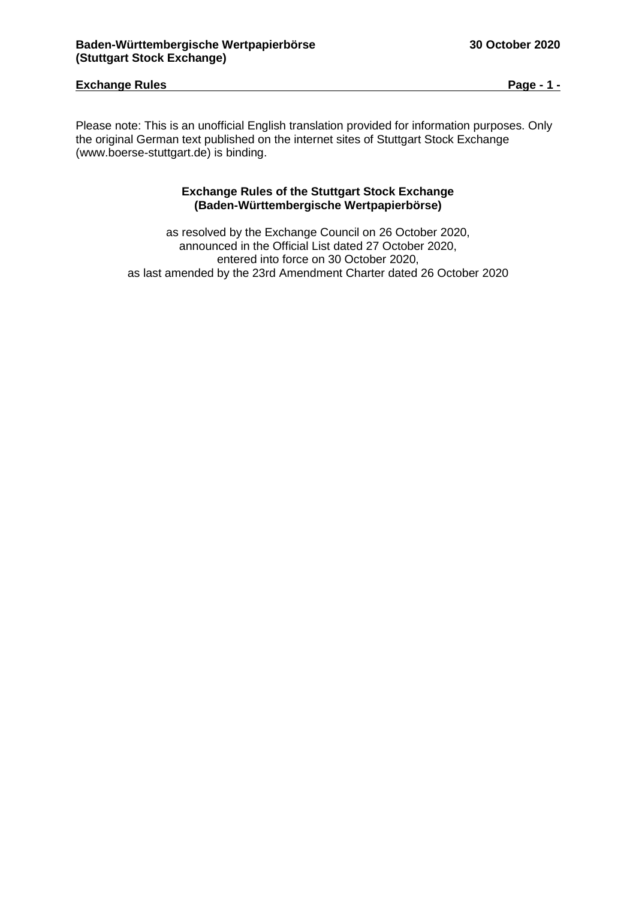## **Exchange Rules Page - 1 -**

Please note: This is an unofficial English translation provided for information purposes. Only the original German text published on the internet sites of Stuttgart Stock Exchange (www.boerse-stuttgart.de) is binding.

## **Exchange Rules of the Stuttgart Stock Exchange (Baden-Württembergische Wertpapierbörse)**

as resolved by the Exchange Council on 26 October 2020, announced in the Official List dated 27 October 2020, entered into force on 30 October 2020, as last amended by the 23rd Amendment Charter dated 26 October 2020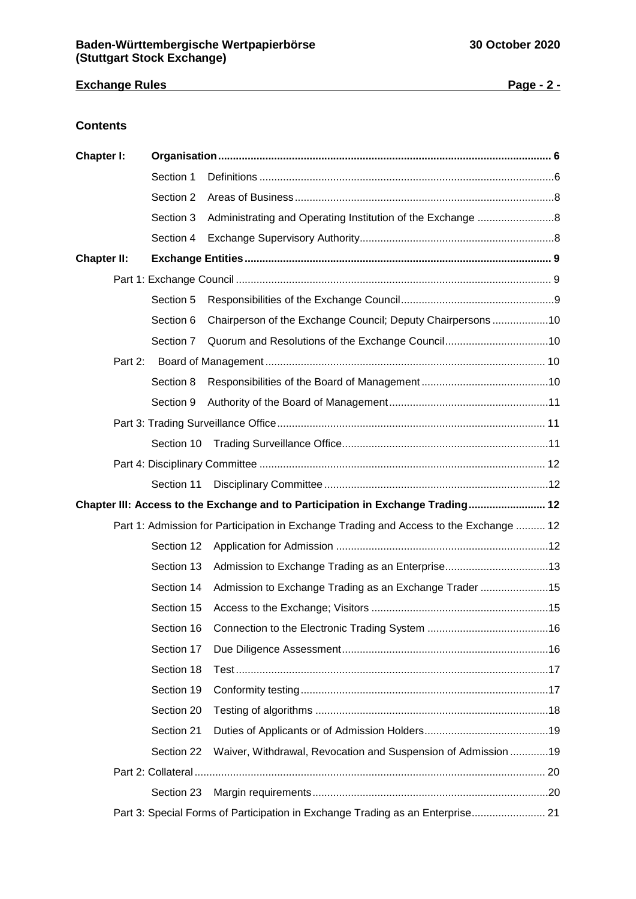## **Exchange Rules Page - 2 -**

## **Contents**

| Chapter I:         |            |                                                                                        |  |  |
|--------------------|------------|----------------------------------------------------------------------------------------|--|--|
|                    | Section 1  |                                                                                        |  |  |
|                    | Section 2  |                                                                                        |  |  |
|                    | Section 3  |                                                                                        |  |  |
|                    | Section 4  |                                                                                        |  |  |
| <b>Chapter II:</b> |            |                                                                                        |  |  |
|                    |            |                                                                                        |  |  |
|                    | Section 5  |                                                                                        |  |  |
|                    | Section 6  | Chairperson of the Exchange Council; Deputy Chairpersons10                             |  |  |
|                    | Section 7  |                                                                                        |  |  |
| Part 2:            |            |                                                                                        |  |  |
|                    | Section 8  |                                                                                        |  |  |
|                    | Section 9  |                                                                                        |  |  |
|                    |            |                                                                                        |  |  |
|                    |            |                                                                                        |  |  |
|                    |            |                                                                                        |  |  |
|                    | Section 11 |                                                                                        |  |  |
|                    |            | Chapter III: Access to the Exchange and to Participation in Exchange Trading 12        |  |  |
|                    |            | Part 1: Admission for Participation in Exchange Trading and Access to the Exchange  12 |  |  |
|                    | Section 12 |                                                                                        |  |  |
|                    | Section 13 |                                                                                        |  |  |
|                    | Section 14 | Admission to Exchange Trading as an Exchange Trader 15                                 |  |  |
|                    | Section 15 |                                                                                        |  |  |
|                    |            |                                                                                        |  |  |
|                    | Section 17 |                                                                                        |  |  |
|                    | Section 18 |                                                                                        |  |  |
|                    | Section 19 |                                                                                        |  |  |
|                    | Section 20 |                                                                                        |  |  |
|                    | Section 21 |                                                                                        |  |  |
|                    | Section 22 | Waiver, Withdrawal, Revocation and Suspension of Admission 19                          |  |  |
|                    |            |                                                                                        |  |  |
|                    | Section 23 |                                                                                        |  |  |
|                    |            | Part 3: Special Forms of Participation in Exchange Trading as an Enterprise 21         |  |  |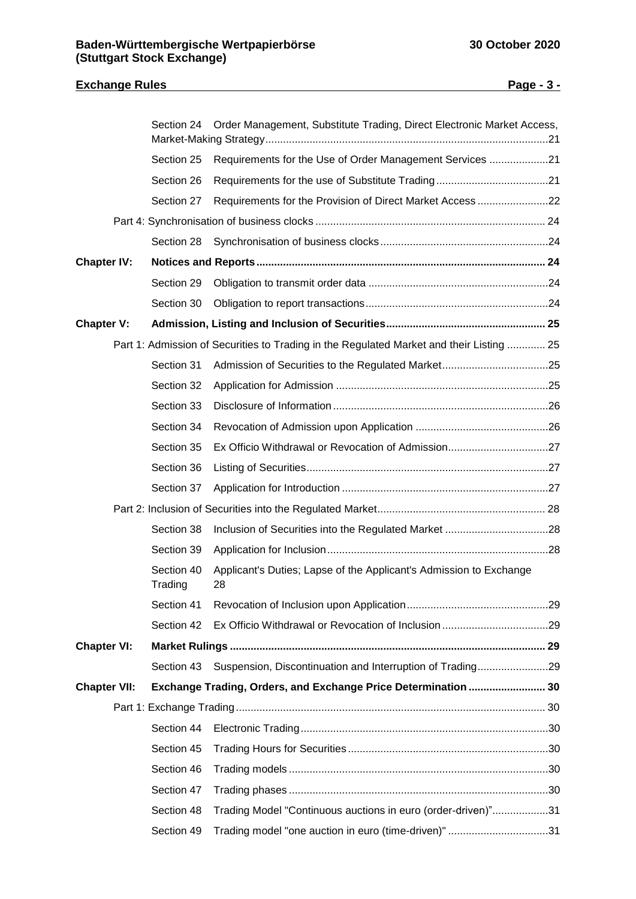# **Exchange Rules Page - 3 -** Section 24 [Order Management, Substitute Trading, Direct Electronic Market Access,](#page-20-1)  [Market-Making Strategy................................................................................................21](#page-20-1) Section 25 [Requirements for the Use of Order Management Services](#page-20-2) ....................21 Section 26 [Requirements for the use of Substitute Trading......................................21](#page-20-3) Section 27 [Requirements for the Provision of Direct Market Access](#page-21-0) ........................22 Part 4: Synchronisation of business clocks [..............................................................................](#page-23-0) 24 Section 28 [Synchronisation of business clocks.........................................................24](#page-23-1) **Chapter IV: Notices and Reports [..................................................................................................](#page-23-2) 24** Section 29 Obligation to transmit order data [.............................................................24](#page-23-3) Section 30 [Obligation to report transactions..............................................................24](#page-23-4) **Chapter V: [Admission, Listing and Inclusion of Securities......................................................](#page-24-0) 25** [Part 1: Admission of Securities to Trading in the Regulated Market and their Listing](#page-24-1) ............. 25 Section 31 Admission [of Securities to the Regulated Market....................................25](#page-24-2) Section 32 Application for Admission [........................................................................25](#page-24-3) Section 33 Disclosure of Information [.........................................................................26](#page-25-0) Section 34 [Revocation of Admission upon Application](#page-25-1) .............................................26 Section 35 [Ex Officio Withdrawal or Revocation of Admission..................................27](#page-26-0) Section 36 [Listing of Securities..................................................................................27](#page-26-1) Section 37 Application for Introduction [......................................................................27](#page-26-2) [Part 2: Inclusion of Securities into the Regulated Market.........................................................](#page-27-0) 28 Section 38 [Inclusion of Securities into the Regulated Market](#page-27-1) ...................................28 Section 39 [Application for Inclusion...........................................................................28](#page-27-2) Section 40 [Applicant's Duties; Lapse of the Applicant's Admission to Exchange](#page-27-3)  [Trading](#page-27-3) 28 Section 41 [Revocation of Inclusion upon Application................................................29](#page-28-0) Section 42 [Ex Officio Withdrawal or Revocation of Inclusion](#page-28-1) ....................................29 **Chapter VI: Market Rulings [...........................................................................................................](#page-28-2) 29** Section 43 [Suspension, Discontinuation and Interruption of Trading........................29](#page-28-3) **[Chapter VII: Exchange Trading, Orders, and Exchange Price Determination](#page-29-0) .......................... 30** [Part 1: Exchange Trading.........................................................................................................](#page-29-1) 30 Section 44 [Electronic Trading....................................................................................30](#page-29-2) Section 45 Trading Hours for Securities [....................................................................30](#page-29-3) Section 46 Trading models [........................................................................................30](#page-29-4) Section 47 Trading phases [........................................................................................30](#page-29-5) Section 48 [Trading Model "Continuous auctions in euro \(order-driven\)"...................31](#page-30-0) Section 49 [Trading model "one auction in euro \(time-driven\)"](#page-30-1) ..................................31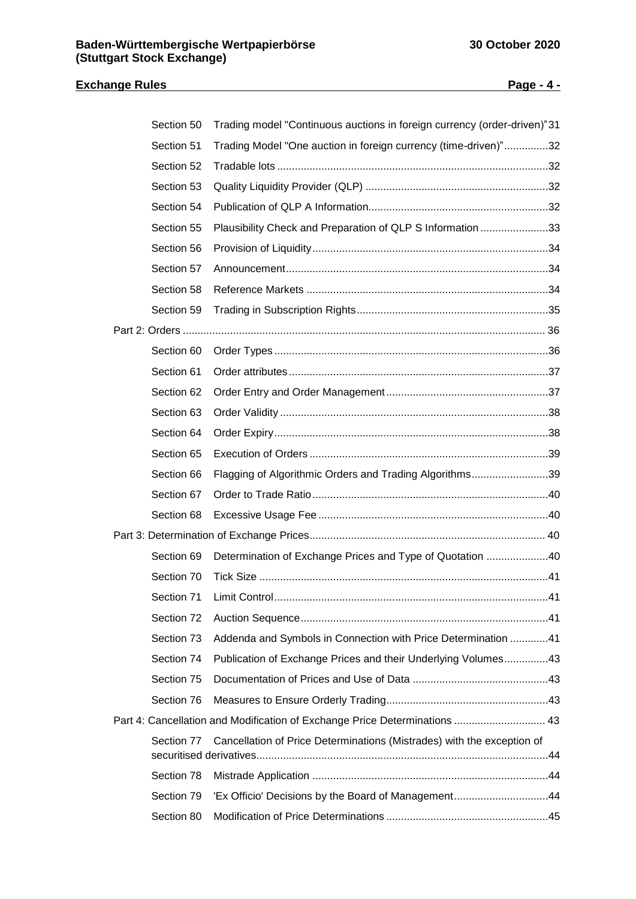## **Exchange Rules Page - 4 -**

| Section 50 | Trading model "Continuous auctions in foreign currency (order-driven)"31   |  |
|------------|----------------------------------------------------------------------------|--|
| Section 51 | Trading Model "One auction in foreign currency (time-driven)"32            |  |
| Section 52 |                                                                            |  |
| Section 53 |                                                                            |  |
| Section 54 |                                                                            |  |
| Section 55 | Plausibility Check and Preparation of QLP S Information 33                 |  |
| Section 56 |                                                                            |  |
| Section 57 |                                                                            |  |
| Section 58 |                                                                            |  |
| Section 59 |                                                                            |  |
|            |                                                                            |  |
| Section 60 |                                                                            |  |
| Section 61 |                                                                            |  |
| Section 62 |                                                                            |  |
| Section 63 |                                                                            |  |
| Section 64 |                                                                            |  |
| Section 65 |                                                                            |  |
| Section 66 | Flagging of Algorithmic Orders and Trading Algorithms39                    |  |
| Section 67 |                                                                            |  |
| Section 68 |                                                                            |  |
|            |                                                                            |  |
| Section 69 | Determination of Exchange Prices and Type of Quotation 40                  |  |
| Section 70 |                                                                            |  |
|            |                                                                            |  |
| Section 72 |                                                                            |  |
| Section 73 | Addenda and Symbols in Connection with Price Determination 41              |  |
| Section 74 | Publication of Exchange Prices and their Underlying Volumes43              |  |
| Section 75 |                                                                            |  |
| Section 76 |                                                                            |  |
|            | Part 4: Cancellation and Modification of Exchange Price Determinations  43 |  |
| Section 77 | Cancellation of Price Determinations (Mistrades) with the exception of     |  |
|            |                                                                            |  |
| Section 78 |                                                                            |  |
| Section 79 | 'Ex Officio' Decisions by the Board of Management44                        |  |
| Section 80 |                                                                            |  |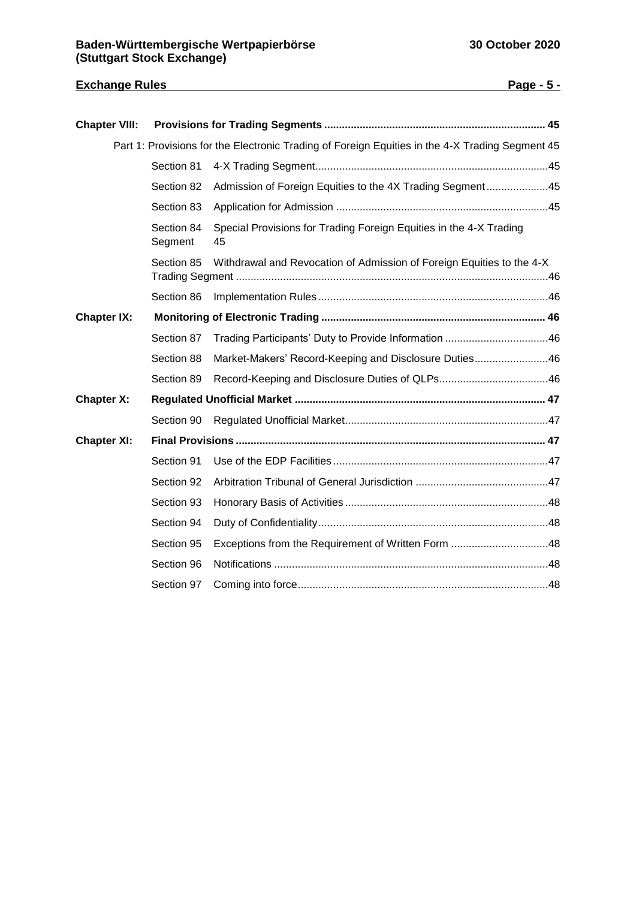## **Exchange Rules Page - 5 -**

| <b>Chapter VIII:</b> |                       |                                                                                                 |  |
|----------------------|-----------------------|-------------------------------------------------------------------------------------------------|--|
|                      |                       | Part 1: Provisions for the Electronic Trading of Foreign Equities in the 4-X Trading Segment 45 |  |
|                      | Section 81            |                                                                                                 |  |
|                      | Section 82            | Admission of Foreign Equities to the 4X Trading Segment45                                       |  |
|                      | Section 83            |                                                                                                 |  |
|                      | Section 84<br>Segment | Special Provisions for Trading Foreign Equities in the 4-X Trading<br>45                        |  |
|                      | Section 85            | Withdrawal and Revocation of Admission of Foreign Equities to the 4-X                           |  |
|                      | Section 86            |                                                                                                 |  |
| <b>Chapter IX:</b>   |                       |                                                                                                 |  |
|                      | Section 87            | Trading Participants' Duty to Provide Information 46                                            |  |
|                      | Section 88            | Market-Makers' Record-Keeping and Disclosure Duties46                                           |  |
|                      | Section 89            |                                                                                                 |  |
| <b>Chapter X:</b>    |                       |                                                                                                 |  |
|                      | Section 90            |                                                                                                 |  |
| <b>Chapter XI:</b>   |                       |                                                                                                 |  |
|                      | Section 91            |                                                                                                 |  |
|                      | Section 92            |                                                                                                 |  |
|                      | Section 93            |                                                                                                 |  |
|                      | Section 94            |                                                                                                 |  |
|                      | Section 95            |                                                                                                 |  |
|                      | Section 96            |                                                                                                 |  |
|                      | Section 97            |                                                                                                 |  |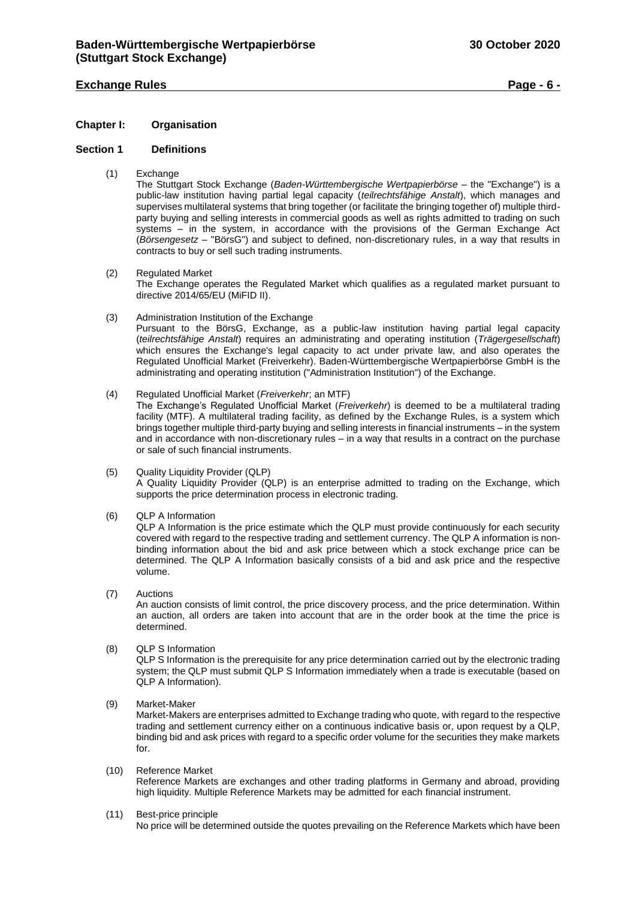## **Exchange Rules Page - 6 -**

## <span id="page-5-0"></span>**Chapter I: Organisation**

#### <span id="page-5-1"></span>**Section 1 Definitions**

(1) Exchange

The Stuttgart Stock Exchange (*Baden-Württembergische Wertpapierbörse* – the "Exchange") is a public-law institution having partial legal capacity (*teilrechtsfähige Anstalt*), which manages and supervises multilateral systems that bring together (or facilitate the bringing together of) multiple thirdparty buying and selling interests in commercial goods as well as rights admitted to trading on such systems – in the system, in accordance with the provisions of the German Exchange Act (*Börsengesetz* – "BörsG") and subject to defined, non-discretionary rules, in a way that results in contracts to buy or sell such trading instruments.

(2) Regulated Market

The Exchange operates the Regulated Market which qualifies as a regulated market pursuant to directive 2014/65/EU (MiFID II).

- (3) Administration Institution of the Exchange Pursuant to the BörsG, Exchange, as a public-law institution having partial legal capacity (*teilrechtsfähige Anstalt*) requires an administrating and operating institution (*Trägergesellschaft*) which ensures the Exchange's legal capacity to act under private law, and also operates the Regulated Unofficial Market (Freiverkehr). Baden-Württembergische Wertpapierbörse GmbH is the administrating and operating institution ("Administration Institution") of the Exchange.
- (4) Regulated Unofficial Market (*Freiverkehr*; an MTF) The Exchange's Regulated Unofficial Market (*Freiverkehr*) is deemed to be a multilateral trading facility (MTF). A multilateral trading facility, as defined by the Exchange Rules, is a system which brings together multiple third-party buying and selling interests in financial instruments – in the system and in accordance with non-discretionary rules – in a way that results in a contract on the purchase or sale of such financial instruments.
- (5) Quality Liquidity Provider (QLP) A Quality Liquidity Provider (QLP) is an enterprise admitted to trading on the Exchange, which supports the price determination process in electronic trading.
- (6) QLP A Information

QLP A Information is the price estimate which the QLP must provide continuously for each security covered with regard to the respective trading and settlement currency. The QLP A information is nonbinding information about the bid and ask price between which a stock exchange price can be determined. The QLP A Information basically consists of a bid and ask price and the respective volume.

(7) Auctions

An auction consists of limit control, the price discovery process, and the price determination. Within an auction, all orders are taken into account that are in the order book at the time the price is determined.

(8) QLP S Information

QLP S Information is the prerequisite for any price determination carried out by the electronic trading system; the QLP must submit QLP S Information immediately when a trade is executable (based on QLP A Information).

(9) Market-Maker

Market-Makers are enterprises admitted to Exchange trading who quote, with regard to the respective trading and settlement currency either on a continuous indicative basis or, upon request by a QLP, binding bid and ask prices with regard to a specific order volume for the securities they make markets for.

(10) Reference Market

Reference Markets are exchanges and other trading platforms in Germany and abroad, providing high liquidity. Multiple Reference Markets may be admitted for each financial instrument.

(11) Best-price principle

No price will be determined outside the quotes prevailing on the Reference Markets which have been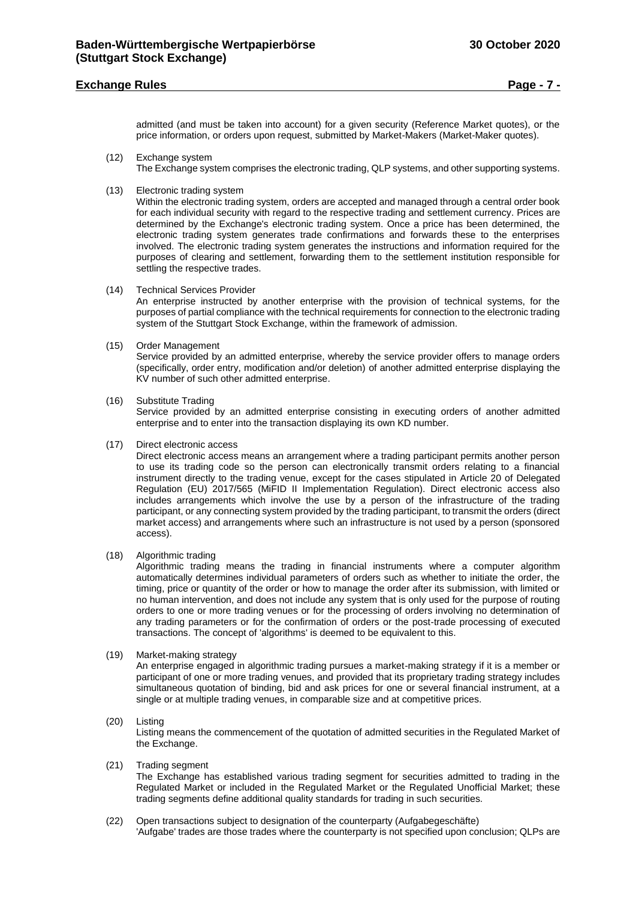## **Exchange Rules Page - 7 -**

admitted (and must be taken into account) for a given security (Reference Market quotes), or the price information, or orders upon request, submitted by Market-Makers (Market-Maker quotes).

- (12) Exchange system The Exchange system comprises the electronic trading, QLP systems, and other supporting systems.
- (13) Electronic trading system

Within the electronic trading system, orders are accepted and managed through a central order book for each individual security with regard to the respective trading and settlement currency. Prices are determined by the Exchange's electronic trading system. Once a price has been determined, the electronic trading system generates trade confirmations and forwards these to the enterprises involved. The electronic trading system generates the instructions and information required for the purposes of clearing and settlement, forwarding them to the settlement institution responsible for settling the respective trades.

(14) Technical Services Provider

An enterprise instructed by another enterprise with the provision of technical systems, for the purposes of partial compliance with the technical requirements for connection to the electronic trading system of the Stuttgart Stock Exchange, within the framework of admission.

(15) Order Management

Service provided by an admitted enterprise, whereby the service provider offers to manage orders (specifically, order entry, modification and/or deletion) of another admitted enterprise displaying the KV number of such other admitted enterprise.

(16) Substitute Trading

Service provided by an admitted enterprise consisting in executing orders of another admitted enterprise and to enter into the transaction displaying its own KD number.

(17) Direct electronic access

Direct electronic access means an arrangement where a trading participant permits another person to use its trading code so the person can electronically transmit orders relating to a financial instrument directly to the trading venue, except for the cases stipulated in Article 20 of Delegated Regulation (EU) 2017/565 (MiFID II Implementation Regulation). Direct electronic access also includes arrangements which involve the use by a person of the infrastructure of the trading participant, or any connecting system provided by the trading participant, to transmit the orders (direct market access) and arrangements where such an infrastructure is not used by a person (sponsored access).

(18) Algorithmic trading

Algorithmic trading means the trading in financial instruments where a computer algorithm automatically determines individual parameters of orders such as whether to initiate the order, the timing, price or quantity of the order or how to manage the order after its submission, with limited or no human intervention, and does not include any system that is only used for the purpose of routing orders to one or more trading venues or for the processing of orders involving no determination of any trading parameters or for the confirmation of orders or the post-trade processing of executed transactions. The concept of 'algorithms' is deemed to be equivalent to this.

#### (19) Market-making strategy

An enterprise engaged in algorithmic trading pursues a market-making strategy if it is a member or participant of one or more trading venues, and provided that its proprietary trading strategy includes simultaneous quotation of binding, bid and ask prices for one or several financial instrument, at a single or at multiple trading venues, in comparable size and at competitive prices.

#### (20) Listing

Listing means the commencement of the quotation of admitted securities in the Regulated Market of the Exchange.

(21) Trading segment

The Exchange has established various trading segment for securities admitted to trading in the Regulated Market or included in the Regulated Market or the Regulated Unofficial Market; these trading segments define additional quality standards for trading in such securities.

(22) Open transactions subject to designation of the counterparty (Aufgabegeschäfte) 'Aufgabe' trades are those trades where the counterparty is not specified upon conclusion; QLPs are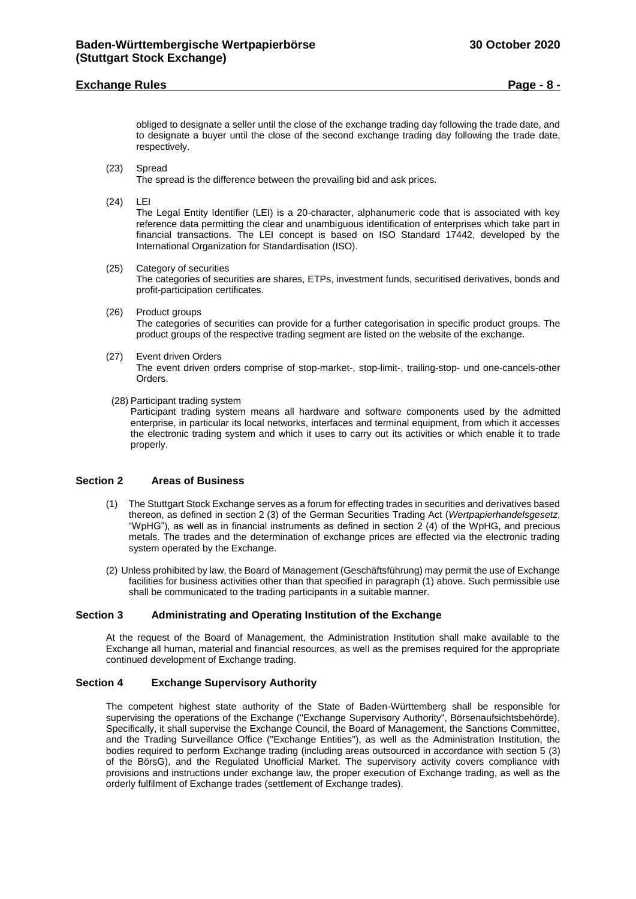## **Exchange Rules Page - 8 -**

obliged to designate a seller until the close of the exchange trading day following the trade date, and to designate a buyer until the close of the second exchange trading day following the trade date, respectively.

- (23) Spread The spread is the difference between the prevailing bid and ask prices.
- (24) LEI

The Legal Entity Identifier (LEI) is a 20-character, alphanumeric code that is associated with key reference data permitting the clear and unambiguous identification of enterprises which take part in financial transactions. The LEI concept is based on ISO Standard 17442, developed by the International Organization for Standardisation (ISO).

## (25) Category of securities

The categories of securities are shares, ETPs, investment funds, securitised derivatives, bonds and profit-participation certificates.

- (26) Product groups The categories of securities can provide for a further categorisation in specific product groups. The product groups of the respective trading segment are listed on the website of the exchange.
- (27) Event driven Orders The event driven orders comprise of stop-market-, stop-limit-, trailing-stop- und one-cancels-other Orders.
- (28) Participant trading system

Participant trading system means all hardware and software components used by the admitted enterprise, in particular its local networks, interfaces and terminal equipment, from which it accesses the electronic trading system and which it uses to carry out its activities or which enable it to trade properly.

#### <span id="page-7-0"></span>**Section 2 Areas of Business**

- (1) The Stuttgart Stock Exchange serves as a forum for effecting trades in securities and derivatives based thereon, as defined in section 2 (3) of the German Securities Trading Act (*Wertpapierhandelsgesetz*, "WpHG"), as well as in financial instruments as defined in section 2 (4) of the WpHG, and precious metals. The trades and the determination of exchange prices are effected via the electronic trading system operated by the Exchange.
- (2) Unless prohibited by law, the Board of Management (Geschäftsführung) may permit the use of Exchange facilities for business activities other than that specified in paragraph (1) above. Such permissible use shall be communicated to the trading participants in a suitable manner.

## <span id="page-7-1"></span>**Section 3 Administrating and Operating Institution of the Exchange**

At the request of the Board of Management, the Administration Institution shall make available to the Exchange all human, material and financial resources, as well as the premises required for the appropriate continued development of Exchange trading.

## <span id="page-7-2"></span>**Section 4 Exchange Supervisory Authority**

The competent highest state authority of the State of Baden-Württemberg shall be responsible for supervising the operations of the Exchange ("Exchange Supervisory Authority", Börsenaufsichtsbehörde). Specifically, it shall supervise the Exchange Council, the Board of Management, the Sanctions Committee, and the Trading Surveillance Office ("Exchange Entities"), as well as the Administration Institution, the bodies required to perform Exchange trading (including areas outsourced in accordance with section 5 (3) of the BörsG), and the Regulated Unofficial Market. The supervisory activity covers compliance with provisions and instructions under exchange law, the proper execution of Exchange trading, as well as the orderly fulfilment of Exchange trades (settlement of Exchange trades).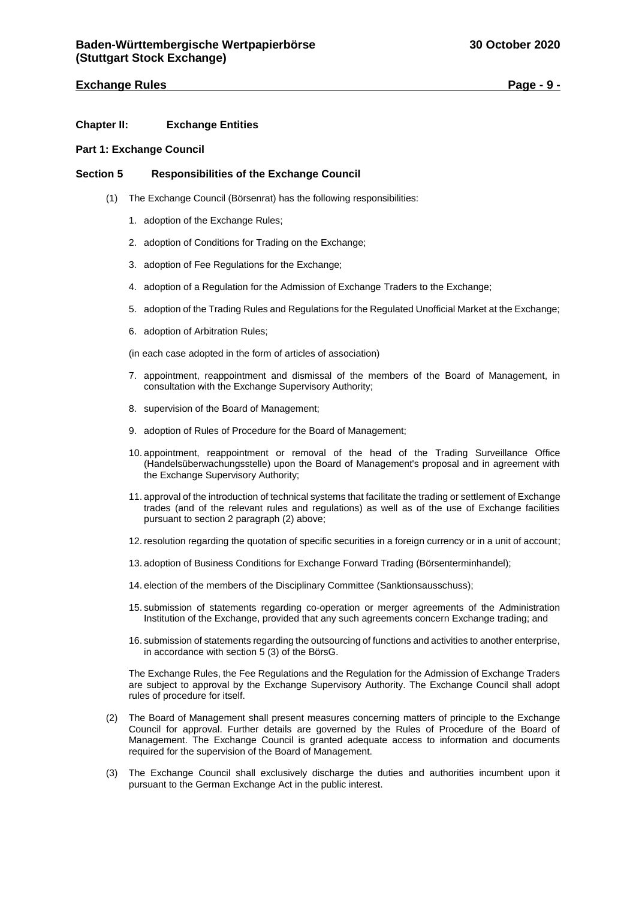## **Exchange Rules Page - 9 -**

## <span id="page-8-0"></span>**Chapter II: Exchange Entities**

## <span id="page-8-1"></span>**Part 1: Exchange Council**

## <span id="page-8-2"></span>**Section 5 Responsibilities of the Exchange Council**

- (1) The Exchange Council (Börsenrat) has the following responsibilities:
	- 1. adoption of the Exchange Rules;
	- 2. adoption of Conditions for Trading on the Exchange;
	- 3. adoption of Fee Regulations for the Exchange;
	- 4. adoption of a Regulation for the Admission of Exchange Traders to the Exchange;
	- 5. adoption of the Trading Rules and Regulations for the Regulated Unofficial Market at the Exchange;
	- 6. adoption of Arbitration Rules;

(in each case adopted in the form of articles of association)

- 7. appointment, reappointment and dismissal of the members of the Board of Management, in consultation with the Exchange Supervisory Authority;
- 8. supervision of the Board of Management;
- 9. adoption of Rules of Procedure for the Board of Management;
- 10. appointment, reappointment or removal of the head of the Trading Surveillance Office (Handelsüberwachungsstelle) upon the Board of Management's proposal and in agreement with the Exchange Supervisory Authority;
- 11. approval of the introduction of technical systems that facilitate the trading or settlement of Exchange trades (and of the relevant rules and regulations) as well as of the use of Exchange facilities pursuant to section 2 paragraph (2) above;
- 12. resolution regarding the quotation of specific securities in a foreign currency or in a unit of account;
- 13. adoption of Business Conditions for Exchange Forward Trading (Börsenterminhandel);
- 14. election of the members of the Disciplinary Committee (Sanktionsausschuss);
- 15. submission of statements regarding co-operation or merger agreements of the Administration Institution of the Exchange, provided that any such agreements concern Exchange trading; and
- 16. submission of statements regarding the outsourcing of functions and activities to another enterprise, in accordance with section 5 (3) of the BörsG.

The Exchange Rules, the Fee Regulations and the Regulation for the Admission of Exchange Traders are subject to approval by the Exchange Supervisory Authority. The Exchange Council shall adopt rules of procedure for itself.

- (2) The Board of Management shall present measures concerning matters of principle to the Exchange Council for approval. Further details are governed by the Rules of Procedure of the Board of Management. The Exchange Council is granted adequate access to information and documents required for the supervision of the Board of Management.
- (3) The Exchange Council shall exclusively discharge the duties and authorities incumbent upon it pursuant to the German Exchange Act in the public interest.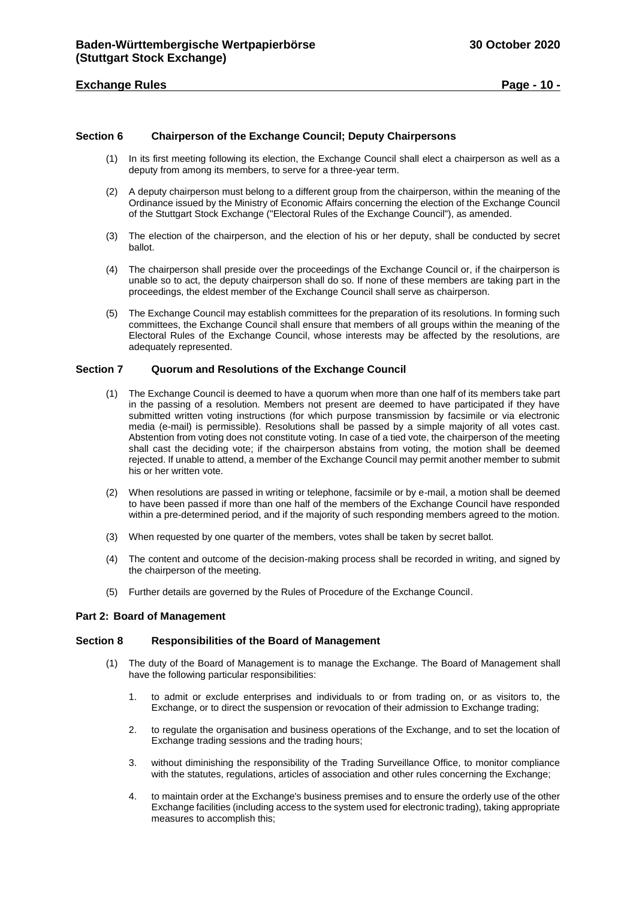## **Exchange Rules Page - 10 -**

## <span id="page-9-0"></span>**Section 6 Chairperson of the Exchange Council; Deputy Chairpersons**

- (1) In its first meeting following its election, the Exchange Council shall elect a chairperson as well as a deputy from among its members, to serve for a three-year term.
- (2) A deputy chairperson must belong to a different group from the chairperson, within the meaning of the Ordinance issued by the Ministry of Economic Affairs concerning the election of the Exchange Council of the Stuttgart Stock Exchange ("Electoral Rules of the Exchange Council"), as amended.
- (3) The election of the chairperson, and the election of his or her deputy, shall be conducted by secret ballot.
- (4) The chairperson shall preside over the proceedings of the Exchange Council or, if the chairperson is unable so to act, the deputy chairperson shall do so. If none of these members are taking part in the proceedings, the eldest member of the Exchange Council shall serve as chairperson.
- (5) The Exchange Council may establish committees for the preparation of its resolutions. In forming such committees, the Exchange Council shall ensure that members of all groups within the meaning of the Electoral Rules of the Exchange Council, whose interests may be affected by the resolutions, are adequately represented.

## <span id="page-9-1"></span>**Section 7 Quorum and Resolutions of the Exchange Council**

- (1) The Exchange Council is deemed to have a quorum when more than one half of its members take part in the passing of a resolution. Members not present are deemed to have participated if they have submitted written voting instructions (for which purpose transmission by facsimile or via electronic media (e-mail) is permissible). Resolutions shall be passed by a simple majority of all votes cast. Abstention from voting does not constitute voting. In case of a tied vote, the chairperson of the meeting shall cast the deciding vote; if the chairperson abstains from voting, the motion shall be deemed rejected. If unable to attend, a member of the Exchange Council may permit another member to submit his or her written vote.
- (2) When resolutions are passed in writing or telephone, facsimile or by e-mail, a motion shall be deemed to have been passed if more than one half of the members of the Exchange Council have responded within a pre-determined period, and if the majority of such responding members agreed to the motion.
- (3) When requested by one quarter of the members, votes shall be taken by secret ballot.
- (4) The content and outcome of the decision-making process shall be recorded in writing, and signed by the chairperson of the meeting.
- (5) Further details are governed by the Rules of Procedure of the Exchange Council.

#### <span id="page-9-2"></span>**Part 2: Board of Management**

#### <span id="page-9-3"></span>**Section 8 Responsibilities of the Board of Management**

- (1) The duty of the Board of Management is to manage the Exchange. The Board of Management shall have the following particular responsibilities:
	- 1. to admit or exclude enterprises and individuals to or from trading on, or as visitors to, the Exchange, or to direct the suspension or revocation of their admission to Exchange trading;
	- 2. to regulate the organisation and business operations of the Exchange, and to set the location of Exchange trading sessions and the trading hours;
	- 3. without diminishing the responsibility of the Trading Surveillance Office, to monitor compliance with the statutes, regulations, articles of association and other rules concerning the Exchange;
	- 4. to maintain order at the Exchange's business premises and to ensure the orderly use of the other Exchange facilities (including access to the system used for electronic trading), taking appropriate measures to accomplish this;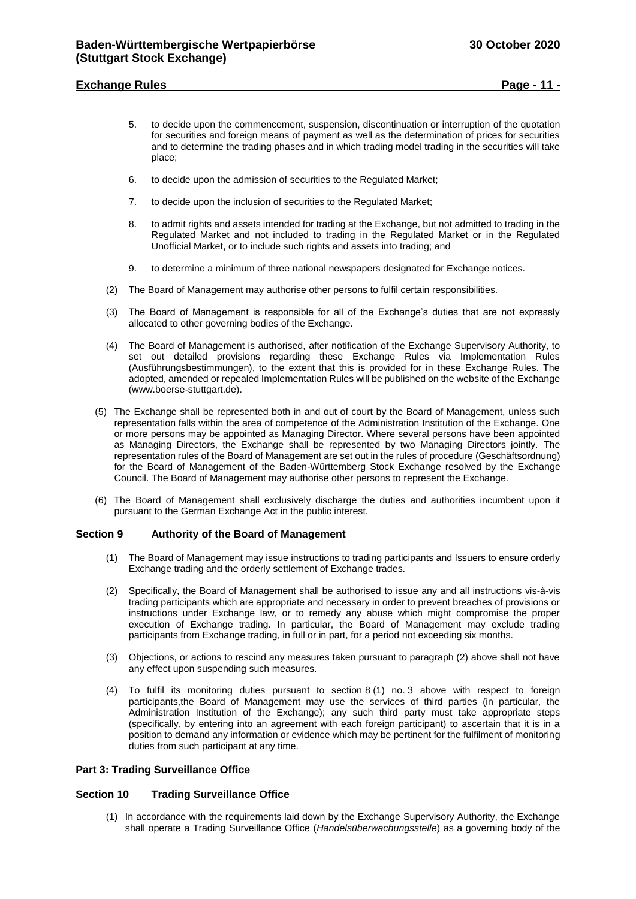## **Exchange Rules Page - 11 -**

- 5. to decide upon the commencement, suspension, discontinuation or interruption of the quotation for securities and foreign means of payment as well as the determination of prices for securities and to determine the trading phases and in which trading model trading in the securities will take place;
- 6. to decide upon the admission of securities to the Regulated Market;
- 7. to decide upon the inclusion of securities to the Regulated Market;
- 8. to admit rights and assets intended for trading at the Exchange, but not admitted to trading in the Regulated Market and not included to trading in the Regulated Market or in the Regulated Unofficial Market, or to include such rights and assets into trading; and
- 9. to determine a minimum of three national newspapers designated for Exchange notices.
- (2) The Board of Management may authorise other persons to fulfil certain responsibilities.
- (3) The Board of Management is responsible for all of the Exchange's duties that are not expressly allocated to other governing bodies of the Exchange.
- (4) The Board of Management is authorised, after notification of the Exchange Supervisory Authority, to set out detailed provisions regarding these Exchange Rules via Implementation Rules (Ausführungsbestimmungen), to the extent that this is provided for in these Exchange Rules. The adopted, amended or repealed Implementation Rules will be published on the website of the Exchange (www.boerse-stuttgart.de).
- (5) The Exchange shall be represented both in and out of court by the Board of Management, unless such representation falls within the area of competence of the Administration Institution of the Exchange. One or more persons may be appointed as Managing Director. Where several persons have been appointed as Managing Directors, the Exchange shall be represented by two Managing Directors jointly. The representation rules of the Board of Management are set out in the rules of procedure (Geschäftsordnung) for the Board of Management of the Baden-Württemberg Stock Exchange resolved by the Exchange Council. The Board of Management may authorise other persons to represent the Exchange.
- (6) The Board of Management shall exclusively discharge the duties and authorities incumbent upon it pursuant to the German Exchange Act in the public interest.

#### <span id="page-10-0"></span>**Section 9 Authority of the Board of Management**

- (1) The Board of Management may issue instructions to trading participants and Issuers to ensure orderly Exchange trading and the orderly settlement of Exchange trades.
- (2) Specifically, the Board of Management shall be authorised to issue any and all instructions vis-à-vis trading participants which are appropriate and necessary in order to prevent breaches of provisions or instructions under Exchange law, or to remedy any abuse which might compromise the proper execution of Exchange trading. In particular, the Board of Management may exclude trading participants from Exchange trading, in full or in part, for a period not exceeding six months.
- (3) Objections, or actions to rescind any measures taken pursuant to paragraph (2) above shall not have any effect upon suspending such measures.
- (4) To fulfil its monitoring duties pursuant to section 8 (1) no. 3 above with respect to foreign participants,the Board of Management may use the services of third parties (in particular, the Administration Institution of the Exchange); any such third party must take appropriate steps (specifically, by entering into an agreement with each foreign participant) to ascertain that it is in a position to demand any information or evidence which may be pertinent for the fulfilment of monitoring duties from such participant at any time.

#### <span id="page-10-1"></span>**Part 3: Trading Surveillance Office**

#### <span id="page-10-2"></span>**Section 10 Trading Surveillance Office**

(1) In accordance with the requirements laid down by the Exchange Supervisory Authority, the Exchange shall operate a Trading Surveillance Office (*Handelsüberwachungsstelle*) as a governing body of the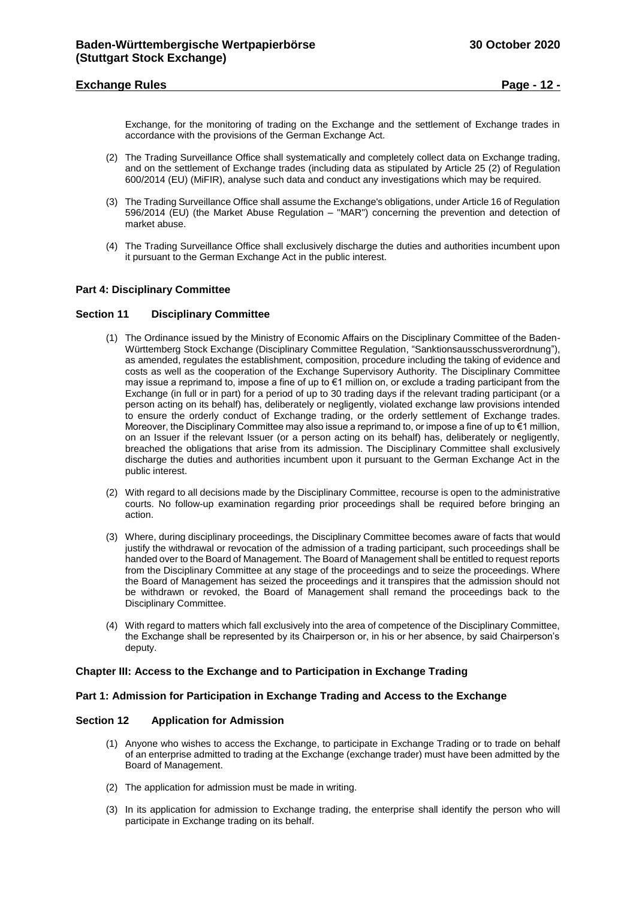Exchange, for the monitoring of trading on the Exchange and the settlement of Exchange trades in accordance with the provisions of the German Exchange Act.

- (2) The Trading Surveillance Office shall systematically and completely collect data on Exchange trading, and on the settlement of Exchange trades (including data as stipulated by Article 25 (2) of Regulation 600/2014 (EU) (MiFIR), analyse such data and conduct any investigations which may be required.
- (3) The Trading Surveillance Office shall assume the Exchange's obligations, under Article 16 of Regulation 596/2014 (EU) (the Market Abuse Regulation – "MAR") concerning the prevention and detection of market abuse.
- (4) The Trading Surveillance Office shall exclusively discharge the duties and authorities incumbent upon it pursuant to the German Exchange Act in the public interest.

## <span id="page-11-0"></span>**Part 4: Disciplinary Committee**

#### <span id="page-11-1"></span>**Section 11 Disciplinary Committee**

- (1) The Ordinance issued by the Ministry of Economic Affairs on the Disciplinary Committee of the Baden-Württemberg Stock Exchange (Disciplinary Committee Regulation, "Sanktionsausschussverordnung"), as amended, regulates the establishment, composition, procedure including the taking of evidence and costs as well as the cooperation of the Exchange Supervisory Authority. The Disciplinary Committee may issue a reprimand to, impose a fine of up to €1 million on, or exclude a trading participant from the Exchange (in full or in part) for a period of up to 30 trading days if the relevant trading participant (or a person acting on its behalf) has, deliberately or negligently, violated exchange law provisions intended to ensure the orderly conduct of Exchange trading, or the orderly settlement of Exchange trades. Moreover, the Disciplinary Committee may also issue a reprimand to, or impose a fine of up to €1 million, on an Issuer if the relevant Issuer (or a person acting on its behalf) has, deliberately or negligently, breached the obligations that arise from its admission. The Disciplinary Committee shall exclusively discharge the duties and authorities incumbent upon it pursuant to the German Exchange Act in the public interest.
- (2) With regard to all decisions made by the Disciplinary Committee, recourse is open to the administrative courts. No follow-up examination regarding prior proceedings shall be required before bringing an action.
- (3) Where, during disciplinary proceedings, the Disciplinary Committee becomes aware of facts that would justify the withdrawal or revocation of the admission of a trading participant, such proceedings shall be handed over to the Board of Management. The Board of Management shall be entitled to request reports from the Disciplinary Committee at any stage of the proceedings and to seize the proceedings. Where the Board of Management has seized the proceedings and it transpires that the admission should not be withdrawn or revoked, the Board of Management shall remand the proceedings back to the Disciplinary Committee.
- (4) With regard to matters which fall exclusively into the area of competence of the Disciplinary Committee, the Exchange shall be represented by its Chairperson or, in his or her absence, by said Chairperson's deputy.

#### <span id="page-11-2"></span>**Chapter III: Access to the Exchange and to Participation in Exchange Trading**

## <span id="page-11-3"></span>**Part 1: Admission for Participation in Exchange Trading and Access to the Exchange**

#### <span id="page-11-4"></span>**Section 12 Application for Admission**

- (1) Anyone who wishes to access the Exchange, to participate in Exchange Trading or to trade on behalf of an enterprise admitted to trading at the Exchange (exchange trader) must have been admitted by the Board of Management.
- (2) The application for admission must be made in writing.
- (3) In its application for admission to Exchange trading, the enterprise shall identify the person who will participate in Exchange trading on its behalf.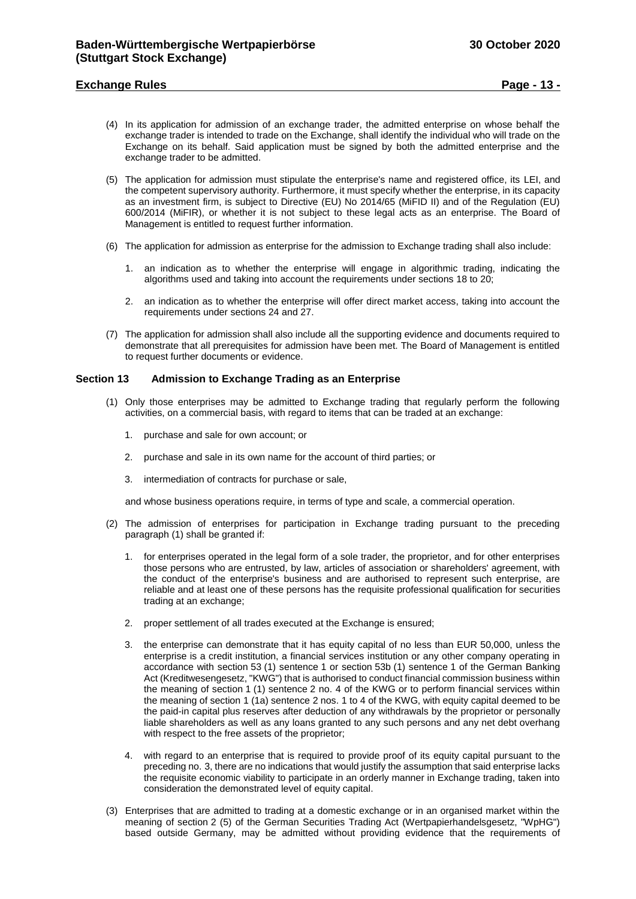## **Exchange Rules Page - 13 -**

- (4) In its application for admission of an exchange trader, the admitted enterprise on whose behalf the exchange trader is intended to trade on the Exchange, shall identify the individual who will trade on the Exchange on its behalf. Said application must be signed by both the admitted enterprise and the exchange trader to be admitted.
- (5) The application for admission must stipulate the enterprise's name and registered office, its LEI, and the competent supervisory authority. Furthermore, it must specify whether the enterprise, in its capacity as an investment firm, is subject to Directive (EU) No 2014/65 (MiFID II) and of the Regulation (EU) 600/2014 (MiFIR), or whether it is not subject to these legal acts as an enterprise. The Board of Management is entitled to request further information.
- (6) The application for admission as enterprise for the admission to Exchange trading shall also include:
	- 1. an indication as to whether the enterprise will engage in algorithmic trading, indicating the algorithms used and taking into account the requirements under sections 18 to 20;
	- 2. an indication as to whether the enterprise will offer direct market access, taking into account the requirements under sections 24 and 27.
- (7) The application for admission shall also include all the supporting evidence and documents required to demonstrate that all prerequisites for admission have been met. The Board of Management is entitled to request further documents or evidence.

## <span id="page-12-0"></span>**Section 13 Admission to Exchange Trading as an Enterprise**

- (1) Only those enterprises may be admitted to Exchange trading that regularly perform the following activities, on a commercial basis, with regard to items that can be traded at an exchange:
	- 1. purchase and sale for own account; or
	- 2. purchase and sale in its own name for the account of third parties; or
	- 3. intermediation of contracts for purchase or sale,

and whose business operations require, in terms of type and scale, a commercial operation.

- (2) The admission of enterprises for participation in Exchange trading pursuant to the preceding paragraph (1) shall be granted if:
	- for enterprises operated in the legal form of a sole trader, the proprietor, and for other enterprises those persons who are entrusted, by law, articles of association or shareholders' agreement, with the conduct of the enterprise's business and are authorised to represent such enterprise, are reliable and at least one of these persons has the requisite professional qualification for securities trading at an exchange;
	- 2. proper settlement of all trades executed at the Exchange is ensured;
	- 3. the enterprise can demonstrate that it has equity capital of no less than EUR 50,000, unless the enterprise is a credit institution, a financial services institution or any other company operating in accordance with section 53 (1) sentence 1 or section 53b (1) sentence 1 of the German Banking Act (Kreditwesengesetz, "KWG") that is authorised to conduct financial commission business within the meaning of section 1 (1) sentence 2 no. 4 of the KWG or to perform financial services within the meaning of section 1 (1a) sentence 2 nos. 1 to 4 of the KWG, with equity capital deemed to be the paid-in capital plus reserves after deduction of any withdrawals by the proprietor or personally liable shareholders as well as any loans granted to any such persons and any net debt overhang with respect to the free assets of the proprietor:
	- 4. with regard to an enterprise that is required to provide proof of its equity capital pursuant to the preceding no. 3, there are no indications that would justify the assumption that said enterprise lacks the requisite economic viability to participate in an orderly manner in Exchange trading, taken into consideration the demonstrated level of equity capital.
- (3) Enterprises that are admitted to trading at a domestic exchange or in an organised market within the meaning of section 2 (5) of the German Securities Trading Act (Wertpapierhandelsgesetz, "WpHG") based outside Germany, may be admitted without providing evidence that the requirements of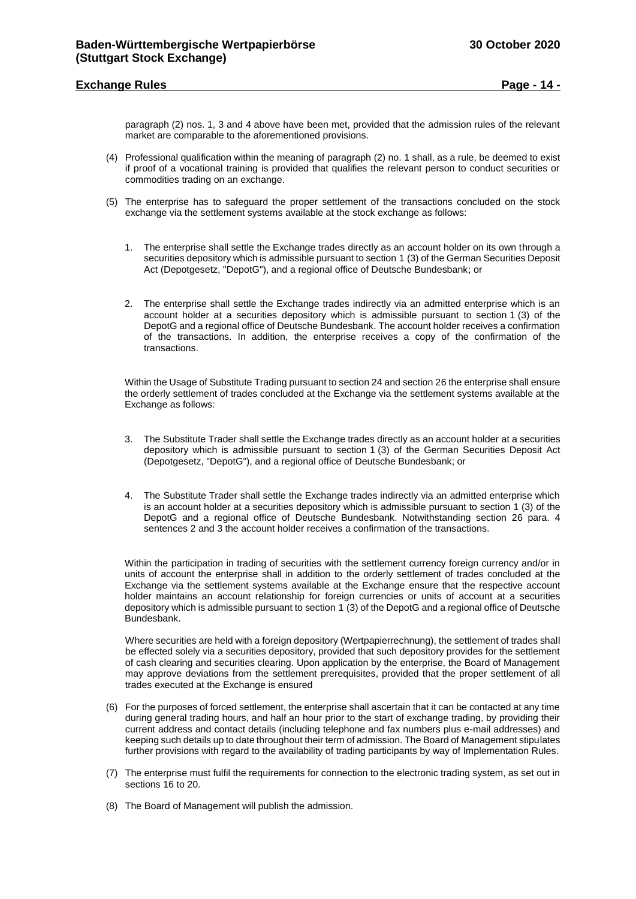## **Exchange Rules Page - 14 -**

paragraph (2) nos. 1, 3 and 4 above have been met, provided that the admission rules of the relevant market are comparable to the aforementioned provisions.

- (4) Professional qualification within the meaning of paragraph (2) no. 1 shall, as a rule, be deemed to exist if proof of a vocational training is provided that qualifies the relevant person to conduct securities or commodities trading on an exchange.
- (5) The enterprise has to safeguard the proper settlement of the transactions concluded on the stock exchange via the settlement systems available at the stock exchange as follows:
	- 1. The enterprise shall settle the Exchange trades directly as an account holder on its own through a securities depository which is admissible pursuant to section 1 (3) of the German Securities Deposit Act (Depotgesetz, "DepotG"), and a regional office of Deutsche Bundesbank; or
	- 2. The enterprise shall settle the Exchange trades indirectly via an admitted enterprise which is an account holder at a securities depository which is admissible pursuant to section 1 (3) of the DepotG and a regional office of Deutsche Bundesbank. The account holder receives a confirmation of the transactions. In addition, the enterprise receives a copy of the confirmation of the transactions.

Within the Usage of Substitute Trading pursuant to section 24 and section 26 the enterprise shall ensure the orderly settlement of trades concluded at the Exchange via the settlement systems available at the Exchange as follows:

- 3. The Substitute Trader shall settle the Exchange trades directly as an account holder at a securities depository which is admissible pursuant to section 1 (3) of the German Securities Deposit Act (Depotgesetz, "DepotG"), and a regional office of Deutsche Bundesbank; or
- 4. The Substitute Trader shall settle the Exchange trades indirectly via an admitted enterprise which is an account holder at a securities depository which is admissible pursuant to section 1 (3) of the DepotG and a regional office of Deutsche Bundesbank. Notwithstanding section 26 para. 4 sentences 2 and 3 the account holder receives a confirmation of the transactions.

Within the participation in trading of securities with the settlement currency foreign currency and/or in units of account the enterprise shall in addition to the orderly settlement of trades concluded at the Exchange via the settlement systems available at the Exchange ensure that the respective account holder maintains an account relationship for foreign currencies or units of account at a securities depository which is admissible pursuant to section 1 (3) of the DepotG and a regional office of Deutsche Bundesbank.

Where securities are held with a foreign depository (Wertpapierrechnung), the settlement of trades shall be effected solely via a securities depository, provided that such depository provides for the settlement of cash clearing and securities clearing. Upon application by the enterprise, the Board of Management may approve deviations from the settlement prerequisites, provided that the proper settlement of all trades executed at the Exchange is ensured

- (6) For the purposes of forced settlement, the enterprise shall ascertain that it can be contacted at any time during general trading hours, and half an hour prior to the start of exchange trading, by providing their current address and contact details (including telephone and fax numbers plus e-mail addresses) and keeping such details up to date throughout their term of admission. The Board of Management stipulates further provisions with regard to the availability of trading participants by way of Implementation Rules.
- (7) The enterprise must fulfil the requirements for connection to the electronic trading system, as set out in sections 16 to 20.
- (8) The Board of Management will publish the admission.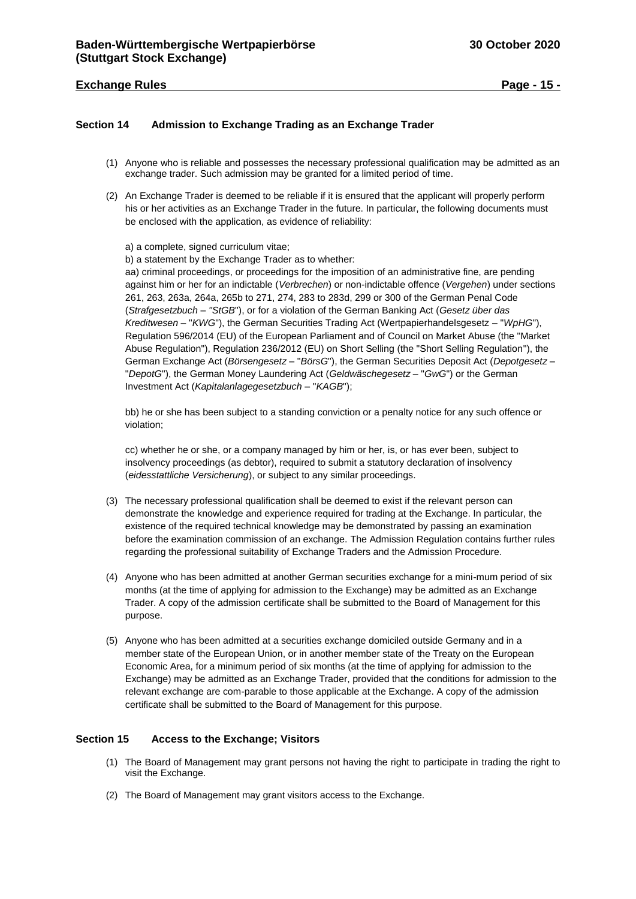## **Exchange Rules Page - 15 -**

## <span id="page-14-0"></span>**Section 14 Admission to Exchange Trading as an Exchange Trader**

- (1) Anyone who is reliable and possesses the necessary professional qualification may be admitted as an exchange trader. Such admission may be granted for a limited period of time.
- (2) An Exchange Trader is deemed to be reliable if it is ensured that the applicant will properly perform his or her activities as an Exchange Trader in the future. In particular, the following documents must be enclosed with the application, as evidence of reliability:

a) a complete, signed curriculum vitae;

b) a statement by the Exchange Trader as to whether:

aa) criminal proceedings, or proceedings for the imposition of an administrative fine, are pending against him or her for an indictable (*Verbrechen*) or non-indictable offence (*Vergehen*) under sections 261, 263, 263a, 264a, 265b to 271, 274, 283 to 283d, 299 or 300 of the German Penal Code (*Strafgesetzbuch* – *"StGB*"), or for a violation of the German Banking Act (*Gesetz über das Kreditwesen* – "*KWG*"), the German Securities Trading Act (Wertpapierhandelsgesetz – "*WpHG*"), Regulation 596/2014 (EU) of the European Parliament and of Council on Market Abuse (the "Market Abuse Regulation"), Regulation 236/2012 (EU) on Short Selling (the "Short Selling Regulation"), the German Exchange Act (*Börsengesetz* – "*BörsG*"), the German Securities Deposit Act (*Depotgesetz* – "*DepotG*"), the German Money Laundering Act (*Geldwäschegesetz* – "*GwG*") or the German Investment Act (*Kapitalanlagegesetzbuch* – "*KAGB*");

bb) he or she has been subject to a standing conviction or a penalty notice for any such offence or violation;

cc) whether he or she, or a company managed by him or her, is, or has ever been, subject to insolvency proceedings (as debtor), required to submit a statutory declaration of insolvency (*eidesstattliche Versicherung*), or subject to any similar proceedings.

- (3) The necessary professional qualification shall be deemed to exist if the relevant person can demonstrate the knowledge and experience required for trading at the Exchange. In particular, the existence of the required technical knowledge may be demonstrated by passing an examination before the examination commission of an exchange. The Admission Regulation contains further rules regarding the professional suitability of Exchange Traders and the Admission Procedure.
- (4) Anyone who has been admitted at another German securities exchange for a mini-mum period of six months (at the time of applying for admission to the Exchange) may be admitted as an Exchange Trader. A copy of the admission certificate shall be submitted to the Board of Management for this purpose.
- (5) Anyone who has been admitted at a securities exchange domiciled outside Germany and in a member state of the European Union, or in another member state of the Treaty on the European Economic Area, for a minimum period of six months (at the time of applying for admission to the Exchange) may be admitted as an Exchange Trader, provided that the conditions for admission to the relevant exchange are com-parable to those applicable at the Exchange. A copy of the admission certificate shall be submitted to the Board of Management for this purpose.

## <span id="page-14-1"></span>**Section 15 Access to the Exchange; Visitors**

- (1) The Board of Management may grant persons not having the right to participate in trading the right to visit the Exchange.
- (2) The Board of Management may grant visitors access to the Exchange.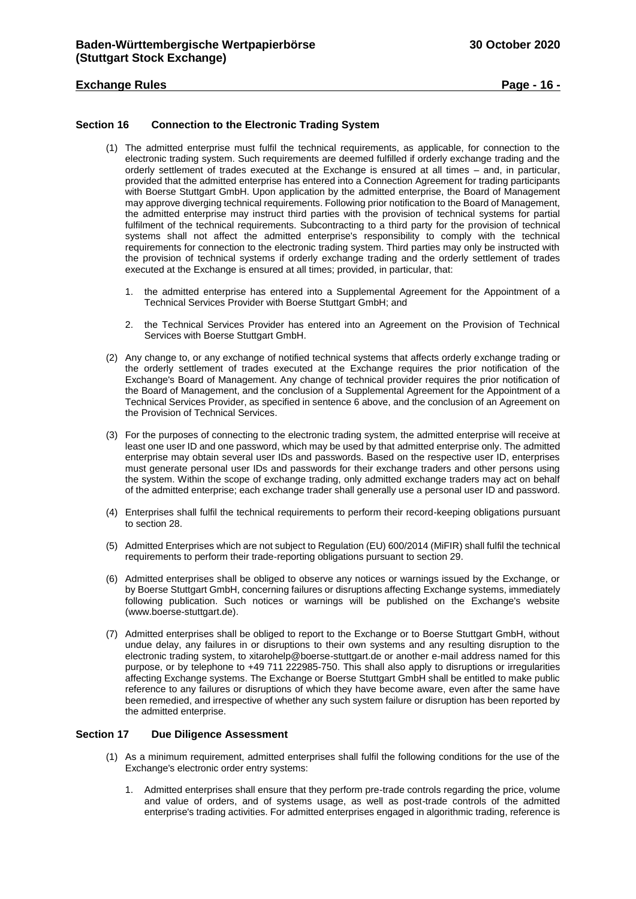## **Exchange Rules Page - 16 -**

## <span id="page-15-0"></span>**Section 16 Connection to the Electronic Trading System**

- (1) The admitted enterprise must fulfil the technical requirements, as applicable, for connection to the electronic trading system. Such requirements are deemed fulfilled if orderly exchange trading and the orderly settlement of trades executed at the Exchange is ensured at all times – and, in particular, provided that the admitted enterprise has entered into a Connection Agreement for trading participants with Boerse Stuttgart GmbH. Upon application by the admitted enterprise, the Board of Management may approve diverging technical requirements. Following prior notification to the Board of Management, the admitted enterprise may instruct third parties with the provision of technical systems for partial fulfilment of the technical requirements. Subcontracting to a third party for the provision of technical systems shall not affect the admitted enterprise's responsibility to comply with the technical requirements for connection to the electronic trading system. Third parties may only be instructed with the provision of technical systems if orderly exchange trading and the orderly settlement of trades executed at the Exchange is ensured at all times; provided, in particular, that:
	- 1. the admitted enterprise has entered into a Supplemental Agreement for the Appointment of a Technical Services Provider with Boerse Stuttgart GmbH; and
	- 2. the Technical Services Provider has entered into an Agreement on the Provision of Technical Services with Boerse Stuttgart GmbH.
- (2) Any change to, or any exchange of notified technical systems that affects orderly exchange trading or the orderly settlement of trades executed at the Exchange requires the prior notification of the Exchange's Board of Management. Any change of technical provider requires the prior notification of the Board of Management, and the conclusion of a Supplemental Agreement for the Appointment of a Technical Services Provider, as specified in sentence 6 above, and the conclusion of an Agreement on the Provision of Technical Services.
- (3) For the purposes of connecting to the electronic trading system, the admitted enterprise will receive at least one user ID and one password, which may be used by that admitted enterprise only. The admitted enterprise may obtain several user IDs and passwords. Based on the respective user ID, enterprises must generate personal user IDs and passwords for their exchange traders and other persons using the system. Within the scope of exchange trading, only admitted exchange traders may act on behalf of the admitted enterprise; each exchange trader shall generally use a personal user ID and password.
- (4) Enterprises shall fulfil the technical requirements to perform their record-keeping obligations pursuant to section 28.
- (5) Admitted Enterprises which are not subject to Regulation (EU) 600/2014 (MiFIR) shall fulfil the technical requirements to perform their trade-reporting obligations pursuant to section 29.
- (6) Admitted enterprises shall be obliged to observe any notices or warnings issued by the Exchange, or by Boerse Stuttgart GmbH, concerning failures or disruptions affecting Exchange systems, immediately following publication. Such notices or warnings will be published on the Exchange's website (www.boerse-stuttgart.de).
- (7) Admitted enterprises shall be obliged to report to the Exchange or to Boerse Stuttgart GmbH, without undue delay, any failures in or disruptions to their own systems and any resulting disruption to the electronic trading system, to xitarohelp@boerse-stuttgart.de or another e-mail address named for this purpose, or by telephone to +49 711 222985-750. This shall also apply to disruptions or irregularities affecting Exchange systems. The Exchange or Boerse Stuttgart GmbH shall be entitled to make public reference to any failures or disruptions of which they have become aware, even after the same have been remedied, and irrespective of whether any such system failure or disruption has been reported by the admitted enterprise.

#### <span id="page-15-1"></span>**Section 17 Due Diligence Assessment**

- (1) As a minimum requirement, admitted enterprises shall fulfil the following conditions for the use of the Exchange's electronic order entry systems:
	- 1. Admitted enterprises shall ensure that they perform pre-trade controls regarding the price, volume and value of orders, and of systems usage, as well as post-trade controls of the admitted enterprise's trading activities. For admitted enterprises engaged in algorithmic trading, reference is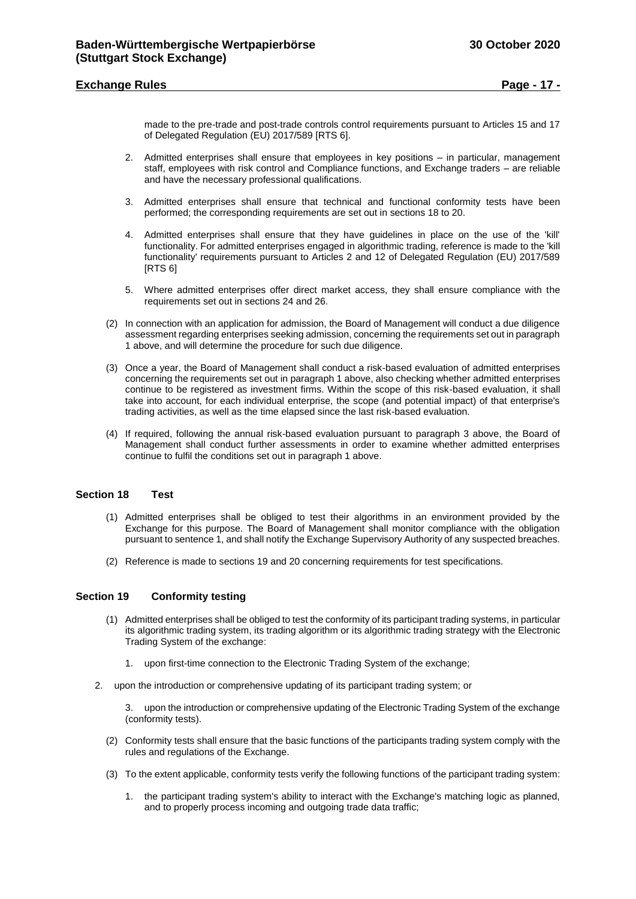## **Exchange Rules Page - 17 -**

made to the pre-trade and post-trade controls control requirements pursuant to Articles 15 and 17 of Delegated Regulation (EU) 2017/589 [RTS 6].

- 2. Admitted enterprises shall ensure that employees in key positions in particular, management staff, employees with risk control and Compliance functions, and Exchange traders – are reliable and have the necessary professional qualifications.
- 3. Admitted enterprises shall ensure that technical and functional conformity tests have been performed; the corresponding requirements are set out in sections 18 to 20.
- 4. Admitted enterprises shall ensure that they have guidelines in place on the use of the 'kill' functionality. For admitted enterprises engaged in algorithmic trading, reference is made to the 'kill functionality' requirements pursuant to Articles 2 and 12 of Delegated Regulation (EU) 2017/589 [RTS 6]
- 5. Where admitted enterprises offer direct market access, they shall ensure compliance with the requirements set out in sections 24 and 26.
- (2) In connection with an application for admission, the Board of Management will conduct a due diligence assessment regarding enterprises seeking admission, concerning the requirements set out in paragraph 1 above, and will determine the procedure for such due diligence.
- (3) Once a year, the Board of Management shall conduct a risk-based evaluation of admitted enterprises concerning the requirements set out in paragraph 1 above, also checking whether admitted enterprises continue to be registered as investment firms. Within the scope of this risk-based evaluation, it shall take into account, for each individual enterprise, the scope (and potential impact) of that enterprise's trading activities, as well as the time elapsed since the last risk-based evaluation.
- (4) If required, following the annual risk-based evaluation pursuant to paragraph 3 above, the Board of Management shall conduct further assessments in order to examine whether admitted enterprises continue to fulfil the conditions set out in paragraph 1 above.

## <span id="page-16-0"></span>**Section 18 Test**

- (1) Admitted enterprises shall be obliged to test their algorithms in an environment provided by the Exchange for this purpose. The Board of Management shall monitor compliance with the obligation pursuant to sentence 1, and shall notify the Exchange Supervisory Authority of any suspected breaches.
- (2) Reference is made to sections 19 and 20 concerning requirements for test specifications.

## <span id="page-16-1"></span>**Section 19 Conformity testing**

- (1) Admitted enterprises shall be obliged to test the conformity of its participant trading systems, in particular its algorithmic trading system, its trading algorithm or its algorithmic trading strategy with the Electronic Trading System of the exchange:
	- 1. upon first-time connection to the Electronic Trading System of the exchange;
- 2. upon the introduction or comprehensive updating of its participant trading system; or
	- 3. upon the introduction or comprehensive updating of the Electronic Trading System of the exchange (conformity tests).
	- (2) Conformity tests shall ensure that the basic functions of the participants trading system comply with the rules and regulations of the Exchange.
	- (3) To the extent applicable, conformity tests verify the following functions of the participant trading system:
		- 1. the participant trading system's ability to interact with the Exchange's matching logic as planned, and to properly process incoming and outgoing trade data traffic;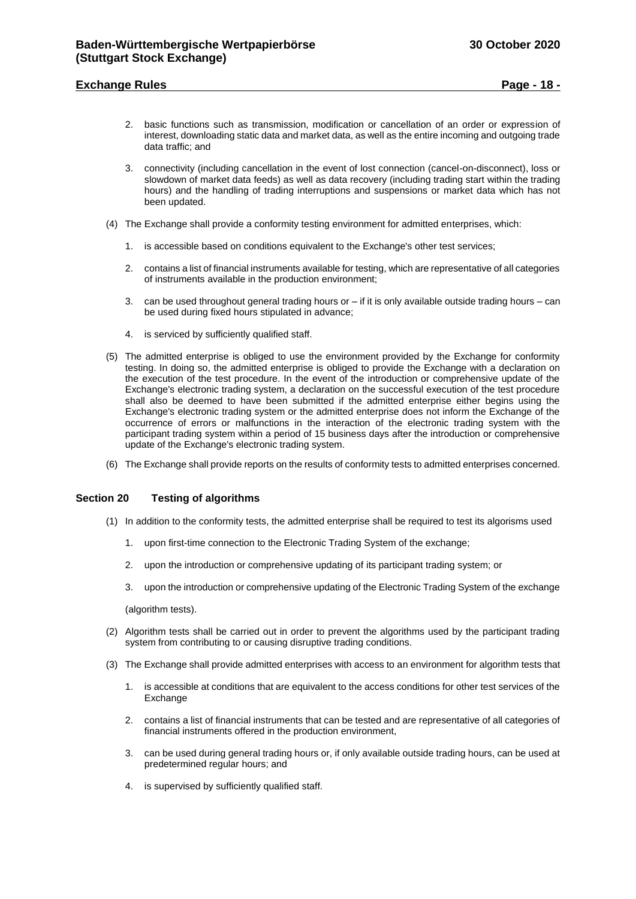## **Exchange Rules Page - 18 -**

- 2. basic functions such as transmission, modification or cancellation of an order or expression of interest, downloading static data and market data, as well as the entire incoming and outgoing trade data traffic; and
- 3. connectivity (including cancellation in the event of lost connection (cancel-on-disconnect), loss or slowdown of market data feeds) as well as data recovery (including trading start within the trading hours) and the handling of trading interruptions and suspensions or market data which has not been updated.
- (4) The Exchange shall provide a conformity testing environment for admitted enterprises, which:
	- 1. is accessible based on conditions equivalent to the Exchange's other test services;
	- 2. contains a list of financial instruments available for testing, which are representative of all categories of instruments available in the production environment;
	- 3. can be used throughout general trading hours or  $-$  if it is only available outside trading hours  $-$  can be used during fixed hours stipulated in advance:
	- 4. is serviced by sufficiently qualified staff.
- (5) The admitted enterprise is obliged to use the environment provided by the Exchange for conformity testing. In doing so, the admitted enterprise is obliged to provide the Exchange with a declaration on the execution of the test procedure. In the event of the introduction or comprehensive update of the Exchange's electronic trading system, a declaration on the successful execution of the test procedure shall also be deemed to have been submitted if the admitted enterprise either begins using the Exchange's electronic trading system or the admitted enterprise does not inform the Exchange of the occurrence of errors or malfunctions in the interaction of the electronic trading system with the participant trading system within a period of 15 business days after the introduction or comprehensive update of the Exchange's electronic trading system.
- (6) The Exchange shall provide reports on the results of conformity tests to admitted enterprises concerned.

## <span id="page-17-0"></span>**Section 20 Testing of algorithms**

- (1) In addition to the conformity tests, the admitted enterprise shall be required to test its algorisms used
	- 1. upon first-time connection to the Electronic Trading System of the exchange;
	- 2. upon the introduction or comprehensive updating of its participant trading system; or
	- 3. upon the introduction or comprehensive updating of the Electronic Trading System of the exchange

(algorithm tests).

- (2) Algorithm tests shall be carried out in order to prevent the algorithms used by the participant trading system from contributing to or causing disruptive trading conditions.
- (3) The Exchange shall provide admitted enterprises with access to an environment for algorithm tests that
	- 1. is accessible at conditions that are equivalent to the access conditions for other test services of the Exchange
	- 2. contains a list of financial instruments that can be tested and are representative of all categories of financial instruments offered in the production environment,
	- 3. can be used during general trading hours or, if only available outside trading hours, can be used at predetermined regular hours; and
	- 4. is supervised by sufficiently qualified staff.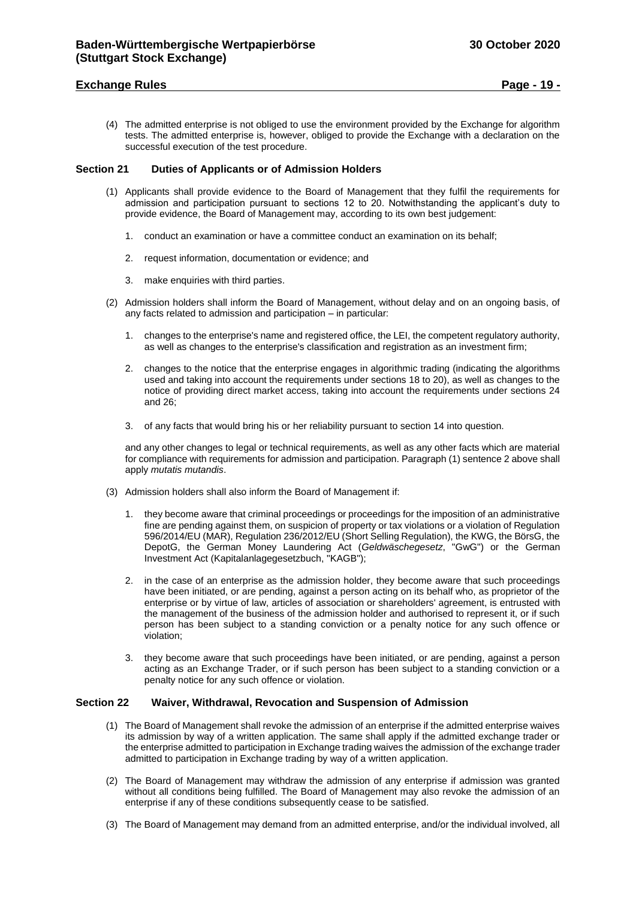## **Exchange Rules Page - 19 -**

(4) The admitted enterprise is not obliged to use the environment provided by the Exchange for algorithm tests. The admitted enterprise is, however, obliged to provide the Exchange with a declaration on the successful execution of the test procedure.

## <span id="page-18-0"></span>**Section 21 Duties of Applicants or of Admission Holders**

- (1) Applicants shall provide evidence to the Board of Management that they fulfil the requirements for admission and participation pursuant to sections 12 to 20. Notwithstanding the applicant's duty to provide evidence, the Board of Management may, according to its own best judgement:
	- 1. conduct an examination or have a committee conduct an examination on its behalf;
	- 2. request information, documentation or evidence; and
	- 3. make enquiries with third parties.
- (2) Admission holders shall inform the Board of Management, without delay and on an ongoing basis, of any facts related to admission and participation – in particular:
	- 1. changes to the enterprise's name and registered office, the LEI, the competent regulatory authority, as well as changes to the enterprise's classification and registration as an investment firm;
	- 2. changes to the notice that the enterprise engages in algorithmic trading (indicating the algorithms used and taking into account the requirements under sections 18 to 20), as well as changes to the notice of providing direct market access, taking into account the requirements under sections 24 and 26;
	- 3. of any facts that would bring his or her reliability pursuant to section 14 into question.

and any other changes to legal or technical requirements, as well as any other facts which are material for compliance with requirements for admission and participation. Paragraph (1) sentence 2 above shall apply *mutatis mutandis*.

- (3) Admission holders shall also inform the Board of Management if:
	- 1. they become aware that criminal proceedings or proceedings for the imposition of an administrative fine are pending against them, on suspicion of property or tax violations or a violation of Regulation 596/2014/EU (MAR), Regulation 236/2012/EU (Short Selling Regulation), the KWG, the BörsG, the DepotG, the German Money Laundering Act (*Geldwäschegesetz*, "GwG") or the German Investment Act (Kapitalanlagegesetzbuch, "KAGB");
	- 2. in the case of an enterprise as the admission holder, they become aware that such proceedings have been initiated, or are pending, against a person acting on its behalf who, as proprietor of the enterprise or by virtue of law, articles of association or shareholders' agreement, is entrusted with the management of the business of the admission holder and authorised to represent it, or if such person has been subject to a standing conviction or a penalty notice for any such offence or violation;
	- 3. they become aware that such proceedings have been initiated, or are pending, against a person acting as an Exchange Trader, or if such person has been subject to a standing conviction or a penalty notice for any such offence or violation.

## <span id="page-18-1"></span>**Section 22 Waiver, Withdrawal, Revocation and Suspension of Admission**

- (1) The Board of Management shall revoke the admission of an enterprise if the admitted enterprise waives its admission by way of a written application. The same shall apply if the admitted exchange trader or the enterprise admitted to participation in Exchange trading waives the admission of the exchange trader admitted to participation in Exchange trading by way of a written application.
- (2) The Board of Management may withdraw the admission of any enterprise if admission was granted without all conditions being fulfilled. The Board of Management may also revoke the admission of an enterprise if any of these conditions subsequently cease to be satisfied.
- (3) The Board of Management may demand from an admitted enterprise, and/or the individual involved, all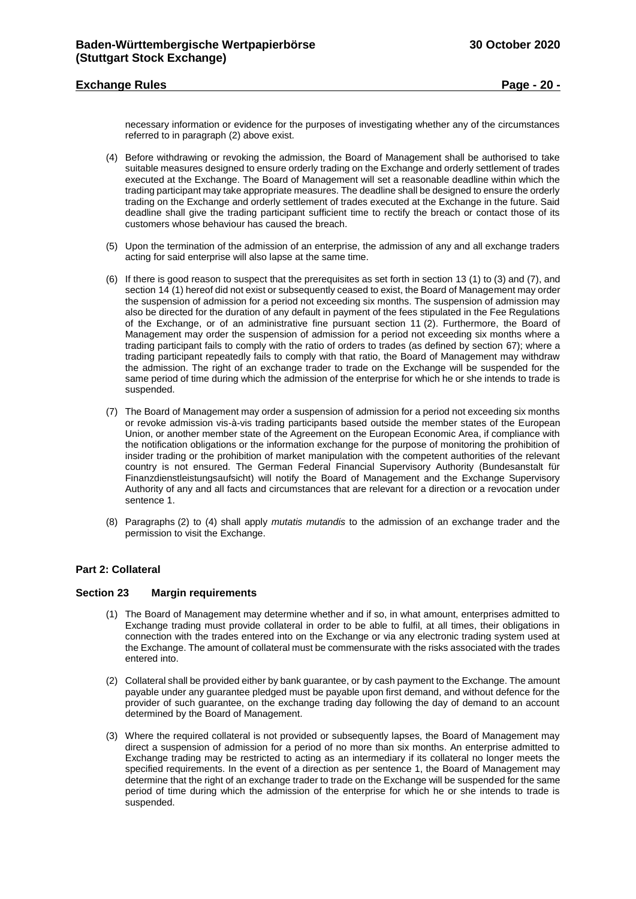## **Exchange Rules Page - 20 -**

necessary information or evidence for the purposes of investigating whether any of the circumstances referred to in paragraph (2) above exist.

- (4) Before withdrawing or revoking the admission, the Board of Management shall be authorised to take suitable measures designed to ensure orderly trading on the Exchange and orderly settlement of trades executed at the Exchange. The Board of Management will set a reasonable deadline within which the trading participant may take appropriate measures. The deadline shall be designed to ensure the orderly trading on the Exchange and orderly settlement of trades executed at the Exchange in the future. Said deadline shall give the trading participant sufficient time to rectify the breach or contact those of its customers whose behaviour has caused the breach.
- (5) Upon the termination of the admission of an enterprise, the admission of any and all exchange traders acting for said enterprise will also lapse at the same time.
- (6) If there is good reason to suspect that the prerequisites as set forth in section 13 (1) to (3) and (7), and section 14 (1) hereof did not exist or subsequently ceased to exist, the Board of Management may order the suspension of admission for a period not exceeding six months. The suspension of admission may also be directed for the duration of any default in payment of the fees stipulated in the Fee Regulations of the Exchange, or of an administrative fine pursuant section 11 (2). Furthermore, the Board of Management may order the suspension of admission for a period not exceeding six months where a trading participant fails to comply with the ratio of orders to trades (as defined by section 67); where a trading participant repeatedly fails to comply with that ratio, the Board of Management may withdraw the admission. The right of an exchange trader to trade on the Exchange will be suspended for the same period of time during which the admission of the enterprise for which he or she intends to trade is suspended.
- (7) The Board of Management may order a suspension of admission for a period not exceeding six months or revoke admission vis-à-vis trading participants based outside the member states of the European Union, or another member state of the Agreement on the European Economic Area, if compliance with the notification obligations or the information exchange for the purpose of monitoring the prohibition of insider trading or the prohibition of market manipulation with the competent authorities of the relevant country is not ensured. The German Federal Financial Supervisory Authority (Bundesanstalt für Finanzdienstleistungsaufsicht) will notify the Board of Management and the Exchange Supervisory Authority of any and all facts and circumstances that are relevant for a direction or a revocation under sentence 1.
- (8) Paragraphs (2) to (4) shall apply *mutatis mutandis* to the admission of an exchange trader and the permission to visit the Exchange.

## <span id="page-19-0"></span>**Part 2: Collateral**

#### <span id="page-19-1"></span>**Section 23 Margin requirements**

- (1) The Board of Management may determine whether and if so, in what amount, enterprises admitted to Exchange trading must provide collateral in order to be able to fulfil, at all times, their obligations in connection with the trades entered into on the Exchange or via any electronic trading system used at the Exchange. The amount of collateral must be commensurate with the risks associated with the trades entered into.
- (2) Collateral shall be provided either by bank guarantee, or by cash payment to the Exchange. The amount payable under any guarantee pledged must be payable upon first demand, and without defence for the provider of such guarantee, on the exchange trading day following the day of demand to an account determined by the Board of Management.
- (3) Where the required collateral is not provided or subsequently lapses, the Board of Management may direct a suspension of admission for a period of no more than six months. An enterprise admitted to Exchange trading may be restricted to acting as an intermediary if its collateral no longer meets the specified requirements. In the event of a direction as per sentence 1, the Board of Management may determine that the right of an exchange trader to trade on the Exchange will be suspended for the same period of time during which the admission of the enterprise for which he or she intends to trade is suspended.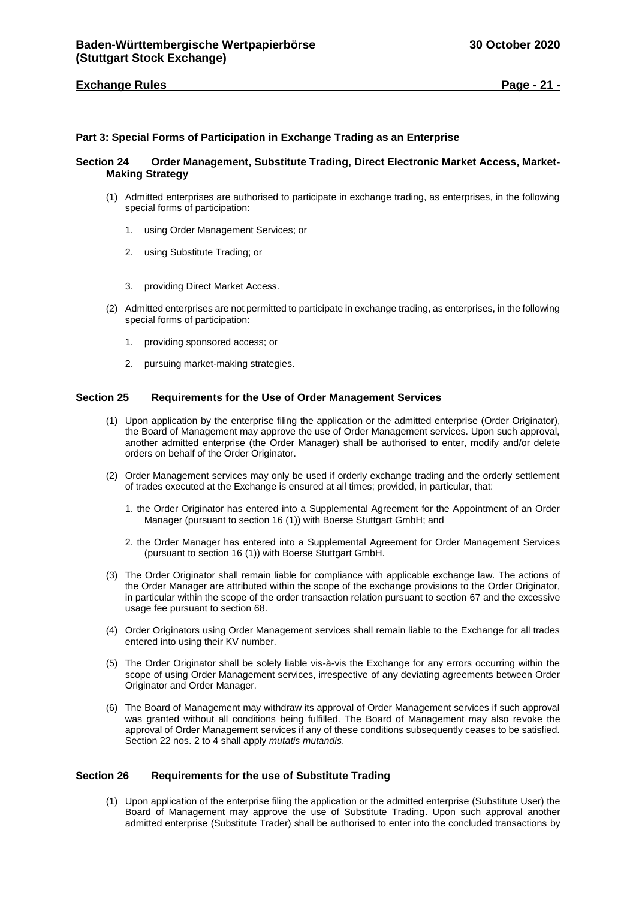## **Exchange Rules Page - 21 -**

## <span id="page-20-0"></span>**Part 3: Special Forms of Participation in Exchange Trading as an Enterprise**

## <span id="page-20-1"></span>**Section 24 Order Management, Substitute Trading, Direct Electronic Market Access, Market-Making Strategy**

- (1) Admitted enterprises are authorised to participate in exchange trading, as enterprises, in the following special forms of participation:
	- 1. using Order Management Services; or
	- 2. using Substitute Trading; or
	- 3. providing Direct Market Access.
- (2) Admitted enterprises are not permitted to participate in exchange trading, as enterprises, in the following special forms of participation:
	- 1. providing sponsored access; or
	- 2. pursuing market-making strategies.

## <span id="page-20-2"></span>**Section 25 Requirements for the Use of Order Management Services**

- (1) Upon application by the enterprise filing the application or the admitted enterprise (Order Originator), the Board of Management may approve the use of Order Management services. Upon such approval, another admitted enterprise (the Order Manager) shall be authorised to enter, modify and/or delete orders on behalf of the Order Originator.
- (2) Order Management services may only be used if orderly exchange trading and the orderly settlement of trades executed at the Exchange is ensured at all times; provided, in particular, that:
	- 1. the Order Originator has entered into a Supplemental Agreement for the Appointment of an Order Manager (pursuant to section 16 (1)) with Boerse Stuttgart GmbH; and
	- 2. the Order Manager has entered into a Supplemental Agreement for Order Management Services (pursuant to section 16 (1)) with Boerse Stuttgart GmbH.
- (3) The Order Originator shall remain liable for compliance with applicable exchange law. The actions of the Order Manager are attributed within the scope of the exchange provisions to the Order Originator, in particular within the scope of the order transaction relation pursuant to section 67 and the excessive usage fee pursuant to section 68.
- (4) Order Originators using Order Management services shall remain liable to the Exchange for all trades entered into using their KV number.
- (5) The Order Originator shall be solely liable vis-à-vis the Exchange for any errors occurring within the scope of using Order Management services, irrespective of any deviating agreements between Order Originator and Order Manager.
- (6) The Board of Management may withdraw its approval of Order Management services if such approval was granted without all conditions being fulfilled. The Board of Management may also revoke the approval of Order Management services if any of these conditions subsequently ceases to be satisfied. Section 22 nos. 2 to 4 shall apply *mutatis mutandis*.

#### <span id="page-20-3"></span>**Section 26 Requirements for the use of Substitute Trading**

(1) Upon application of the enterprise filing the application or the admitted enterprise (Substitute User) the Board of Management may approve the use of Substitute Trading. Upon such approval another admitted enterprise (Substitute Trader) shall be authorised to enter into the concluded transactions by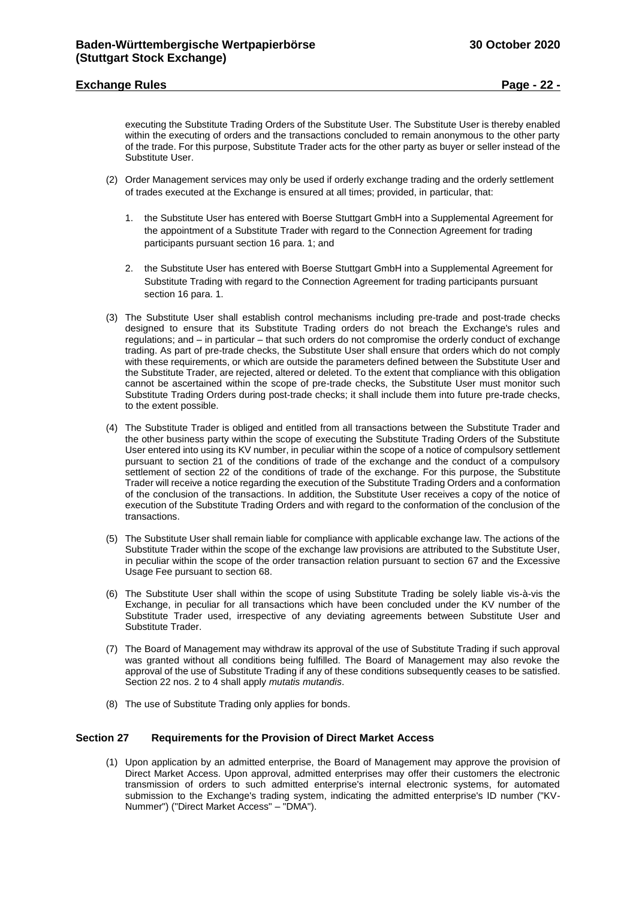## **Exchange Rules Page - 22 -**

executing the Substitute Trading Orders of the Substitute User. The Substitute User is thereby enabled within the executing of orders and the transactions concluded to remain anonymous to the other party of the trade. For this purpose, Substitute Trader acts for the other party as buyer or seller instead of the Substitute User.

- (2) Order Management services may only be used if orderly exchange trading and the orderly settlement of trades executed at the Exchange is ensured at all times; provided, in particular, that:
	- 1. the Substitute User has entered with Boerse Stuttgart GmbH into a Supplemental Agreement for the appointment of a Substitute Trader with regard to the Connection Agreement for trading participants pursuant section 16 para. 1; and
	- 2. the Substitute User has entered with Boerse Stuttgart GmbH into a Supplemental Agreement for Substitute Trading with regard to the Connection Agreement for trading participants pursuant section 16 para. 1.
- (3) The Substitute User shall establish control mechanisms including pre-trade and post-trade checks designed to ensure that its Substitute Trading orders do not breach the Exchange's rules and regulations; and – in particular – that such orders do not compromise the orderly conduct of exchange trading. As part of pre-trade checks, the Substitute User shall ensure that orders which do not comply with these requirements, or which are outside the parameters defined between the Substitute User and the Substitute Trader, are rejected, altered or deleted. To the extent that compliance with this obligation cannot be ascertained within the scope of pre-trade checks, the Substitute User must monitor such Substitute Trading Orders during post-trade checks; it shall include them into future pre-trade checks, to the extent possible.
- (4) The Substitute Trader is obliged and entitled from all transactions between the Substitute Trader and the other business party within the scope of executing the Substitute Trading Orders of the Substitute User entered into using its KV number, in peculiar within the scope of a notice of compulsory settlement pursuant to section 21 of the conditions of trade of the exchange and the conduct of a compulsory settlement of section 22 of the conditions of trade of the exchange. For this purpose, the Substitute Trader will receive a notice regarding the execution of the Substitute Trading Orders and a conformation of the conclusion of the transactions. In addition, the Substitute User receives a copy of the notice of execution of the Substitute Trading Orders and with regard to the conformation of the conclusion of the transactions.
- (5) The Substitute User shall remain liable for compliance with applicable exchange law. The actions of the Substitute Trader within the scope of the exchange law provisions are attributed to the Substitute User, in peculiar within the scope of the order transaction relation pursuant to section 67 and the Excessive Usage Fee pursuant to section 68.
- (6) The Substitute User shall within the scope of using Substitute Trading be solely liable vis-à-vis the Exchange, in peculiar for all transactions which have been concluded under the KV number of the Substitute Trader used, irrespective of any deviating agreements between Substitute User and Substitute Trader.
- (7) The Board of Management may withdraw its approval of the use of Substitute Trading if such approval was granted without all conditions being fulfilled. The Board of Management may also revoke the approval of the use of Substitute Trading if any of these conditions subsequently ceases to be satisfied. Section 22 nos. 2 to 4 shall apply *mutatis mutandis*.
- (8) The use of Substitute Trading only applies for bonds.

## <span id="page-21-0"></span>**Section 27 Requirements for the Provision of Direct Market Access**

(1) Upon application by an admitted enterprise, the Board of Management may approve the provision of Direct Market Access. Upon approval, admitted enterprises may offer their customers the electronic transmission of orders to such admitted enterprise's internal electronic systems, for automated submission to the Exchange's trading system, indicating the admitted enterprise's ID number ("KV-Nummer") ("Direct Market Access" – "DMA").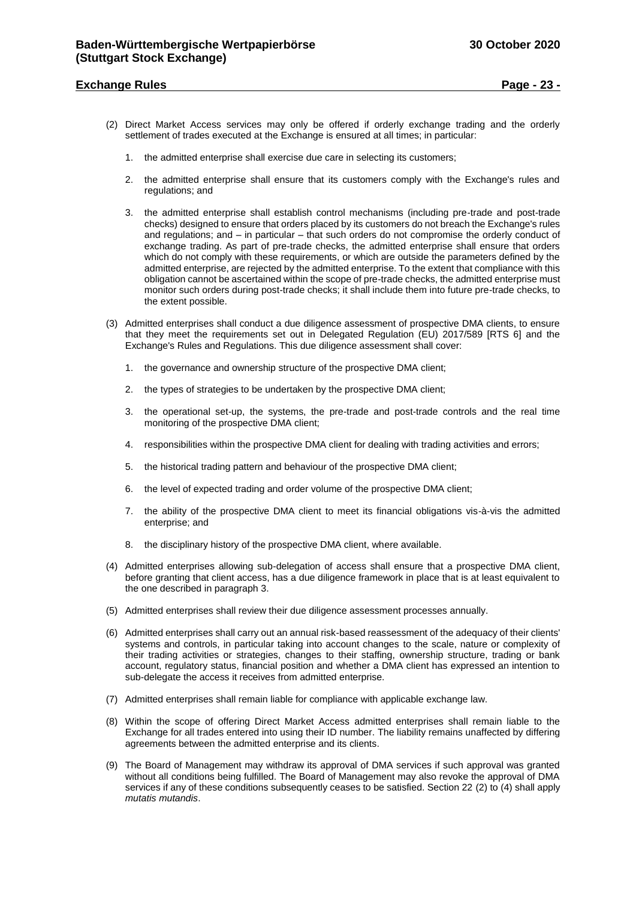## **Exchange Rules Page - 23 -**

- (2) Direct Market Access services may only be offered if orderly exchange trading and the orderly settlement of trades executed at the Exchange is ensured at all times; in particular:
	- 1. the admitted enterprise shall exercise due care in selecting its customers;
	- 2. the admitted enterprise shall ensure that its customers comply with the Exchange's rules and regulations; and
	- 3. the admitted enterprise shall establish control mechanisms (including pre-trade and post-trade checks) designed to ensure that orders placed by its customers do not breach the Exchange's rules and regulations; and – in particular – that such orders do not compromise the orderly conduct of exchange trading. As part of pre-trade checks, the admitted enterprise shall ensure that orders which do not comply with these requirements, or which are outside the parameters defined by the admitted enterprise, are rejected by the admitted enterprise. To the extent that compliance with this obligation cannot be ascertained within the scope of pre-trade checks, the admitted enterprise must monitor such orders during post-trade checks; it shall include them into future pre-trade checks, to the extent possible.
- (3) Admitted enterprises shall conduct a due diligence assessment of prospective DMA clients, to ensure that they meet the requirements set out in Delegated Regulation (EU) 2017/589 [RTS 6] and the Exchange's Rules and Regulations. This due diligence assessment shall cover:
	- 1. the governance and ownership structure of the prospective DMA client;
	- 2. the types of strategies to be undertaken by the prospective DMA client;
	- 3. the operational set-up, the systems, the pre-trade and post-trade controls and the real time monitoring of the prospective DMA client;
	- 4. responsibilities within the prospective DMA client for dealing with trading activities and errors;
	- 5. the historical trading pattern and behaviour of the prospective DMA client;
	- 6. the level of expected trading and order volume of the prospective DMA client;
	- 7. the ability of the prospective DMA client to meet its financial obligations vis-à-vis the admitted enterprise; and
	- 8. the disciplinary history of the prospective DMA client, where available.
- (4) Admitted enterprises allowing sub-delegation of access shall ensure that a prospective DMA client, before granting that client access, has a due diligence framework in place that is at least equivalent to the one described in paragraph 3.
- (5) Admitted enterprises shall review their due diligence assessment processes annually.
- (6) Admitted enterprises shall carry out an annual risk-based reassessment of the adequacy of their clients' systems and controls, in particular taking into account changes to the scale, nature or complexity of their trading activities or strategies, changes to their staffing, ownership structure, trading or bank account, regulatory status, financial position and whether a DMA client has expressed an intention to sub-delegate the access it receives from admitted enterprise.
- (7) Admitted enterprises shall remain liable for compliance with applicable exchange law.
- (8) Within the scope of offering Direct Market Access admitted enterprises shall remain liable to the Exchange for all trades entered into using their ID number. The liability remains unaffected by differing agreements between the admitted enterprise and its clients.
- (9) The Board of Management may withdraw its approval of DMA services if such approval was granted without all conditions being fulfilled. The Board of Management may also revoke the approval of DMA services if any of these conditions subsequently ceases to be satisfied. Section 22 (2) to (4) shall apply *mutatis mutandis*.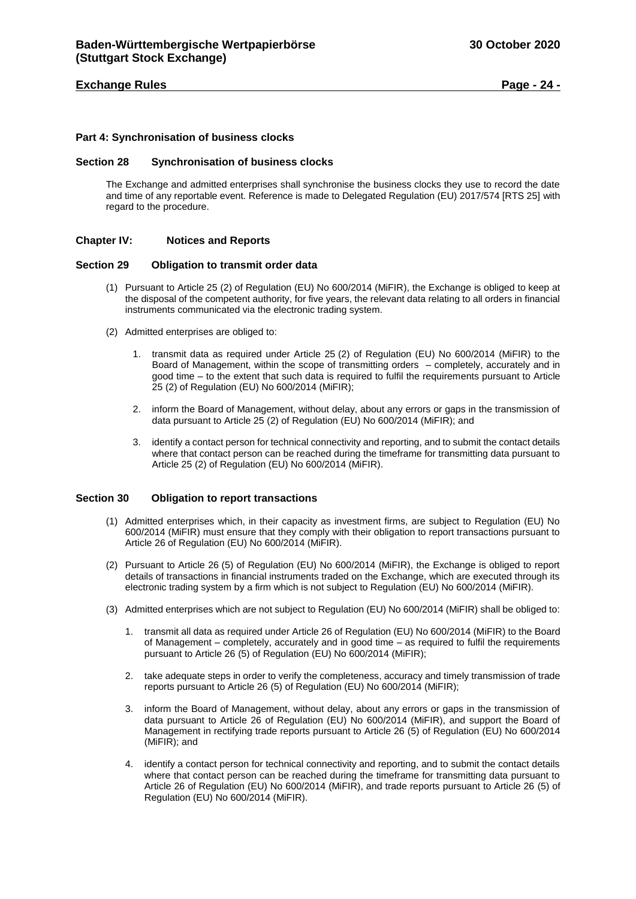## **Exchange Rules Page - 24 -**

#### <span id="page-23-0"></span>**Part 4: Synchronisation of business clocks**

#### <span id="page-23-1"></span>**Section 28 Synchronisation of business clocks**

The Exchange and admitted enterprises shall synchronise the business clocks they use to record the date and time of any reportable event. Reference is made to Delegated Regulation (EU) 2017/574 [RTS 25] with regard to the procedure.

## <span id="page-23-2"></span>**Chapter IV: Notices and Reports**

#### <span id="page-23-3"></span>**Section 29 Obligation to transmit order data**

- (1) Pursuant to Article 25 (2) of Regulation (EU) No 600/2014 (MiFIR), the Exchange is obliged to keep at the disposal of the competent authority, for five years, the relevant data relating to all orders in financial instruments communicated via the electronic trading system.
- (2) Admitted enterprises are obliged to:
	- 1. transmit data as required under Article 25 (2) of Regulation (EU) No 600/2014 (MiFIR) to the Board of Management, within the scope of transmitting orders – completely, accurately and in good time – to the extent that such data is required to fulfil the requirements pursuant to Article 25 (2) of Regulation (EU) No 600/2014 (MiFIR);
	- 2. inform the Board of Management, without delay, about any errors or gaps in the transmission of data pursuant to Article 25 (2) of Regulation (EU) No 600/2014 (MiFIR); and
	- 3. identify a contact person for technical connectivity and reporting, and to submit the contact details where that contact person can be reached during the timeframe for transmitting data pursuant to Article 25 (2) of Regulation (EU) No 600/2014 (MiFIR).

## <span id="page-23-4"></span>**Section 30 Obligation to report transactions**

- (1) Admitted enterprises which, in their capacity as investment firms, are subject to Regulation (EU) No 600/2014 (MiFIR) must ensure that they comply with their obligation to report transactions pursuant to Article 26 of Regulation (EU) No 600/2014 (MiFIR).
- (2) Pursuant to Article 26 (5) of Regulation (EU) No 600/2014 (MiFIR), the Exchange is obliged to report details of transactions in financial instruments traded on the Exchange, which are executed through its electronic trading system by a firm which is not subject to Regulation (EU) No 600/2014 (MiFIR).
- (3) Admitted enterprises which are not subject to Regulation (EU) No 600/2014 (MiFIR) shall be obliged to:
	- 1. transmit all data as required under Article 26 of Regulation (EU) No 600/2014 (MiFIR) to the Board of Management – completely, accurately and in good time – as required to fulfil the requirements pursuant to Article 26 (5) of Regulation (EU) No 600/2014 (MiFIR);
	- 2. take adequate steps in order to verify the completeness, accuracy and timely transmission of trade reports pursuant to Article 26 (5) of Regulation (EU) No 600/2014 (MiFIR);
	- 3. inform the Board of Management, without delay, about any errors or gaps in the transmission of data pursuant to Article 26 of Regulation (EU) No 600/2014 (MiFIR), and support the Board of Management in rectifying trade reports pursuant to Article 26 (5) of Regulation (EU) No 600/2014 (MiFIR); and
	- identify a contact person for technical connectivity and reporting, and to submit the contact details where that contact person can be reached during the timeframe for transmitting data pursuant to Article 26 of Regulation (EU) No 600/2014 (MiFIR), and trade reports pursuant to Article 26 (5) of Regulation (EU) No 600/2014 (MiFIR).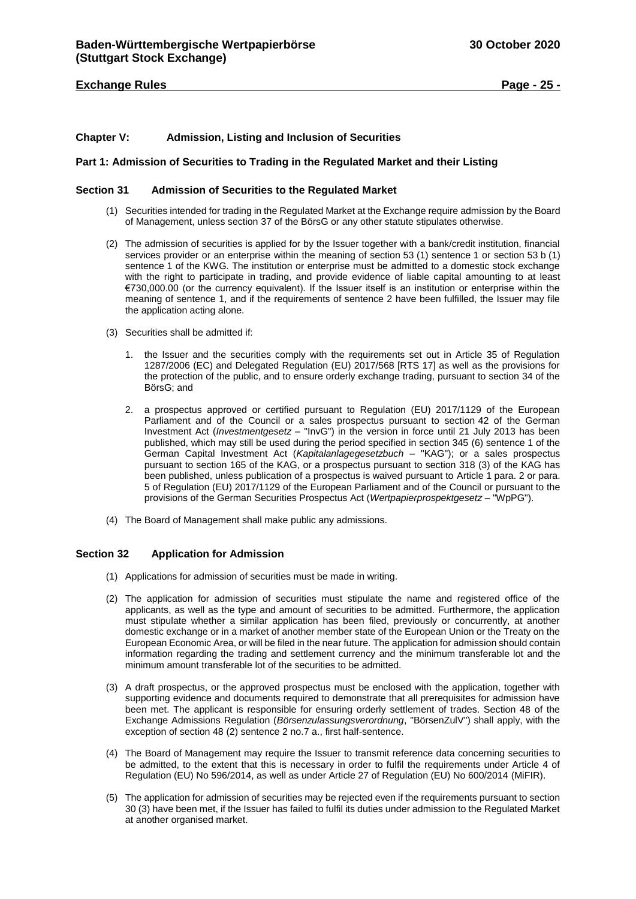## **Exchange Rules Page - 25 -**

## <span id="page-24-0"></span>**Chapter V: Admission, Listing and Inclusion of Securities**

## <span id="page-24-1"></span>**Part 1: Admission of Securities to Trading in the Regulated Market and their Listing**

#### <span id="page-24-2"></span>**Section 31 Admission of Securities to the Regulated Market**

- (1) Securities intended for trading in the Regulated Market at the Exchange require admission by the Board of Management, unless section 37 of the BörsG or any other statute stipulates otherwise.
- (2) The admission of securities is applied for by the Issuer together with a bank/credit institution, financial services provider or an enterprise within the meaning of section 53 (1) sentence 1 or section 53 b (1) sentence 1 of the KWG. The institution or enterprise must be admitted to a domestic stock exchange with the right to participate in trading, and provide evidence of liable capital amounting to at least €730,000.00 (or the currency equivalent). If the Issuer itself is an institution or enterprise within the meaning of sentence 1, and if the requirements of sentence 2 have been fulfilled, the Issuer may file the application acting alone.
- (3) Securities shall be admitted if:
	- 1. the Issuer and the securities comply with the requirements set out in Article 35 of Regulation 1287/2006 (EC) and Delegated Regulation (EU) 2017/568 [RTS 17] as well as the provisions for the protection of the public, and to ensure orderly exchange trading, pursuant to section 34 of the BörsG; and
	- 2. a prospectus approved or certified pursuant to Regulation (EU) 2017/1129 of the European Parliament and of the Council or a sales prospectus pursuant to section 42 of the German Investment Act (*Investmentgesetz* – "InvG") in the version in force until 21 July 2013 has been published, which may still be used during the period specified in section 345 (6) sentence 1 of the German Capital Investment Act (*Kapitalanlagegesetzbuch* – "KAG"); or a sales prospectus pursuant to section 165 of the KAG, or a prospectus pursuant to section 318 (3) of the KAG has been published, unless publication of a prospectus is waived pursuant to Article 1 para. 2 or para. 5 of Regulation (EU) 2017/1129 of the European Parliament and of the Council or pursuant to the provisions of the German Securities Prospectus Act (*Wertpapierprospektgesetz* – "WpPG").
- (4) The Board of Management shall make public any admissions.

## <span id="page-24-3"></span>**Section 32 Application for Admission**

- (1) Applications for admission of securities must be made in writing.
- (2) The application for admission of securities must stipulate the name and registered office of the applicants, as well as the type and amount of securities to be admitted. Furthermore, the application must stipulate whether a similar application has been filed, previously or concurrently, at another domestic exchange or in a market of another member state of the European Union or the Treaty on the European Economic Area, or will be filed in the near future. The application for admission should contain information regarding the trading and settlement currency and the minimum transferable lot and the minimum amount transferable lot of the securities to be admitted.
- (3) A draft prospectus, or the approved prospectus must be enclosed with the application, together with supporting evidence and documents required to demonstrate that all prerequisites for admission have been met. The applicant is responsible for ensuring orderly settlement of trades. Section 48 of the Exchange Admissions Regulation (*Börsenzulassungsverordnung*, "BörsenZulV") shall apply, with the exception of section 48 (2) sentence 2 no.7 a., first half-sentence.
- (4) The Board of Management may require the Issuer to transmit reference data concerning securities to be admitted, to the extent that this is necessary in order to fulfil the requirements under Article 4 of Regulation (EU) No 596/2014, as well as under Article 27 of Regulation (EU) No 600/2014 (MiFIR).
- (5) The application for admission of securities may be rejected even if the requirements pursuant to section 30 (3) have been met, if the Issuer has failed to fulfil its duties under admission to the Regulated Market at another organised market.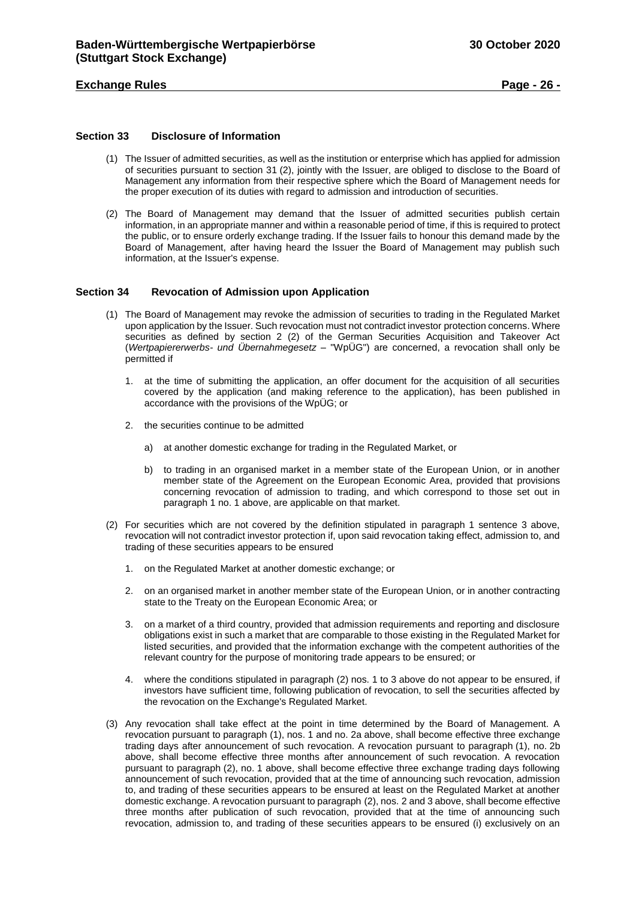## **Exchange Rules Page - 26 -**

## <span id="page-25-0"></span>**Section 33 Disclosure of Information**

- (1) The Issuer of admitted securities, as well as the institution or enterprise which has applied for admission of securities pursuant to section 31 (2), jointly with the Issuer, are obliged to disclose to the Board of Management any information from their respective sphere which the Board of Management needs for the proper execution of its duties with regard to admission and introduction of securities.
- (2) The Board of Management may demand that the Issuer of admitted securities publish certain information, in an appropriate manner and within a reasonable period of time, if this is required to protect the public, or to ensure orderly exchange trading. If the Issuer fails to honour this demand made by the Board of Management, after having heard the Issuer the Board of Management may publish such information, at the Issuer's expense.

## <span id="page-25-1"></span>**Section 34 Revocation of Admission upon Application**

- (1) The Board of Management may revoke the admission of securities to trading in the Regulated Market upon application by the Issuer. Such revocation must not contradict investor protection concerns. Where securities as defined by section 2 (2) of the German Securities Acquisition and Takeover Act (*Wertpapiererwerbs- und Übernahmegesetz* – "WpÜG") are concerned, a revocation shall only be permitted if
	- 1. at the time of submitting the application, an offer document for the acquisition of all securities covered by the application (and making reference to the application), has been published in accordance with the provisions of the WpÜG; or
	- 2. the securities continue to be admitted
		- a) at another domestic exchange for trading in the Regulated Market, or
		- b) to trading in an organised market in a member state of the European Union, or in another member state of the Agreement on the European Economic Area, provided that provisions concerning revocation of admission to trading, and which correspond to those set out in paragraph 1 no. 1 above, are applicable on that market.
- (2) For securities which are not covered by the definition stipulated in paragraph 1 sentence 3 above, revocation will not contradict investor protection if, upon said revocation taking effect, admission to, and trading of these securities appears to be ensured
	- 1. on the Regulated Market at another domestic exchange; or
	- 2. on an organised market in another member state of the European Union, or in another contracting state to the Treaty on the European Economic Area; or
	- 3. on a market of a third country, provided that admission requirements and reporting and disclosure obligations exist in such a market that are comparable to those existing in the Regulated Market for listed securities, and provided that the information exchange with the competent authorities of the relevant country for the purpose of monitoring trade appears to be ensured; or
	- 4. where the conditions stipulated in paragraph (2) nos. 1 to 3 above do not appear to be ensured, if investors have sufficient time, following publication of revocation, to sell the securities affected by the revocation on the Exchange's Regulated Market.
- (3) Any revocation shall take effect at the point in time determined by the Board of Management. A revocation pursuant to paragraph (1), nos. 1 and no. 2a above, shall become effective three exchange trading days after announcement of such revocation. A revocation pursuant to paragraph (1), no. 2b above, shall become effective three months after announcement of such revocation. A revocation pursuant to paragraph (2), no. 1 above, shall become effective three exchange trading days following announcement of such revocation, provided that at the time of announcing such revocation, admission to, and trading of these securities appears to be ensured at least on the Regulated Market at another domestic exchange. A revocation pursuant to paragraph (2), nos. 2 and 3 above, shall become effective three months after publication of such revocation, provided that at the time of announcing such revocation, admission to, and trading of these securities appears to be ensured (i) exclusively on an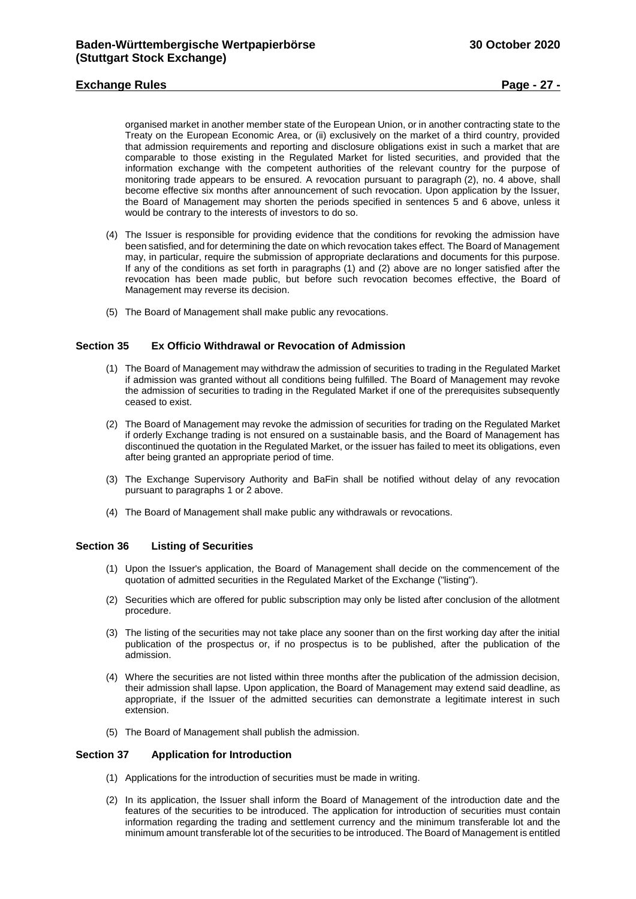## **Exchange Rules Page - 27 -**

organised market in another member state of the European Union, or in another contracting state to the Treaty on the European Economic Area, or (ii) exclusively on the market of a third country, provided that admission requirements and reporting and disclosure obligations exist in such a market that are comparable to those existing in the Regulated Market for listed securities, and provided that the information exchange with the competent authorities of the relevant country for the purpose of monitoring trade appears to be ensured. A revocation pursuant to paragraph (2), no. 4 above, shall become effective six months after announcement of such revocation. Upon application by the Issuer, the Board of Management may shorten the periods specified in sentences 5 and 6 above, unless it would be contrary to the interests of investors to do so.

- (4) The Issuer is responsible for providing evidence that the conditions for revoking the admission have been satisfied, and for determining the date on which revocation takes effect. The Board of Management may, in particular, require the submission of appropriate declarations and documents for this purpose. If any of the conditions as set forth in paragraphs (1) and (2) above are no longer satisfied after the revocation has been made public, but before such revocation becomes effective, the Board of Management may reverse its decision.
- (5) The Board of Management shall make public any revocations.

## <span id="page-26-0"></span>**Section 35 Ex Officio Withdrawal or Revocation of Admission**

- (1) The Board of Management may withdraw the admission of securities to trading in the Regulated Market if admission was granted without all conditions being fulfilled. The Board of Management may revoke the admission of securities to trading in the Regulated Market if one of the prerequisites subsequently ceased to exist.
- (2) The Board of Management may revoke the admission of securities for trading on the Regulated Market if orderly Exchange trading is not ensured on a sustainable basis, and the Board of Management has discontinued the quotation in the Regulated Market, or the issuer has failed to meet its obligations, even after being granted an appropriate period of time.
- (3) The Exchange Supervisory Authority and BaFin shall be notified without delay of any revocation pursuant to paragraphs 1 or 2 above.
- (4) The Board of Management shall make public any withdrawals or revocations.

## <span id="page-26-1"></span>**Section 36 Listing of Securities**

- (1) Upon the Issuer's application, the Board of Management shall decide on the commencement of the quotation of admitted securities in the Regulated Market of the Exchange ("listing").
- (2) Securities which are offered for public subscription may only be listed after conclusion of the allotment procedure.
- (3) The listing of the securities may not take place any sooner than on the first working day after the initial publication of the prospectus or, if no prospectus is to be published, after the publication of the admission.
- (4) Where the securities are not listed within three months after the publication of the admission decision, their admission shall lapse. Upon application, the Board of Management may extend said deadline, as appropriate, if the Issuer of the admitted securities can demonstrate a legitimate interest in such extension.
- (5) The Board of Management shall publish the admission.

## <span id="page-26-2"></span>**Section 37 Application for Introduction**

- (1) Applications for the introduction of securities must be made in writing.
- (2) In its application, the Issuer shall inform the Board of Management of the introduction date and the features of the securities to be introduced. The application for introduction of securities must contain information regarding the trading and settlement currency and the minimum transferable lot and the minimum amount transferable lot of the securities to be introduced. The Board of Management is entitled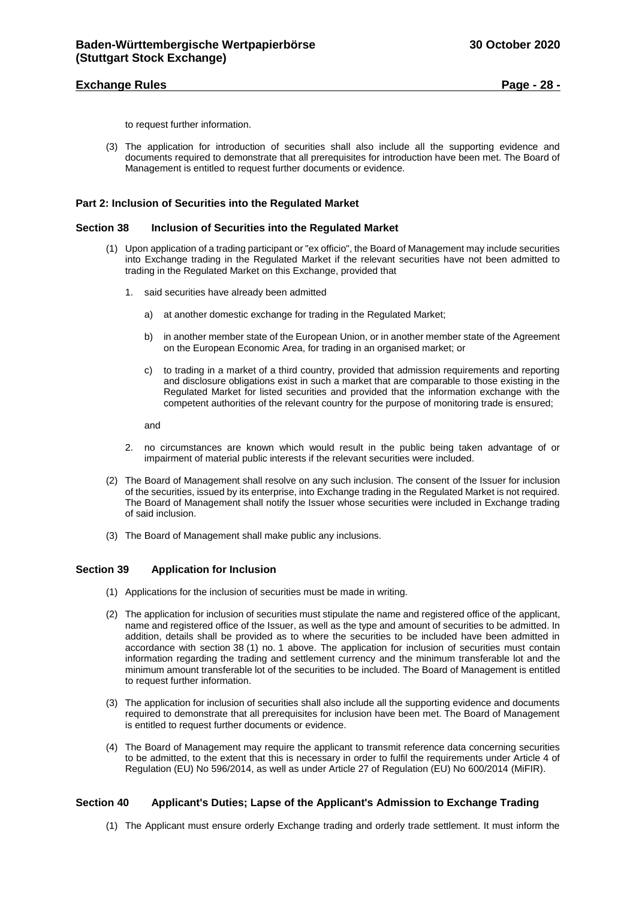## **Exchange Rules Page - 28 -**

to request further information.

(3) The application for introduction of securities shall also include all the supporting evidence and documents required to demonstrate that all prerequisites for introduction have been met. The Board of Management is entitled to request further documents or evidence.

#### <span id="page-27-0"></span>**Part 2: Inclusion of Securities into the Regulated Market**

#### <span id="page-27-1"></span>**Section 38 Inclusion of Securities into the Regulated Market**

- (1) Upon application of a trading participant or "ex officio", the Board of Management may include securities into Exchange trading in the Regulated Market if the relevant securities have not been admitted to trading in the Regulated Market on this Exchange, provided that
	- 1. said securities have already been admitted
		- a) at another domestic exchange for trading in the Regulated Market;
		- b) in another member state of the European Union, or in another member state of the Agreement on the European Economic Area, for trading in an organised market; or
		- c) to trading in a market of a third country, provided that admission requirements and reporting and disclosure obligations exist in such a market that are comparable to those existing in the Regulated Market for listed securities and provided that the information exchange with the competent authorities of the relevant country for the purpose of monitoring trade is ensured;

and

- 2. no circumstances are known which would result in the public being taken advantage of or impairment of material public interests if the relevant securities were included.
- (2) The Board of Management shall resolve on any such inclusion. The consent of the Issuer for inclusion of the securities, issued by its enterprise, into Exchange trading in the Regulated Market is not required. The Board of Management shall notify the Issuer whose securities were included in Exchange trading of said inclusion.
- (3) The Board of Management shall make public any inclusions.

#### <span id="page-27-2"></span>**Section 39 Application for Inclusion**

- (1) Applications for the inclusion of securities must be made in writing.
- (2) The application for inclusion of securities must stipulate the name and registered office of the applicant, name and registered office of the Issuer, as well as the type and amount of securities to be admitted. In addition, details shall be provided as to where the securities to be included have been admitted in accordance with section 38 (1) no. 1 above. The application for inclusion of securities must contain information regarding the trading and settlement currency and the minimum transferable lot and the minimum amount transferable lot of the securities to be included. The Board of Management is entitled to request further information.
- (3) The application for inclusion of securities shall also include all the supporting evidence and documents required to demonstrate that all prerequisites for inclusion have been met. The Board of Management is entitled to request further documents or evidence.
- (4) The Board of Management may require the applicant to transmit reference data concerning securities to be admitted, to the extent that this is necessary in order to fulfil the requirements under Article 4 of Regulation (EU) No 596/2014, as well as under Article 27 of Regulation (EU) No 600/2014 (MiFIR).

## <span id="page-27-3"></span>**Section 40 Applicant's Duties; Lapse of the Applicant's Admission to Exchange Trading**

(1) The Applicant must ensure orderly Exchange trading and orderly trade settlement. It must inform the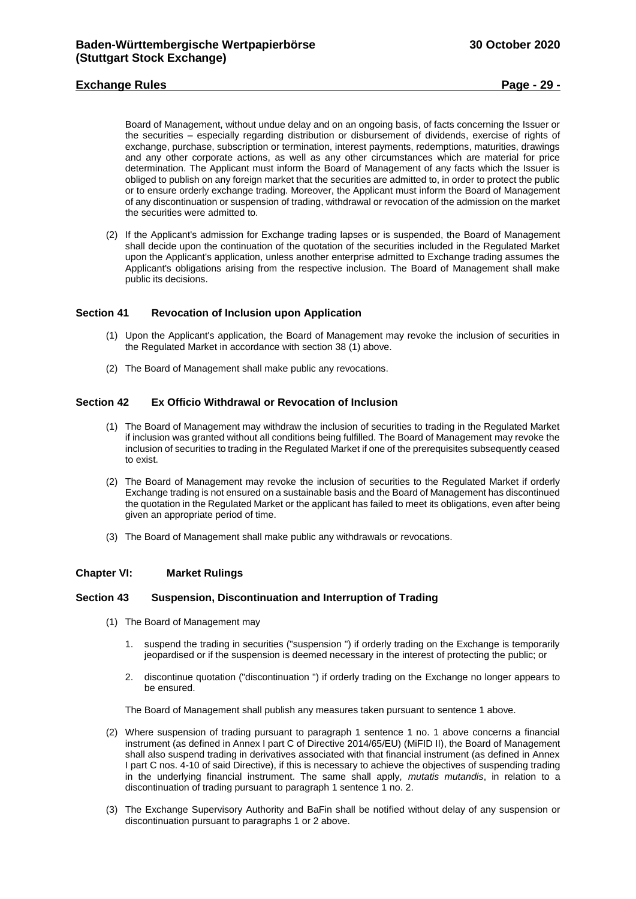## **Exchange Rules Page - 29 -**

Board of Management, without undue delay and on an ongoing basis, of facts concerning the Issuer or the securities – especially regarding distribution or disbursement of dividends, exercise of rights of exchange, purchase, subscription or termination, interest payments, redemptions, maturities, drawings and any other corporate actions, as well as any other circumstances which are material for price determination. The Applicant must inform the Board of Management of any facts which the Issuer is obliged to publish on any foreign market that the securities are admitted to, in order to protect the public or to ensure orderly exchange trading. Moreover, the Applicant must inform the Board of Management of any discontinuation or suspension of trading, withdrawal or revocation of the admission on the market the securities were admitted to.

(2) If the Applicant's admission for Exchange trading lapses or is suspended, the Board of Management shall decide upon the continuation of the quotation of the securities included in the Regulated Market upon the Applicant's application, unless another enterprise admitted to Exchange trading assumes the Applicant's obligations arising from the respective inclusion. The Board of Management shall make public its decisions.

## <span id="page-28-0"></span>**Section 41 Revocation of Inclusion upon Application**

- (1) Upon the Applicant's application, the Board of Management may revoke the inclusion of securities in the Regulated Market in accordance with section 38 (1) above.
- (2) The Board of Management shall make public any revocations.

## <span id="page-28-1"></span>**Section 42 Ex Officio Withdrawal or Revocation of Inclusion**

- (1) The Board of Management may withdraw the inclusion of securities to trading in the Regulated Market if inclusion was granted without all conditions being fulfilled. The Board of Management may revoke the inclusion of securities to trading in the Regulated Market if one of the prerequisites subsequently ceased to exist.
- (2) The Board of Management may revoke the inclusion of securities to the Regulated Market if orderly Exchange trading is not ensured on a sustainable basis and the Board of Management has discontinued the quotation in the Regulated Market or the applicant has failed to meet its obligations, even after being given an appropriate period of time.
- (3) The Board of Management shall make public any withdrawals or revocations.

#### <span id="page-28-2"></span>**Chapter VI: Market Rulings**

## <span id="page-28-3"></span>**Section 43 Suspension, Discontinuation and Interruption of Trading**

- (1) The Board of Management may
	- 1. suspend the trading in securities ("suspension ") if orderly trading on the Exchange is temporarily jeopardised or if the suspension is deemed necessary in the interest of protecting the public; or
	- 2. discontinue quotation ("discontinuation ") if orderly trading on the Exchange no longer appears to be ensured.

The Board of Management shall publish any measures taken pursuant to sentence 1 above.

- (2) Where suspension of trading pursuant to paragraph 1 sentence 1 no. 1 above concerns a financial instrument (as defined in Annex I part C of Directive 2014/65/EU) (MiFID II), the Board of Management shall also suspend trading in derivatives associated with that financial instrument (as defined in Annex I part C nos. 4-10 of said Directive), if this is necessary to achieve the objectives of suspending trading in the underlying financial instrument. The same shall apply, *mutatis mutandis*, in relation to a discontinuation of trading pursuant to paragraph 1 sentence 1 no. 2.
- (3) The Exchange Supervisory Authority and BaFin shall be notified without delay of any suspension or discontinuation pursuant to paragraphs 1 or 2 above.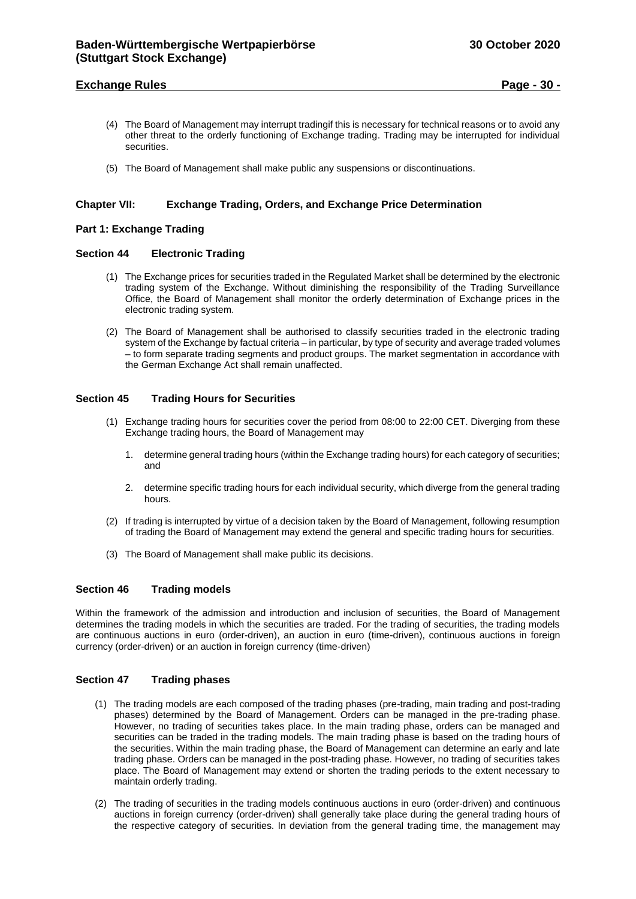## **Exchange Rules Page - 30 -**

- (4) The Board of Management may interrupt tradingif this is necessary for technical reasons or to avoid any other threat to the orderly functioning of Exchange trading. Trading may be interrupted for individual securities.
- (5) The Board of Management shall make public any suspensions or discontinuations.

## <span id="page-29-0"></span>**Chapter VII: Exchange Trading, Orders, and Exchange Price Determination**

### <span id="page-29-1"></span>**Part 1: Exchange Trading**

### <span id="page-29-2"></span>**Section 44 Electronic Trading**

- (1) The Exchange prices for securities traded in the Regulated Market shall be determined by the electronic trading system of the Exchange. Without diminishing the responsibility of the Trading Surveillance Office, the Board of Management shall monitor the orderly determination of Exchange prices in the electronic trading system.
- (2) The Board of Management shall be authorised to classify securities traded in the electronic trading system of the Exchange by factual criteria – in particular, by type of security and average traded volumes – to form separate trading segments and product groups. The market segmentation in accordance with the German Exchange Act shall remain unaffected.

## <span id="page-29-3"></span>**Section 45 Trading Hours for Securities**

- (1) Exchange trading hours for securities cover the period from 08:00 to 22:00 CET. Diverging from these Exchange trading hours, the Board of Management may
	- 1. determine general trading hours (within the Exchange trading hours) for each category of securities; and
	- 2. determine specific trading hours for each individual security, which diverge from the general trading hours.
- (2) If trading is interrupted by virtue of a decision taken by the Board of Management, following resumption of trading the Board of Management may extend the general and specific trading hours for securities.
- (3) The Board of Management shall make public its decisions.

#### <span id="page-29-4"></span>**Section 46 Trading models**

Within the framework of the admission and introduction and inclusion of securities, the Board of Management determines the trading models in which the securities are traded. For the trading of securities, the trading models are continuous auctions in euro (order-driven), an auction in euro (time-driven), continuous auctions in foreign currency (order-driven) or an auction in foreign currency (time-driven)

#### <span id="page-29-5"></span>**Section 47 Trading phases**

- (1) The trading models are each composed of the trading phases (pre-trading, main trading and post-trading phases) determined by the Board of Management. Orders can be managed in the pre-trading phase. However, no trading of securities takes place. In the main trading phase, orders can be managed and securities can be traded in the trading models. The main trading phase is based on the trading hours of the securities. Within the main trading phase, the Board of Management can determine an early and late trading phase. Orders can be managed in the post-trading phase. However, no trading of securities takes place. The Board of Management may extend or shorten the trading periods to the extent necessary to maintain orderly trading.
- (2) The trading of securities in the trading models continuous auctions in euro (order-driven) and continuous auctions in foreign currency (order-driven) shall generally take place during the general trading hours of the respective category of securities. In deviation from the general trading time, the management may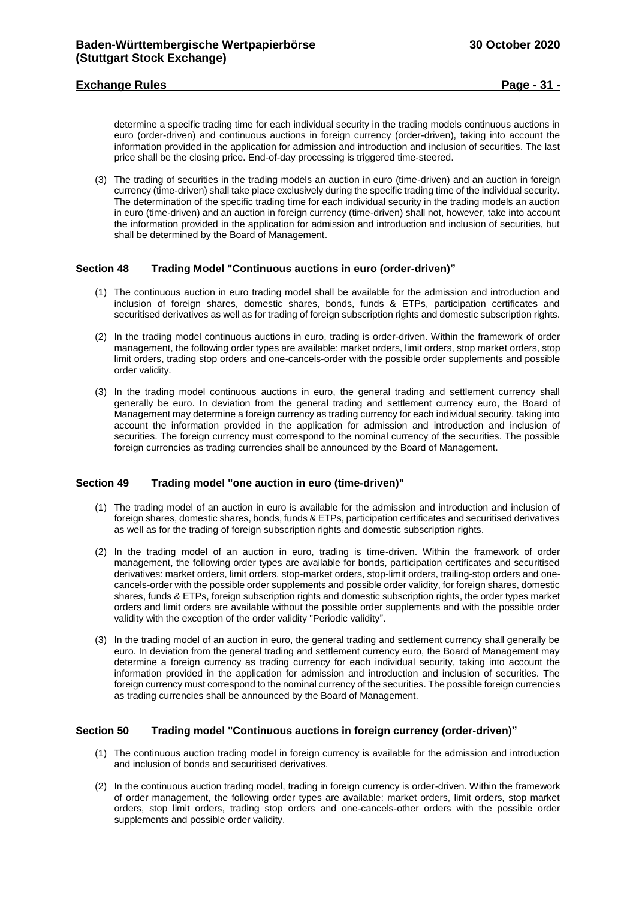## **Exchange Rules Page - 31 -**

determine a specific trading time for each individual security in the trading models continuous auctions in euro (order-driven) and continuous auctions in foreign currency (order-driven), taking into account the information provided in the application for admission and introduction and inclusion of securities. The last price shall be the closing price. End-of-day processing is triggered time-steered.

(3) The trading of securities in the trading models an auction in euro (time-driven) and an auction in foreign currency (time-driven) shall take place exclusively during the specific trading time of the individual security. The determination of the specific trading time for each individual security in the trading models an auction in euro (time-driven) and an auction in foreign currency (time-driven) shall not, however, take into account the information provided in the application for admission and introduction and inclusion of securities, but shall be determined by the Board of Management.

## <span id="page-30-0"></span>**Section 48 Trading Model "Continuous auctions in euro (order-driven)"**

- (1) The continuous auction in euro trading model shall be available for the admission and introduction and inclusion of foreign shares, domestic shares, bonds, funds & ETPs, participation certificates and securitised derivatives as well as for trading of foreign subscription rights and domestic subscription rights.
- (2) In the trading model continuous auctions in euro, trading is order-driven. Within the framework of order management, the following order types are available: market orders, limit orders, stop market orders, stop limit orders, trading stop orders and one-cancels-order with the possible order supplements and possible order validity.
- (3) In the trading model continuous auctions in euro, the general trading and settlement currency shall generally be euro. In deviation from the general trading and settlement currency euro, the Board of Management may determine a foreign currency as trading currency for each individual security, taking into account the information provided in the application for admission and introduction and inclusion of securities. The foreign currency must correspond to the nominal currency of the securities. The possible foreign currencies as trading currencies shall be announced by the Board of Management.

## <span id="page-30-1"></span>**Section 49 Trading model "one auction in euro (time-driven)"**

- (1) The trading model of an auction in euro is available for the admission and introduction and inclusion of foreign shares, domestic shares, bonds, funds & ETPs, participation certificates and securitised derivatives as well as for the trading of foreign subscription rights and domestic subscription rights.
- (2) In the trading model of an auction in euro, trading is time-driven. Within the framework of order management, the following order types are available for bonds, participation certificates and securitised derivatives: market orders, limit orders, stop-market orders, stop-limit orders, trailing-stop orders and onecancels-order with the possible order supplements and possible order validity, for foreign shares, domestic shares, funds & ETPs, foreign subscription rights and domestic subscription rights, the order types market orders and limit orders are available without the possible order supplements and with the possible order validity with the exception of the order validity "Periodic validity".
- (3) In the trading model of an auction in euro, the general trading and settlement currency shall generally be euro. In deviation from the general trading and settlement currency euro, the Board of Management may determine a foreign currency as trading currency for each individual security, taking into account the information provided in the application for admission and introduction and inclusion of securities. The foreign currency must correspond to the nominal currency of the securities. The possible foreign currencies as trading currencies shall be announced by the Board of Management.

#### <span id="page-30-2"></span>**Section 50 Trading model "Continuous auctions in foreign currency (order-driven)"**

- (1) The continuous auction trading model in foreign currency is available for the admission and introduction and inclusion of bonds and securitised derivatives.
- (2) In the continuous auction trading model, trading in foreign currency is order-driven. Within the framework of order management, the following order types are available: market orders, limit orders, stop market orders, stop limit orders, trading stop orders and one-cancels-other orders with the possible order supplements and possible order validity.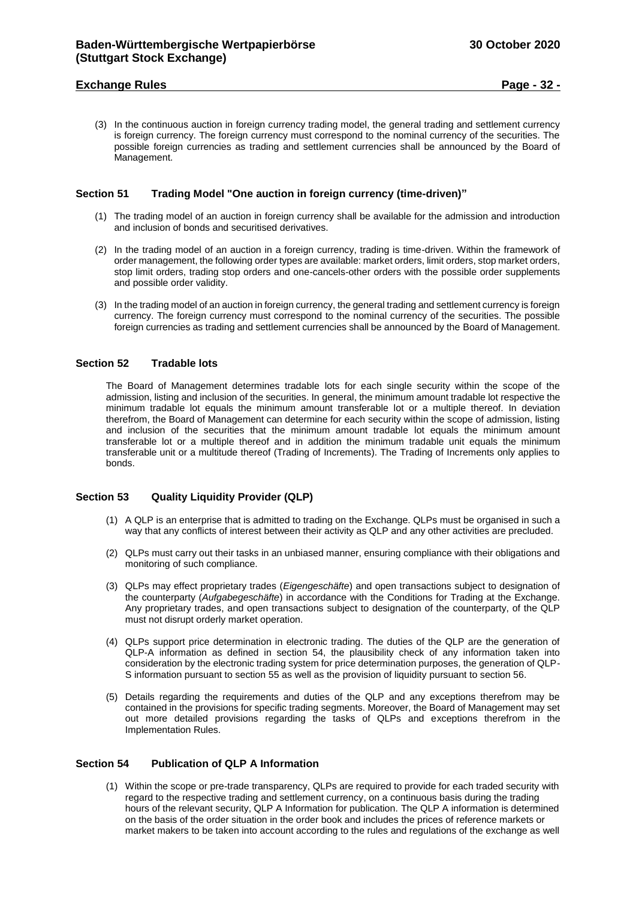## **Exchange Rules Page - 32 -**

(3) In the continuous auction in foreign currency trading model, the general trading and settlement currency is foreign currency. The foreign currency must correspond to the nominal currency of the securities. The possible foreign currencies as trading and settlement currencies shall be announced by the Board of Management.

## <span id="page-31-0"></span>**Section 51 Trading Model "One auction in foreign currency (time-driven)"**

- (1) The trading model of an auction in foreign currency shall be available for the admission and introduction and inclusion of bonds and securitised derivatives.
- (2) In the trading model of an auction in a foreign currency, trading is time-driven. Within the framework of order management, the following order types are available: market orders, limit orders, stop market orders, stop limit orders, trading stop orders and one-cancels-other orders with the possible order supplements and possible order validity.
- (3) In the trading model of an auction in foreign currency, the general trading and settlement currency is foreign currency. The foreign currency must correspond to the nominal currency of the securities. The possible foreign currencies as trading and settlement currencies shall be announced by the Board of Management.

## <span id="page-31-1"></span>**Section 52 Tradable lots**

The Board of Management determines tradable lots for each single security within the scope of the admission, listing and inclusion of the securities. In general, the minimum amount tradable lot respective the minimum tradable lot equals the minimum amount transferable lot or a multiple thereof. In deviation therefrom, the Board of Management can determine for each security within the scope of admission, listing and inclusion of the securities that the minimum amount tradable lot equals the minimum amount transferable lot or a multiple thereof and in addition the minimum tradable unit equals the minimum transferable unit or a multitude thereof (Trading of Increments). The Trading of Increments only applies to bonds.

#### <span id="page-31-2"></span>**Section 53 Quality Liquidity Provider (QLP)**

- (1) A QLP is an enterprise that is admitted to trading on the Exchange. QLPs must be organised in such a way that any conflicts of interest between their activity as QLP and any other activities are precluded.
- (2) QLPs must carry out their tasks in an unbiased manner, ensuring compliance with their obligations and monitoring of such compliance.
- (3) QLPs may effect proprietary trades (*Eigengeschäfte*) and open transactions subject to designation of the counterparty (*Aufgabegeschäfte*) in accordance with the Conditions for Trading at the Exchange. Any proprietary trades, and open transactions subject to designation of the counterparty, of the QLP must not disrupt orderly market operation.
- (4) QLPs support price determination in electronic trading. The duties of the QLP are the generation of QLP-A information as defined in section 54, the plausibility check of any information taken into consideration by the electronic trading system for price determination purposes, the generation of QLP-S information pursuant to section 55 as well as the provision of liquidity pursuant to section 56.
- (5) Details regarding the requirements and duties of the QLP and any exceptions therefrom may be contained in the provisions for specific trading segments. Moreover, the Board of Management may set out more detailed provisions regarding the tasks of QLPs and exceptions therefrom in the Implementation Rules.

#### <span id="page-31-3"></span>**Section 54 Publication of QLP A Information**

(1) Within the scope or pre-trade transparency, QLPs are required to provide for each traded security with regard to the respective trading and settlement currency, on a continuous basis during the trading hours of the relevant security, QLP A Information for publication. The QLP A information is determined on the basis of the order situation in the order book and includes the prices of reference markets or market makers to be taken into account according to the rules and regulations of the exchange as well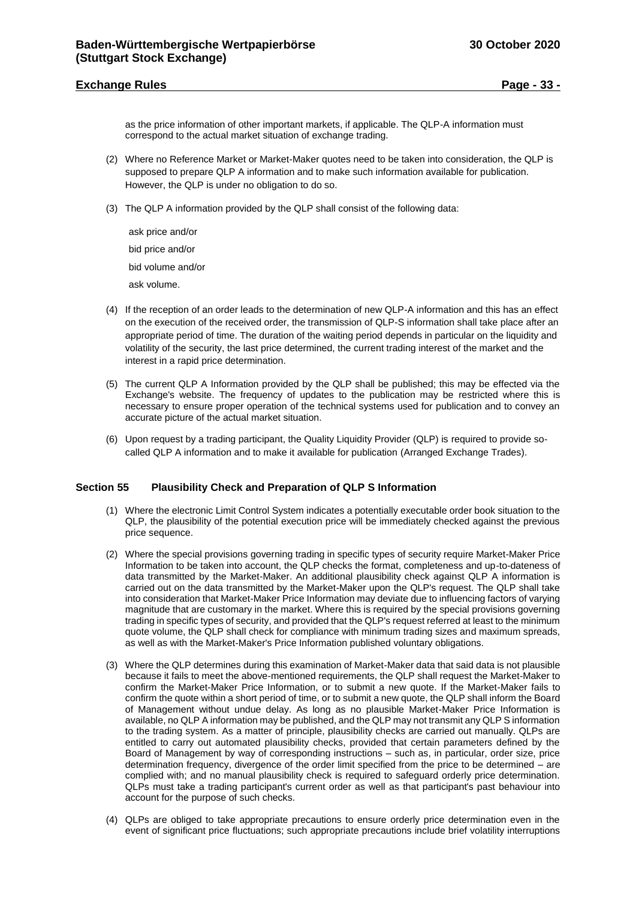## **Exchange Rules Page - 33 -**

as the price information of other important markets, if applicable. The QLP-A information must correspond to the actual market situation of exchange trading.

- (2) Where no Reference Market or Market-Maker quotes need to be taken into consideration, the QLP is supposed to prepare QLP A information and to make such information available for publication. However, the QLP is under no obligation to do so.
- (3) The QLP A information provided by the QLP shall consist of the following data:

ask price and/or bid price and/or bid volume and/or ask volume.

- (4) If the reception of an order leads to the determination of new QLP-A information and this has an effect on the execution of the received order, the transmission of QLP-S information shall take place after an appropriate period of time. The duration of the waiting period depends in particular on the liquidity and volatility of the security, the last price determined, the current trading interest of the market and the interest in a rapid price determination.
- (5) The current QLP A Information provided by the QLP shall be published; this may be effected via the Exchange's website. The frequency of updates to the publication may be restricted where this is necessary to ensure proper operation of the technical systems used for publication and to convey an accurate picture of the actual market situation.
- (6) Upon request by a trading participant, the Quality Liquidity Provider (QLP) is required to provide socalled QLP A information and to make it available for publication (Arranged Exchange Trades).

## <span id="page-32-0"></span>**Section 55 Plausibility Check and Preparation of QLP S Information**

- (1) Where the electronic Limit Control System indicates a potentially executable order book situation to the QLP, the plausibility of the potential execution price will be immediately checked against the previous price sequence.
- (2) Where the special provisions governing trading in specific types of security require Market-Maker Price Information to be taken into account, the QLP checks the format, completeness and up-to-dateness of data transmitted by the Market-Maker. An additional plausibility check against QLP A information is carried out on the data transmitted by the Market-Maker upon the QLP's request. The QLP shall take into consideration that Market-Maker Price Information may deviate due to influencing factors of varying magnitude that are customary in the market. Where this is required by the special provisions governing trading in specific types of security, and provided that the QLP's request referred at least to the minimum quote volume, the QLP shall check for compliance with minimum trading sizes and maximum spreads, as well as with the Market-Maker's Price Information published voluntary obligations.
- (3) Where the QLP determines during this examination of Market-Maker data that said data is not plausible because it fails to meet the above-mentioned requirements, the QLP shall request the Market-Maker to confirm the Market-Maker Price Information, or to submit a new quote. If the Market-Maker fails to confirm the quote within a short period of time, or to submit a new quote, the QLP shall inform the Board of Management without undue delay. As long as no plausible Market-Maker Price Information is available, no QLP A information may be published, and the QLP may not transmit any QLP S information to the trading system. As a matter of principle, plausibility checks are carried out manually. QLPs are entitled to carry out automated plausibility checks, provided that certain parameters defined by the Board of Management by way of corresponding instructions – such as, in particular, order size, price determination frequency, divergence of the order limit specified from the price to be determined – are complied with; and no manual plausibility check is required to safeguard orderly price determination. QLPs must take a trading participant's current order as well as that participant's past behaviour into account for the purpose of such checks.
- (4) QLPs are obliged to take appropriate precautions to ensure orderly price determination even in the event of significant price fluctuations; such appropriate precautions include brief volatility interruptions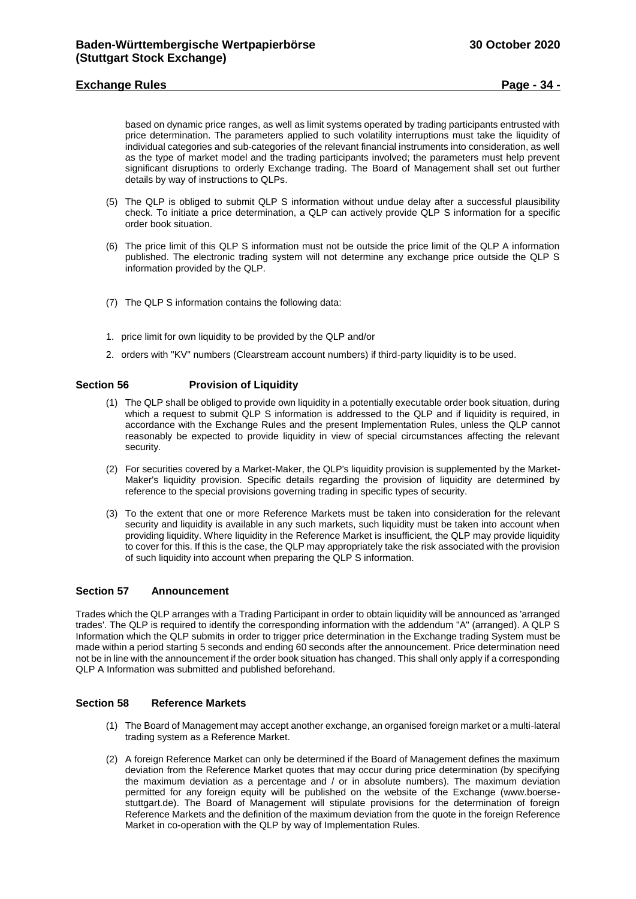## **Exchange Rules Page - 34 -**

based on dynamic price ranges, as well as limit systems operated by trading participants entrusted with price determination. The parameters applied to such volatility interruptions must take the liquidity of individual categories and sub-categories of the relevant financial instruments into consideration, as well as the type of market model and the trading participants involved; the parameters must help prevent significant disruptions to orderly Exchange trading. The Board of Management shall set out further details by way of instructions to QLPs.

- (5) The QLP is obliged to submit QLP S information without undue delay after a successful plausibility check. To initiate a price determination, a QLP can actively provide QLP S information for a specific order book situation.
- (6) The price limit of this QLP S information must not be outside the price limit of the QLP A information published. The electronic trading system will not determine any exchange price outside the QLP S information provided by the QLP.
- (7) The QLP S information contains the following data:
- 1. price limit for own liquidity to be provided by the QLP and/or
- 2. orders with "KV" numbers (Clearstream account numbers) if third-party liquidity is to be used.

## **Section 56 Provision of Liquidity**

- <span id="page-33-0"></span>(1) The QLP shall be obliged to provide own liquidity in a potentially executable order book situation, during which a request to submit QLP S information is addressed to the QLP and if liquidity is required, in accordance with the Exchange Rules and the present Implementation Rules, unless the QLP cannot reasonably be expected to provide liquidity in view of special circumstances affecting the relevant security.
- (2) For securities covered by a Market-Maker, the QLP's liquidity provision is supplemented by the Market-Maker's liquidity provision. Specific details regarding the provision of liquidity are determined by reference to the special provisions governing trading in specific types of security.
- (3) To the extent that one or more Reference Markets must be taken into consideration for the relevant security and liquidity is available in any such markets, such liquidity must be taken into account when providing liquidity. Where liquidity in the Reference Market is insufficient, the QLP may provide liquidity to cover for this. If this is the case, the QLP may appropriately take the risk associated with the provision of such liquidity into account when preparing the QLP S information.

## <span id="page-33-1"></span>**Section 57 Announcement**

Trades which the QLP arranges with a Trading Participant in order to obtain liquidity will be announced as 'arranged trades'. The QLP is required to identify the corresponding information with the addendum "A" (arranged). A QLP S Information which the QLP submits in order to trigger price determination in the Exchange trading System must be made within a period starting 5 seconds and ending 60 seconds after the announcement. Price determination need not be in line with the announcement if the order book situation has changed. This shall only apply if a corresponding QLP A Information was submitted and published beforehand.

## <span id="page-33-2"></span>**Section 58 Reference Markets**

- (1) The Board of Management may accept another exchange, an organised foreign market or a multi-lateral trading system as a Reference Market.
- (2) A foreign Reference Market can only be determined if the Board of Management defines the maximum deviation from the Reference Market quotes that may occur during price determination (by specifying the maximum deviation as a percentage and / or in absolute numbers). The maximum deviation permitted for any foreign equity will be published on the website of the Exchange (www.boersestuttgart.de). The Board of Management will stipulate provisions for the determination of foreign Reference Markets and the definition of the maximum deviation from the quote in the foreign Reference Market in co-operation with the QLP by way of Implementation Rules.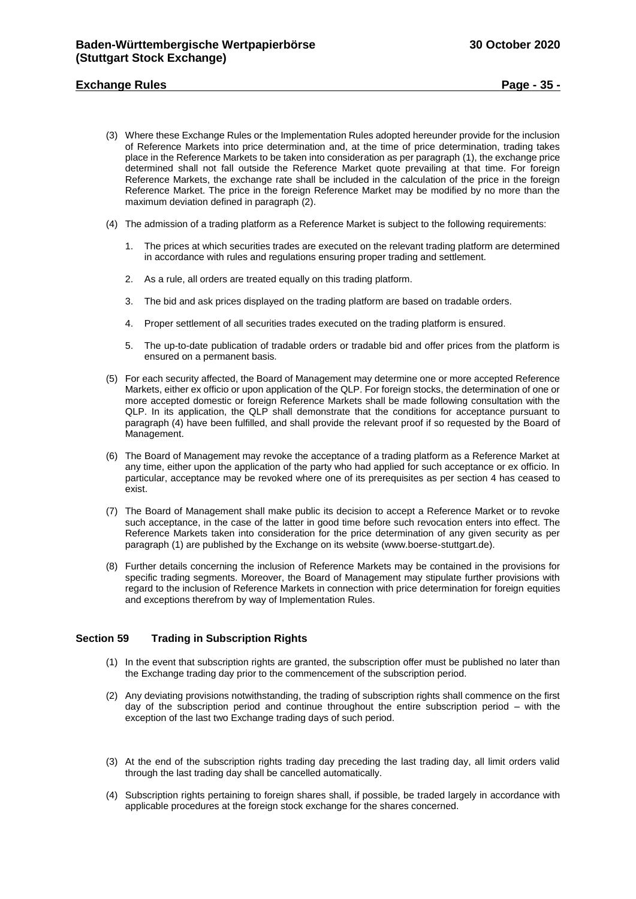## **Exchange Rules Page - 35 -**

- (3) Where these Exchange Rules or the Implementation Rules adopted hereunder provide for the inclusion of Reference Markets into price determination and, at the time of price determination, trading takes place in the Reference Markets to be taken into consideration as per paragraph (1), the exchange price determined shall not fall outside the Reference Market quote prevailing at that time. For foreign Reference Markets, the exchange rate shall be included in the calculation of the price in the foreign Reference Market. The price in the foreign Reference Market may be modified by no more than the maximum deviation defined in paragraph (2).
- (4) The admission of a trading platform as a Reference Market is subject to the following requirements:
	- 1. The prices at which securities trades are executed on the relevant trading platform are determined in accordance with rules and regulations ensuring proper trading and settlement.
	- 2. As a rule, all orders are treated equally on this trading platform.
	- 3. The bid and ask prices displayed on the trading platform are based on tradable orders.
	- 4. Proper settlement of all securities trades executed on the trading platform is ensured.
	- 5. The up-to-date publication of tradable orders or tradable bid and offer prices from the platform is ensured on a permanent basis.
- (5) For each security affected, the Board of Management may determine one or more accepted Reference Markets, either ex officio or upon application of the QLP. For foreign stocks, the determination of one or more accepted domestic or foreign Reference Markets shall be made following consultation with the QLP. In its application, the QLP shall demonstrate that the conditions for acceptance pursuant to paragraph (4) have been fulfilled, and shall provide the relevant proof if so requested by the Board of Management.
- (6) The Board of Management may revoke the acceptance of a trading platform as a Reference Market at any time, either upon the application of the party who had applied for such acceptance or ex officio. In particular, acceptance may be revoked where one of its prerequisites as per section 4 has ceased to exist.
- (7) The Board of Management shall make public its decision to accept a Reference Market or to revoke such acceptance, in the case of the latter in good time before such revocation enters into effect. The Reference Markets taken into consideration for the price determination of any given security as per paragraph (1) are published by the Exchange on its website (www.boerse-stuttgart.de).
- (8) Further details concerning the inclusion of Reference Markets may be contained in the provisions for specific trading segments. Moreover, the Board of Management may stipulate further provisions with regard to the inclusion of Reference Markets in connection with price determination for foreign equities and exceptions therefrom by way of Implementation Rules.

#### <span id="page-34-0"></span>**Section 59 Trading in Subscription Rights**

- (1) In the event that subscription rights are granted, the subscription offer must be published no later than the Exchange trading day prior to the commencement of the subscription period.
- (2) Any deviating provisions notwithstanding, the trading of subscription rights shall commence on the first day of the subscription period and continue throughout the entire subscription period – with the exception of the last two Exchange trading days of such period.
- (3) At the end of the subscription rights trading day preceding the last trading day, all limit orders valid through the last trading day shall be cancelled automatically.
- (4) Subscription rights pertaining to foreign shares shall, if possible, be traded largely in accordance with applicable procedures at the foreign stock exchange for the shares concerned.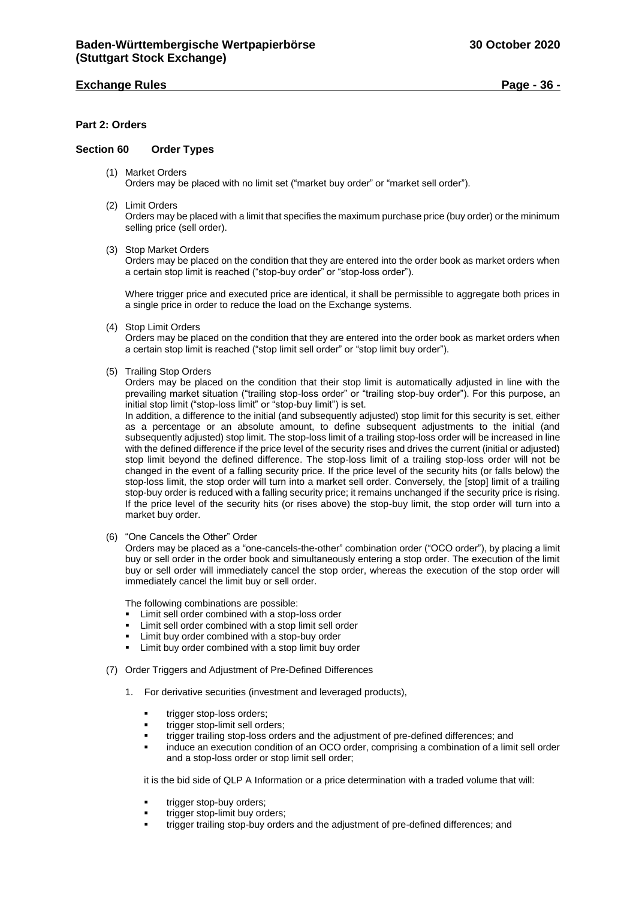## **Exchange Rules Page - 36 -**

## <span id="page-35-0"></span>**Part 2: Orders**

## <span id="page-35-1"></span>**Section 60 Order Types**

- (1) Market Orders Orders may be placed with no limit set ("market buy order" or "market sell order").
- (2) Limit Orders

Orders may be placed with a limit that specifies the maximum purchase price (buy order) or the minimum selling price (sell order).

(3) Stop Market Orders

Orders may be placed on the condition that they are entered into the order book as market orders when a certain stop limit is reached ("stop-buy order" or "stop-loss order").

Where trigger price and executed price are identical, it shall be permissible to aggregate both prices in a single price in order to reduce the load on the Exchange systems.

(4) Stop Limit Orders

Orders may be placed on the condition that they are entered into the order book as market orders when a certain stop limit is reached ("stop limit sell order" or "stop limit buy order").

(5) Trailing Stop Orders

Orders may be placed on the condition that their stop limit is automatically adjusted in line with the prevailing market situation ("trailing stop-loss order" or "trailing stop-buy order"). For this purpose, an initial stop limit ("stop-loss limit" or "stop-buy limit") is set.

In addition, a difference to the initial (and subsequently adjusted) stop limit for this security is set, either as a percentage or an absolute amount, to define subsequent adjustments to the initial (and subsequently adjusted) stop limit. The stop-loss limit of a trailing stop-loss order will be increased in line with the defined difference if the price level of the security rises and drives the current (initial or adjusted) stop limit beyond the defined difference. The stop-loss limit of a trailing stop-loss order will not be changed in the event of a falling security price. If the price level of the security hits (or falls below) the stop-loss limit, the stop order will turn into a market sell order. Conversely, the [stop] limit of a trailing stop-buy order is reduced with a falling security price; it remains unchanged if the security price is rising. If the price level of the security hits (or rises above) the stop-buy limit, the stop order will turn into a market buy order.

(6) "One Cancels the Other" Order

Orders may be placed as a "one-cancels-the-other" combination order ("OCO order"), by placing a limit buy or sell order in the order book and simultaneously entering a stop order. The execution of the limit buy or sell order will immediately cancel the stop order, whereas the execution of the stop order will immediately cancel the limit buy or sell order.

The following combinations are possible:

- Limit sell order combined with a stop-loss order
- Limit sell order combined with a stop limit sell order
- Limit buy order combined with a stop-buy order
- Limit buy order combined with a stop limit buy order
- (7) Order Triggers and Adjustment of Pre-Defined Differences
	- 1. For derivative securities (investment and leveraged products),
		- trigger stop-loss orders;
		- trigger stop-limit sell orders;
		- trigger trailing stop-loss orders and the adjustment of pre-defined differences; and
		- induce an execution condition of an OCO order, comprising a combination of a limit sell order and a stop-loss order or stop limit sell order;

it is the bid side of QLP A Information or a price determination with a traded volume that will:

- trigger stop-buy orders:
- trigger stop-limit buy orders;
- trigger trailing stop-buy orders and the adjustment of pre-defined differences; and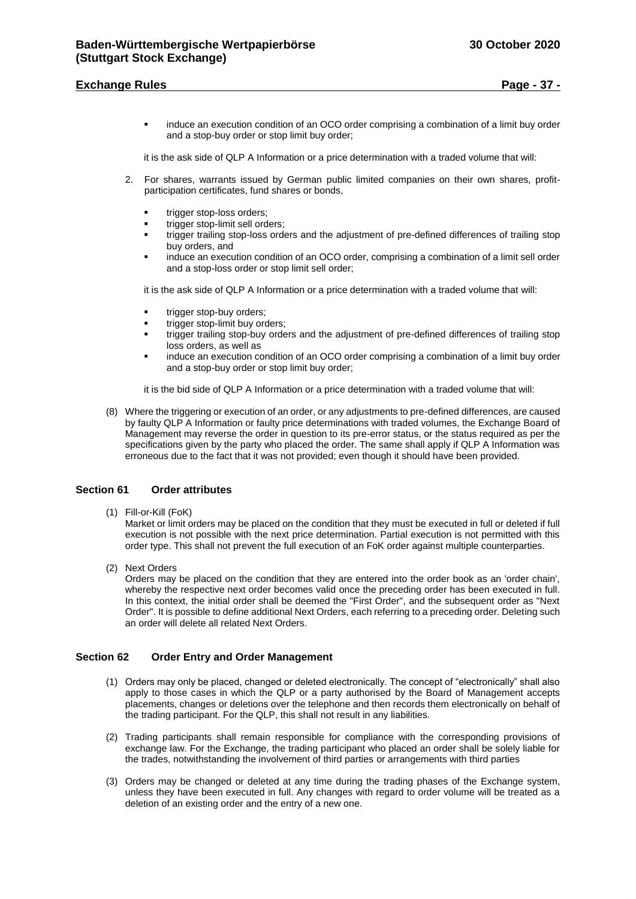## **Exchange Rules Page - 37 -**

 induce an execution condition of an OCO order comprising a combination of a limit buy order and a stop-buy order or stop limit buy order;

it is the ask side of QLP A Information or a price determination with a traded volume that will:

- 2. For shares, warrants issued by German public limited companies on their own shares, profitparticipation certificates, fund shares or bonds,
	- trigger stop-loss orders;
	- trigger stop-limit sell orders;
	- trigger trailing stop-loss orders and the adjustment of pre-defined differences of trailing stop buy orders, and
	- induce an execution condition of an OCO order, comprising a combination of a limit sell order and a stop-loss order or stop limit sell order;

it is the ask side of QLP A Information or a price determination with a traded volume that will:

- trigger stop-buy orders;
- trigger stop-limit buy orders;
- trigger trailing stop-buy orders and the adjustment of pre-defined differences of trailing stop loss orders, as well as
- induce an execution condition of an OCO order comprising a combination of a limit buy order and a stop-buy order or stop limit buy order;

it is the bid side of QLP A Information or a price determination with a traded volume that will:

(8) Where the triggering or execution of an order, or any adjustments to pre-defined differences, are caused by faulty QLP A Information or faulty price determinations with traded volumes, the Exchange Board of Management may reverse the order in question to its pre-error status, or the status required as per the specifications given by the party who placed the order. The same shall apply if QLP A Information was erroneous due to the fact that it was not provided; even though it should have been provided.

#### <span id="page-36-0"></span>**Section 61 Order attributes**

(1) Fill-or-Kill (FoK)

Market or limit orders may be placed on the condition that they must be executed in full or deleted if full execution is not possible with the next price determination. Partial execution is not permitted with this order type. This shall not prevent the full execution of an FoK order against multiple counterparties.

(2) Next Orders

Orders may be placed on the condition that they are entered into the order book as an 'order chain', whereby the respective next order becomes valid once the preceding order has been executed in full. In this context, the initial order shall be deemed the "First Order", and the subsequent order as "Next Order". It is possible to define additional Next Orders, each referring to a preceding order. Deleting such an order will delete all related Next Orders.

#### <span id="page-36-1"></span>**Section 62 Order Entry and Order Management**

- (1) Orders may only be placed, changed or deleted electronically. The concept of "electronically" shall also apply to those cases in which the QLP or a party authorised by the Board of Management accepts placements, changes or deletions over the telephone and then records them electronically on behalf of the trading participant. For the QLP, this shall not result in any liabilities.
- (2) Trading participants shall remain responsible for compliance with the corresponding provisions of exchange law. For the Exchange, the trading participant who placed an order shall be solely liable for the trades, notwithstanding the involvement of third parties or arrangements with third parties
- (3) Orders may be changed or deleted at any time during the trading phases of the Exchange system, unless they have been executed in full. Any changes with regard to order volume will be treated as a deletion of an existing order and the entry of a new one.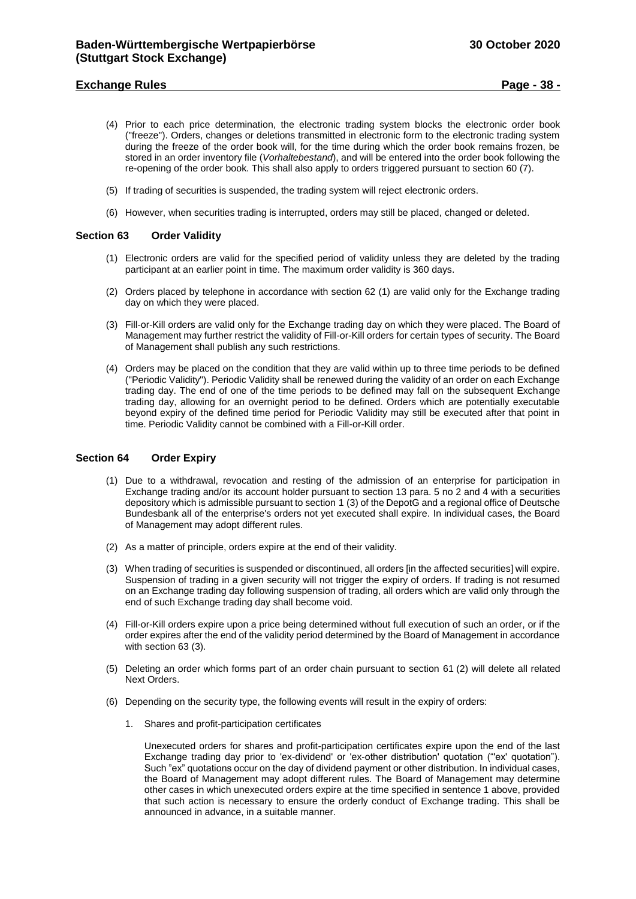## **Exchange Rules Page - 38 -**

- (4) Prior to each price determination, the electronic trading system blocks the electronic order book ("freeze"). Orders, changes or deletions transmitted in electronic form to the electronic trading system during the freeze of the order book will, for the time during which the order book remains frozen, be stored in an order inventory file (*Vorhaltebestand*), and will be entered into the order book following the re-opening of the order book. This shall also apply to orders triggered pursuant to section 60 (7).
- (5) If trading of securities is suspended, the trading system will reject electronic orders.
- (6) However, when securities trading is interrupted, orders may still be placed, changed or deleted.

## <span id="page-37-0"></span>**Section 63 Order Validity**

- (1) Electronic orders are valid for the specified period of validity unless they are deleted by the trading participant at an earlier point in time. The maximum order validity is 360 days.
- (2) Orders placed by telephone in accordance with section 62 (1) are valid only for the Exchange trading day on which they were placed.
- (3) Fill-or-Kill orders are valid only for the Exchange trading day on which they were placed. The Board of Management may further restrict the validity of Fill-or-Kill orders for certain types of security. The Board of Management shall publish any such restrictions.
- (4) Orders may be placed on the condition that they are valid within up to three time periods to be defined ("Periodic Validity"). Periodic Validity shall be renewed during the validity of an order on each Exchange trading day. The end of one of the time periods to be defined may fall on the subsequent Exchange trading day, allowing for an overnight period to be defined. Orders which are potentially executable beyond expiry of the defined time period for Periodic Validity may still be executed after that point in time. Periodic Validity cannot be combined with a Fill-or-Kill order.

## <span id="page-37-1"></span>**Section 64 Order Expiry**

- (1) Due to a withdrawal, revocation and resting of the admission of an enterprise for participation in Exchange trading and/or its account holder pursuant to section 13 para. 5 no 2 and 4 with a securities depository which is admissible pursuant to section 1 (3) of the DepotG and a regional office of Deutsche Bundesbank all of the enterprise's orders not yet executed shall expire. In individual cases, the Board of Management may adopt different rules.
- (2) As a matter of principle, orders expire at the end of their validity.
- (3) When trading of securities is suspended or discontinued, all orders [in the affected securities] will expire. Suspension of trading in a given security will not trigger the expiry of orders. If trading is not resumed on an Exchange trading day following suspension of trading, all orders which are valid only through the end of such Exchange trading day shall become void.
- (4) Fill-or-Kill orders expire upon a price being determined without full execution of such an order, or if the order expires after the end of the validity period determined by the Board of Management in accordance with section 63 (3).
- (5) Deleting an order which forms part of an order chain pursuant to section 61 (2) will delete all related Next Orders.
- (6) Depending on the security type, the following events will result in the expiry of orders:
	- 1. Shares and profit-participation certificates

Unexecuted orders for shares and profit-participation certificates expire upon the end of the last Exchange trading day prior to 'ex-dividend' or 'ex-other distribution' quotation ("'ex' quotation"). Such "ex" quotations occur on the day of dividend payment or other distribution. In individual cases, the Board of Management may adopt different rules. The Board of Management may determine other cases in which unexecuted orders expire at the time specified in sentence 1 above, provided that such action is necessary to ensure the orderly conduct of Exchange trading. This shall be announced in advance, in a suitable manner.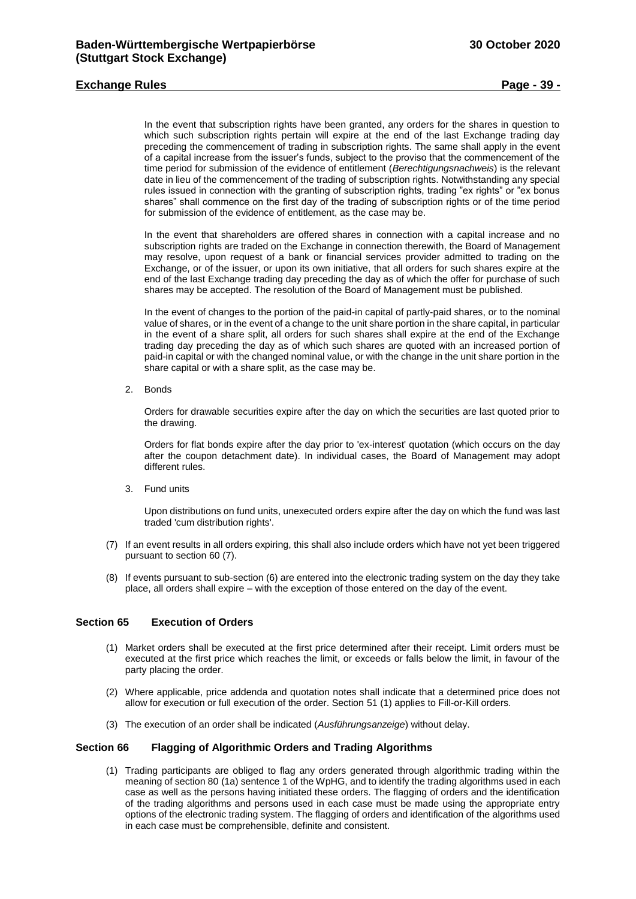## **Exchange Rules Page - 39 -**

In the event that subscription rights have been granted, any orders for the shares in question to which such subscription rights pertain will expire at the end of the last Exchange trading day preceding the commencement of trading in subscription rights. The same shall apply in the event of a capital increase from the issuer's funds, subject to the proviso that the commencement of the time period for submission of the evidence of entitlement (*Berechtigungsnachweis*) is the relevant date in lieu of the commencement of the trading of subscription rights. Notwithstanding any special rules issued in connection with the granting of subscription rights, trading "ex rights" or "ex bonus shares" shall commence on the first day of the trading of subscription rights or of the time period for submission of the evidence of entitlement, as the case may be.

In the event that shareholders are offered shares in connection with a capital increase and no subscription rights are traded on the Exchange in connection therewith, the Board of Management may resolve, upon request of a bank or financial services provider admitted to trading on the Exchange, or of the issuer, or upon its own initiative, that all orders for such shares expire at the end of the last Exchange trading day preceding the day as of which the offer for purchase of such shares may be accepted. The resolution of the Board of Management must be published.

In the event of changes to the portion of the paid-in capital of partly-paid shares, or to the nominal value of shares, or in the event of a change to the unit share portion in the share capital, in particular in the event of a share split, all orders for such shares shall expire at the end of the Exchange trading day preceding the day as of which such shares are quoted with an increased portion of paid-in capital or with the changed nominal value, or with the change in the unit share portion in the share capital or with a share split, as the case may be.

2. Bonds

Orders for drawable securities expire after the day on which the securities are last quoted prior to the drawing.

Orders for flat bonds expire after the day prior to 'ex-interest' quotation (which occurs on the day after the coupon detachment date). In individual cases, the Board of Management may adopt different rules.

3. Fund units

Upon distributions on fund units, unexecuted orders expire after the day on which the fund was last traded 'cum distribution rights'.

- (7) If an event results in all orders expiring, this shall also include orders which have not yet been triggered pursuant to section 60 (7).
- (8) If events pursuant to sub-section (6) are entered into the electronic trading system on the day they take place, all orders shall expire – with the exception of those entered on the day of the event.

## <span id="page-38-0"></span>**Section 65 Execution of Orders**

- (1) Market orders shall be executed at the first price determined after their receipt. Limit orders must be executed at the first price which reaches the limit, or exceeds or falls below the limit, in favour of the party placing the order.
- (2) Where applicable, price addenda and quotation notes shall indicate that a determined price does not allow for execution or full execution of the order. Section 51 (1) applies to Fill-or-Kill orders.
- (3) The execution of an order shall be indicated (*Ausführungsanzeige*) without delay.

#### <span id="page-38-1"></span>**Section 66 Flagging of Algorithmic Orders and Trading Algorithms**

(1) Trading participants are obliged to flag any orders generated through algorithmic trading within the meaning of section 80 (1a) sentence 1 of the WpHG, and to identify the trading algorithms used in each case as well as the persons having initiated these orders. The flagging of orders and the identification of the trading algorithms and persons used in each case must be made using the appropriate entry options of the electronic trading system. The flagging of orders and identification of the algorithms used in each case must be comprehensible, definite and consistent.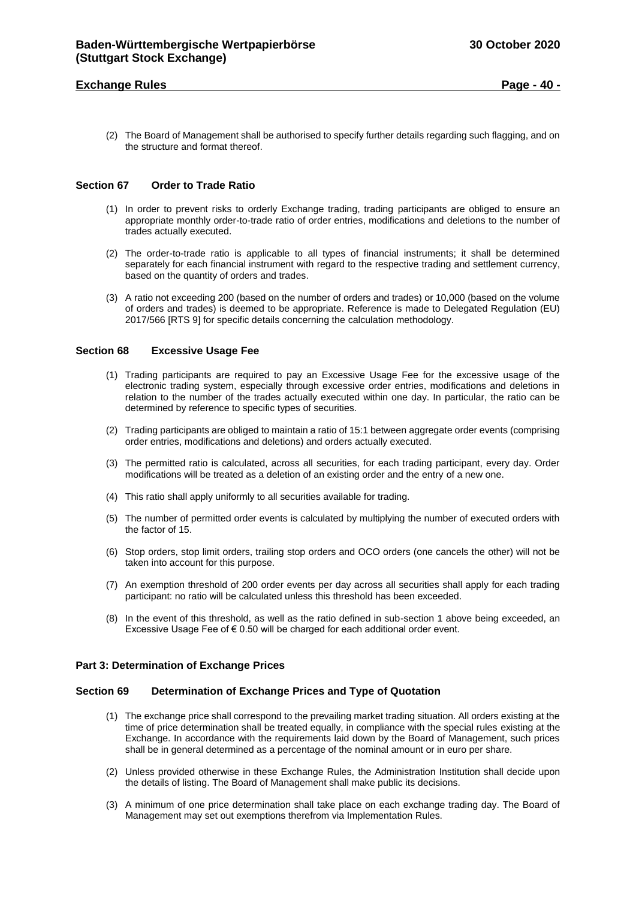## **Exchange Rules Page - 40 -**

(2) The Board of Management shall be authorised to specify further details regarding such flagging, and on the structure and format thereof.

## <span id="page-39-0"></span>**Section 67 Order to Trade Ratio**

- (1) In order to prevent risks to orderly Exchange trading, trading participants are obliged to ensure an appropriate monthly order-to-trade ratio of order entries, modifications and deletions to the number of trades actually executed.
- (2) The order-to-trade ratio is applicable to all types of financial instruments; it shall be determined separately for each financial instrument with regard to the respective trading and settlement currency, based on the quantity of orders and trades.
- (3) A ratio not exceeding 200 (based on the number of orders and trades) or 10,000 (based on the volume of orders and trades) is deemed to be appropriate. Reference is made to Delegated Regulation (EU) 2017/566 [RTS 9] for specific details concerning the calculation methodology.

#### <span id="page-39-1"></span>**Section 68 Excessive Usage Fee**

- (1) Trading participants are required to pay an Excessive Usage Fee for the excessive usage of the electronic trading system, especially through excessive order entries, modifications and deletions in relation to the number of the trades actually executed within one day. In particular, the ratio can be determined by reference to specific types of securities.
- (2) Trading participants are obliged to maintain a ratio of 15:1 between aggregate order events (comprising order entries, modifications and deletions) and orders actually executed.
- (3) The permitted ratio is calculated, across all securities, for each trading participant, every day. Order modifications will be treated as a deletion of an existing order and the entry of a new one.
- (4) This ratio shall apply uniformly to all securities available for trading.
- (5) The number of permitted order events is calculated by multiplying the number of executed orders with the factor of 15.
- (6) Stop orders, stop limit orders, trailing stop orders and OCO orders (one cancels the other) will not be taken into account for this purpose.
- (7) An exemption threshold of 200 order events per day across all securities shall apply for each trading participant: no ratio will be calculated unless this threshold has been exceeded.
- (8) In the event of this threshold, as well as the ratio defined in sub-section 1 above being exceeded, an Excessive Usage Fee of € 0.50 will be charged for each additional order event.

#### <span id="page-39-2"></span>**Part 3: Determination of Exchange Prices**

#### <span id="page-39-3"></span>**Section 69 Determination of Exchange Prices and Type of Quotation**

- (1) The exchange price shall correspond to the prevailing market trading situation. All orders existing at the time of price determination shall be treated equally, in compliance with the special rules existing at the Exchange. In accordance with the requirements laid down by the Board of Management, such prices shall be in general determined as a percentage of the nominal amount or in euro per share.
- (2) Unless provided otherwise in these Exchange Rules, the Administration Institution shall decide upon the details of listing. The Board of Management shall make public its decisions.
- (3) A minimum of one price determination shall take place on each exchange trading day. The Board of Management may set out exemptions therefrom via Implementation Rules.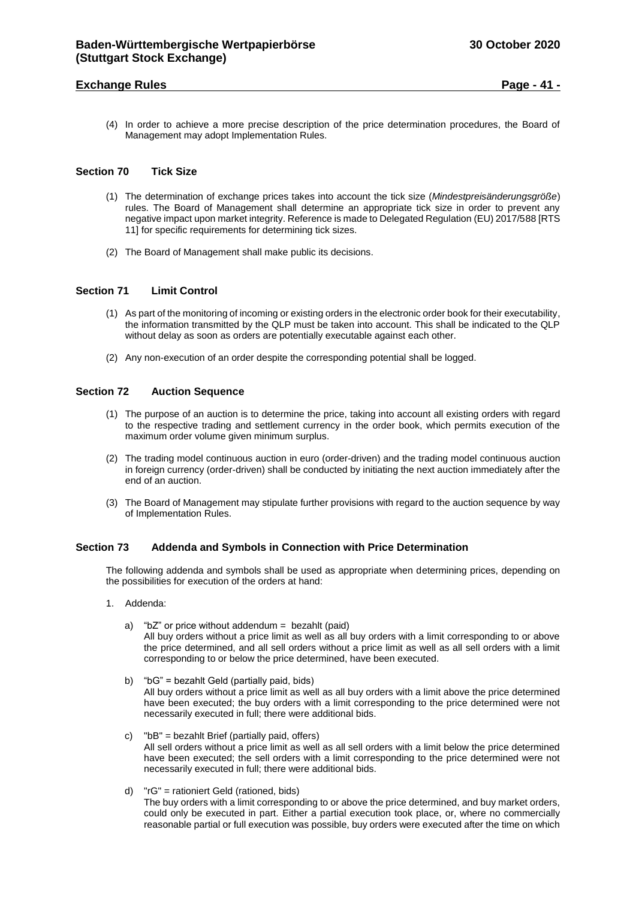## **Exchange Rules Page - 41 -**

(4) In order to achieve a more precise description of the price determination procedures, the Board of Management may adopt Implementation Rules.

#### <span id="page-40-0"></span>**Section 70 Tick Size**

- (1) The determination of exchange prices takes into account the tick size (*Mindestpreisänderungsgröße*) rules. The Board of Management shall determine an appropriate tick size in order to prevent any negative impact upon market integrity. Reference is made to Delegated Regulation (EU) 2017/588 [RTS 11] for specific requirements for determining tick sizes.
- (2) The Board of Management shall make public its decisions.

#### <span id="page-40-1"></span>**Section 71 Limit Control**

- (1) As part of the monitoring of incoming or existing orders in the electronic order book for their executability, the information transmitted by the QLP must be taken into account. This shall be indicated to the QLP without delay as soon as orders are potentially executable against each other.
- (2) Any non-execution of an order despite the corresponding potential shall be logged.

## <span id="page-40-2"></span>**Section 72 Auction Sequence**

- (1) The purpose of an auction is to determine the price, taking into account all existing orders with regard to the respective trading and settlement currency in the order book, which permits execution of the maximum order volume given minimum surplus.
- (2) The trading model continuous auction in euro (order-driven) and the trading model continuous auction in foreign currency (order-driven) shall be conducted by initiating the next auction immediately after the end of an auction.
- (3) The Board of Management may stipulate further provisions with regard to the auction sequence by way of Implementation Rules.

## <span id="page-40-3"></span>**Section 73 Addenda and Symbols in Connection with Price Determination**

The following addenda and symbols shall be used as appropriate when determining prices, depending on the possibilities for execution of the orders at hand:

- 1. Addenda:
	- a) "bZ" or price without addendum = bezahlt (paid) All buy orders without a price limit as well as all buy orders with a limit corresponding to or above the price determined, and all sell orders without a price limit as well as all sell orders with a limit corresponding to or below the price determined, have been executed.
	- b) "bG" = bezahlt Geld (partially paid, bids) All buy orders without a price limit as well as all buy orders with a limit above the price determined have been executed; the buy orders with a limit corresponding to the price determined were not necessarily executed in full; there were additional bids.
	- c) "bB" = bezahlt Brief (partially paid, offers) All sell orders without a price limit as well as all sell orders with a limit below the price determined have been executed; the sell orders with a limit corresponding to the price determined were not necessarily executed in full; there were additional bids.
	- d) "rG" = rationiert Geld (rationed, bids) The buy orders with a limit corresponding to or above the price determined, and buy market orders, could only be executed in part. Either a partial execution took place, or, where no commercially reasonable partial or full execution was possible, buy orders were executed after the time on which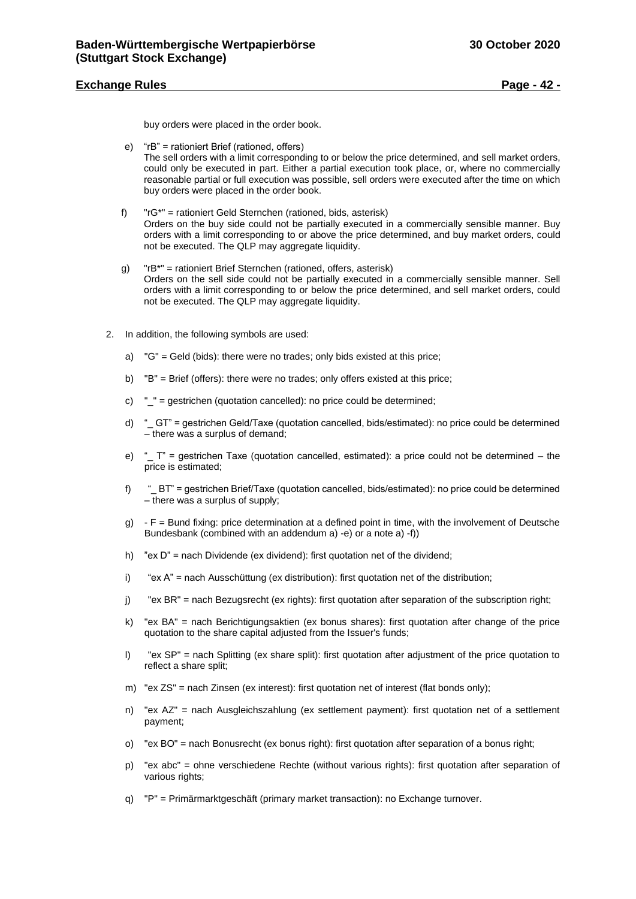## **Exchange Rules Page - 42 -**

buy orders were placed in the order book.

- e) "rB" = rationiert Brief (rationed, offers) The sell orders with a limit corresponding to or below the price determined, and sell market orders, could only be executed in part. Either a partial execution took place, or, where no commercially reasonable partial or full execution was possible, sell orders were executed after the time on which buy orders were placed in the order book.
- f) "rG\*" = rationiert Geld Sternchen (rationed, bids, asterisk) Orders on the buy side could not be partially executed in a commercially sensible manner. Buy orders with a limit corresponding to or above the price determined, and buy market orders, could not be executed. The QLP may aggregate liquidity.
- g) "rB\*" = rationiert Brief Sternchen (rationed, offers, asterisk) Orders on the sell side could not be partially executed in a commercially sensible manner. Sell orders with a limit corresponding to or below the price determined, and sell market orders, could not be executed. The QLP may aggregate liquidity.
- 2. In addition, the following symbols are used:
	- a) "G" = Geld (bids): there were no trades; only bids existed at this price;
	- b) "B" = Brief (offers): there were no trades; only offers existed at this price;
	- c) "\_" = gestrichen (quotation cancelled): no price could be determined;
	- d) "\_ GT" = gestrichen Geld/Taxe (quotation cancelled, bids/estimated): no price could be determined – there was a surplus of demand;
	- e) " $T$  = gestrichen Taxe (quotation cancelled, estimated): a price could not be determined the price is estimated;
	- f) " BT" = gestrichen Brief/Taxe (quotation cancelled, bids/estimated): no price could be determined – there was a surplus of supply;
	- g) F = Bund fixing: price determination at a defined point in time, with the involvement of Deutsche Bundesbank (combined with an addendum a) -e) or a note a) -f))
	- h) "ex D" = nach Dividende (ex dividend): first quotation net of the dividend;
	- i) "ex A" = nach Ausschüttung (ex distribution): first quotation net of the distribution;
	- j) "ex BR" = nach Bezugsrecht (ex rights): first quotation after separation of the subscription right;
	- k) "ex BA" = nach Berichtigungsaktien (ex bonus shares): first quotation after change of the price quotation to the share capital adjusted from the Issuer's funds;
	- l) "ex SP" = nach Splitting (ex share split): first quotation after adjustment of the price quotation to reflect a share split;
	- m) "ex ZS" = nach Zinsen (ex interest): first quotation net of interest (flat bonds only);
	- n) "ex AZ" = nach Ausgleichszahlung (ex settlement payment): first quotation net of a settlement payment;
	- o) "ex BO" = nach Bonusrecht (ex bonus right): first quotation after separation of a bonus right;
	- p) "ex abc" = ohne verschiedene Rechte (without various rights): first quotation after separation of various rights:
	- q) "P" = Primärmarktgeschäft (primary market transaction): no Exchange turnover.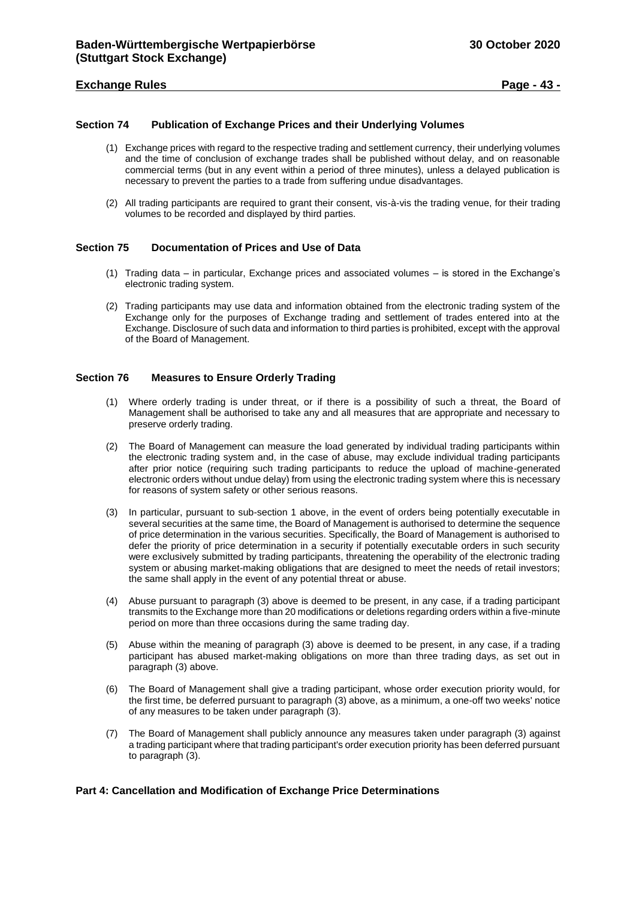## **Exchange Rules Page - 43 -**

## <span id="page-42-0"></span>**Section 74 Publication of Exchange Prices and their Underlying Volumes**

- (1) Exchange prices with regard to the respective trading and settlement currency, their underlying volumes and the time of conclusion of exchange trades shall be published without delay, and on reasonable commercial terms (but in any event within a period of three minutes), unless a delayed publication is necessary to prevent the parties to a trade from suffering undue disadvantages.
- (2) All trading participants are required to grant their consent, vis-à-vis the trading venue, for their trading volumes to be recorded and displayed by third parties.

## <span id="page-42-1"></span>**Section 75 Documentation of Prices and Use of Data**

- (1) Trading data in particular, Exchange prices and associated volumes is stored in the Exchange's electronic trading system.
- (2) Trading participants may use data and information obtained from the electronic trading system of the Exchange only for the purposes of Exchange trading and settlement of trades entered into at the Exchange. Disclosure of such data and information to third parties is prohibited, except with the approval of the Board of Management.

## <span id="page-42-2"></span>**Section 76 Measures to Ensure Orderly Trading**

- (1) Where orderly trading is under threat, or if there is a possibility of such a threat, the Board of Management shall be authorised to take any and all measures that are appropriate and necessary to preserve orderly trading.
- (2) The Board of Management can measure the load generated by individual trading participants within the electronic trading system and, in the case of abuse, may exclude individual trading participants after prior notice (requiring such trading participants to reduce the upload of machine-generated electronic orders without undue delay) from using the electronic trading system where this is necessary for reasons of system safety or other serious reasons.
- (3) In particular, pursuant to sub-section 1 above, in the event of orders being potentially executable in several securities at the same time, the Board of Management is authorised to determine the sequence of price determination in the various securities. Specifically, the Board of Management is authorised to defer the priority of price determination in a security if potentially executable orders in such security were exclusively submitted by trading participants, threatening the operability of the electronic trading system or abusing market-making obligations that are designed to meet the needs of retail investors; the same shall apply in the event of any potential threat or abuse.
- (4) Abuse pursuant to paragraph (3) above is deemed to be present, in any case, if a trading participant transmits to the Exchange more than 20 modifications or deletions regarding orders within a five-minute period on more than three occasions during the same trading day.
- (5) Abuse within the meaning of paragraph (3) above is deemed to be present, in any case, if a trading participant has abused market-making obligations on more than three trading days, as set out in paragraph (3) above.
- (6) The Board of Management shall give a trading participant, whose order execution priority would, for the first time, be deferred pursuant to paragraph (3) above, as a minimum, a one-off two weeks' notice of any measures to be taken under paragraph (3).
- (7) The Board of Management shall publicly announce any measures taken under paragraph (3) against a trading participant where that trading participant's order execution priority has been deferred pursuant to paragraph (3).

## <span id="page-42-3"></span>**Part 4: Cancellation and Modification of Exchange Price Determinations**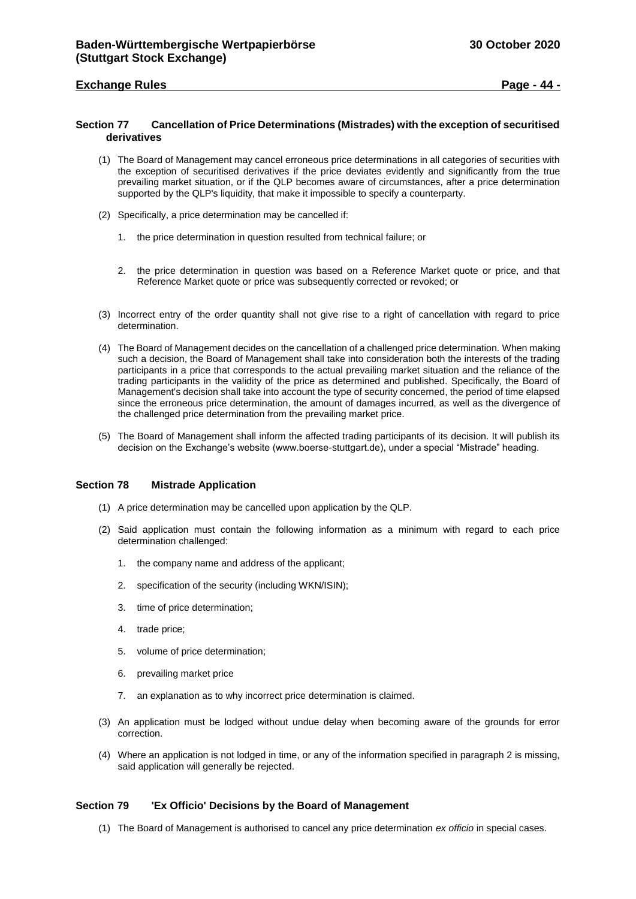## **Exchange Rules Page - 44 -**

## <span id="page-43-0"></span>**Section 77 Cancellation of Price Determinations (Mistrades) with the exception of securitised derivatives**

- (1) The Board of Management may cancel erroneous price determinations in all categories of securities with the exception of securitised derivatives if the price deviates evidently and significantly from the true prevailing market situation, or if the QLP becomes aware of circumstances, after a price determination supported by the QLP's liquidity, that make it impossible to specify a counterparty.
- (2) Specifically, a price determination may be cancelled if:
	- 1. the price determination in question resulted from technical failure; or
	- 2. the price determination in question was based on a Reference Market quote or price, and that Reference Market quote or price was subsequently corrected or revoked; or
- (3) Incorrect entry of the order quantity shall not give rise to a right of cancellation with regard to price determination.
- (4) The Board of Management decides on the cancellation of a challenged price determination. When making such a decision, the Board of Management shall take into consideration both the interests of the trading participants in a price that corresponds to the actual prevailing market situation and the reliance of the trading participants in the validity of the price as determined and published. Specifically, the Board of Management's decision shall take into account the type of security concerned, the period of time elapsed since the erroneous price determination, the amount of damages incurred, as well as the divergence of the challenged price determination from the prevailing market price.
- (5) The Board of Management shall inform the affected trading participants of its decision. It will publish its decision on the Exchange's website (www.boerse-stuttgart.de), under a special "Mistrade" heading.

#### <span id="page-43-1"></span>**Section 78 Mistrade Application**

- (1) A price determination may be cancelled upon application by the QLP.
- (2) Said application must contain the following information as a minimum with regard to each price determination challenged:
	- 1. the company name and address of the applicant;
	- 2. specification of the security (including WKN/ISIN);
	- 3. time of price determination;
	- 4. trade price;
	- 5. volume of price determination;
	- 6. prevailing market price
	- 7. an explanation as to why incorrect price determination is claimed.
- (3) An application must be lodged without undue delay when becoming aware of the grounds for error correction.
- (4) Where an application is not lodged in time, or any of the information specified in paragraph 2 is missing, said application will generally be rejected.

#### <span id="page-43-2"></span>**Section 79 'Ex Officio' Decisions by the Board of Management**

(1) The Board of Management is authorised to cancel any price determination *ex officio* in special cases.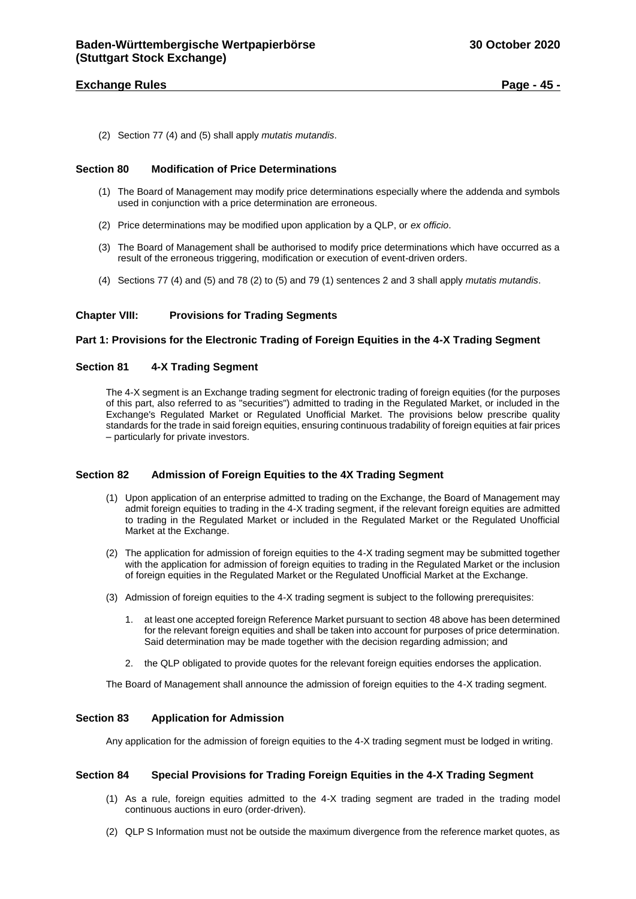## **Exchange Rules Page - 45 -**

(2) Section 77 (4) and (5) shall apply *mutatis mutandis*.

## <span id="page-44-0"></span>**Section 80 Modification of Price Determinations**

- (1) The Board of Management may modify price determinations especially where the addenda and symbols used in conjunction with a price determination are erroneous.
- (2) Price determinations may be modified upon application by a QLP, or *ex officio*.
- (3) The Board of Management shall be authorised to modify price determinations which have occurred as a result of the erroneous triggering, modification or execution of event-driven orders.
- (4) Sections 77 (4) and (5) and 78 (2) to (5) and 79 (1) sentences 2 and 3 shall apply *mutatis mutandis*.

## <span id="page-44-1"></span>**Chapter VIII: Provisions for Trading Segments**

#### <span id="page-44-2"></span>**Part 1: Provisions for the Electronic Trading of Foreign Equities in the 4-X Trading Segment**

## <span id="page-44-3"></span>**Section 81 4-X Trading Segment**

The 4-X segment is an Exchange trading segment for electronic trading of foreign equities (for the purposes of this part, also referred to as "securities") admitted to trading in the Regulated Market, or included in the Exchange's Regulated Market or Regulated Unofficial Market. The provisions below prescribe quality standards for the trade in said foreign equities, ensuring continuous tradability of foreign equities at fair prices – particularly for private investors.

## <span id="page-44-4"></span>**Section 82 Admission of Foreign Equities to the 4X Trading Segment**

- (1) Upon application of an enterprise admitted to trading on the Exchange, the Board of Management may admit foreign equities to trading in the 4-X trading segment, if the relevant foreign equities are admitted to trading in the Regulated Market or included in the Regulated Market or the Regulated Unofficial Market at the Exchange.
- (2) The application for admission of foreign equities to the 4-X trading segment may be submitted together with the application for admission of foreign equities to trading in the Regulated Market or the inclusion of foreign equities in the Regulated Market or the Regulated Unofficial Market at the Exchange.
- (3) Admission of foreign equities to the 4-X trading segment is subject to the following prerequisites:
	- 1. at least one accepted foreign Reference Market pursuant to section 48 above has been determined for the relevant foreign equities and shall be taken into account for purposes of price determination. Said determination may be made together with the decision regarding admission; and
	- 2. the QLP obligated to provide quotes for the relevant foreign equities endorses the application.

The Board of Management shall announce the admission of foreign equities to the 4-X trading segment.

## <span id="page-44-5"></span>**Section 83 Application for Admission**

Any application for the admission of foreign equities to the 4-X trading segment must be lodged in writing.

#### <span id="page-44-6"></span>**Section 84 Special Provisions for Trading Foreign Equities in the 4-X Trading Segment**

- (1) As a rule, foreign equities admitted to the 4-X trading segment are traded in the trading model continuous auctions in euro (order-driven).
- (2) QLP S Information must not be outside the maximum divergence from the reference market quotes, as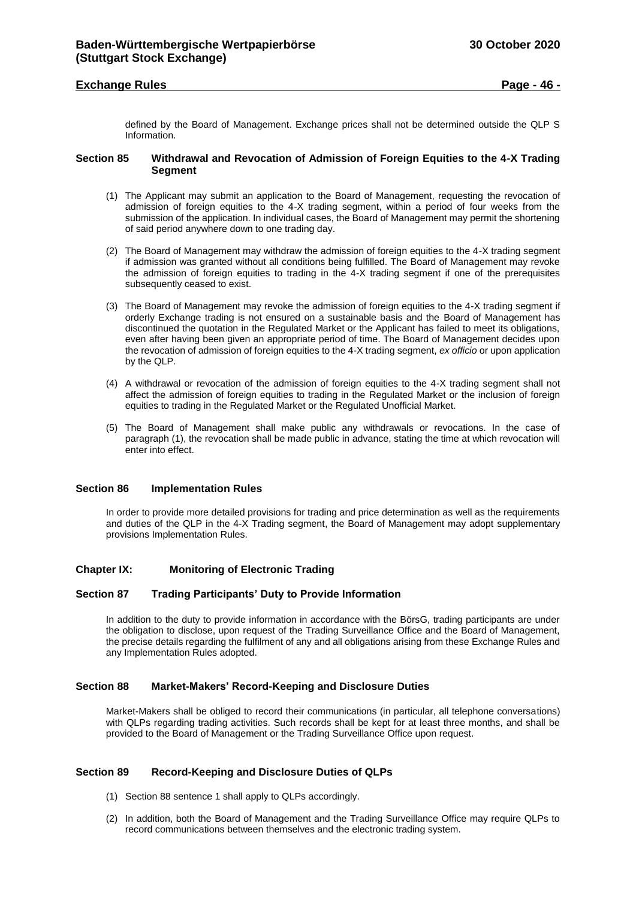## **Exchange Rules Page - 46 -**

defined by the Board of Management. Exchange prices shall not be determined outside the QLP S Information.

## <span id="page-45-0"></span>**Section 85 Withdrawal and Revocation of Admission of Foreign Equities to the 4-X Trading Segment**

- (1) The Applicant may submit an application to the Board of Management, requesting the revocation of admission of foreign equities to the 4-X trading segment, within a period of four weeks from the submission of the application. In individual cases, the Board of Management may permit the shortening of said period anywhere down to one trading day.
- (2) The Board of Management may withdraw the admission of foreign equities to the 4-X trading segment if admission was granted without all conditions being fulfilled. The Board of Management may revoke the admission of foreign equities to trading in the 4-X trading segment if one of the prerequisites subsequently ceased to exist.
- (3) The Board of Management may revoke the admission of foreign equities to the 4-X trading segment if orderly Exchange trading is not ensured on a sustainable basis and the Board of Management has discontinued the quotation in the Regulated Market or the Applicant has failed to meet its obligations, even after having been given an appropriate period of time. The Board of Management decides upon the revocation of admission of foreign equities to the 4-X trading segment, *ex officio* or upon application by the QLP.
- (4) A withdrawal or revocation of the admission of foreign equities to the 4-X trading segment shall not affect the admission of foreign equities to trading in the Regulated Market or the inclusion of foreign equities to trading in the Regulated Market or the Regulated Unofficial Market.
- (5) The Board of Management shall make public any withdrawals or revocations. In the case of paragraph (1), the revocation shall be made public in advance, stating the time at which revocation will enter into effect.

## <span id="page-45-1"></span>**Section 86 Implementation Rules**

In order to provide more detailed provisions for trading and price determination as well as the requirements and duties of the QLP in the 4-X Trading segment, the Board of Management may adopt supplementary provisions Implementation Rules.

## <span id="page-45-2"></span>**Chapter IX: Monitoring of Electronic Trading**

#### <span id="page-45-3"></span>**Section 87 Trading Participants' Duty to Provide Information**

In addition to the duty to provide information in accordance with the BörsG, trading participants are under the obligation to disclose, upon request of the Trading Surveillance Office and the Board of Management, the precise details regarding the fulfilment of any and all obligations arising from these Exchange Rules and any Implementation Rules adopted.

## <span id="page-45-4"></span>**Section 88 Market-Makers' Record-Keeping and Disclosure Duties**

Market-Makers shall be obliged to record their communications (in particular, all telephone conversations) with QLPs regarding trading activities. Such records shall be kept for at least three months, and shall be provided to the Board of Management or the Trading Surveillance Office upon request.

## <span id="page-45-5"></span>**Section 89 Record-Keeping and Disclosure Duties of QLPs**

- (1) Section 88 sentence 1 shall apply to QLPs accordingly.
- (2) In addition, both the Board of Management and the Trading Surveillance Office may require QLPs to record communications between themselves and the electronic trading system.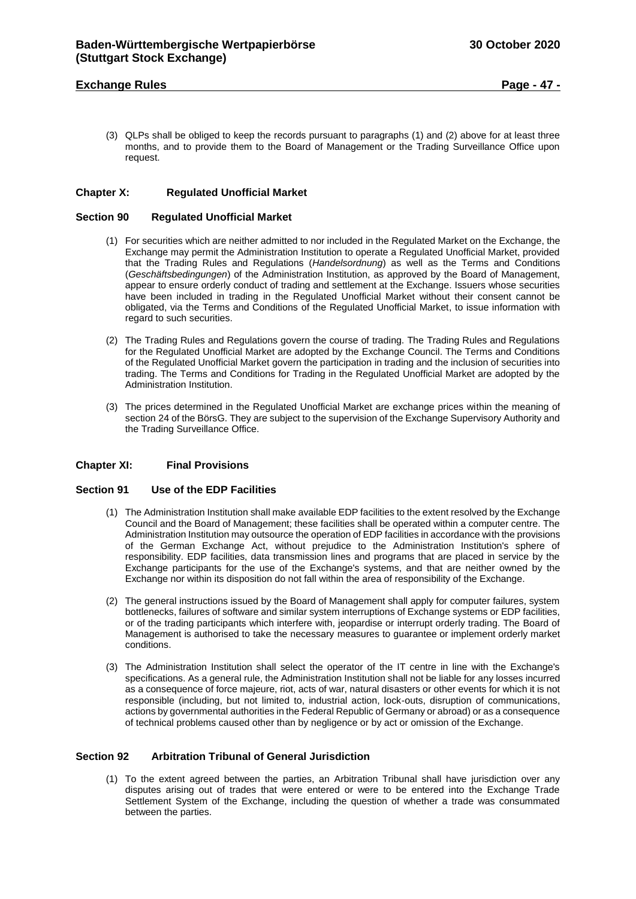## **Exchange Rules Page - 47 -**

(3) QLPs shall be obliged to keep the records pursuant to paragraphs (1) and (2) above for at least three months, and to provide them to the Board of Management or the Trading Surveillance Office upon request.

#### <span id="page-46-0"></span>**Chapter X: Regulated Unofficial Market**

## <span id="page-46-1"></span>**Section 90 Regulated Unofficial Market**

- (1) For securities which are neither admitted to nor included in the Regulated Market on the Exchange, the Exchange may permit the Administration Institution to operate a Regulated Unofficial Market, provided that the Trading Rules and Regulations (*Handelsordnung*) as well as the Terms and Conditions (*Geschäftsbedingungen*) of the Administration Institution, as approved by the Board of Management, appear to ensure orderly conduct of trading and settlement at the Exchange. Issuers whose securities have been included in trading in the Regulated Unofficial Market without their consent cannot be obligated, via the Terms and Conditions of the Regulated Unofficial Market, to issue information with regard to such securities.
- (2) The Trading Rules and Regulations govern the course of trading. The Trading Rules and Regulations for the Regulated Unofficial Market are adopted by the Exchange Council. The Terms and Conditions of the Regulated Unofficial Market govern the participation in trading and the inclusion of securities into trading. The Terms and Conditions for Trading in the Regulated Unofficial Market are adopted by the Administration Institution.
- (3) The prices determined in the Regulated Unofficial Market are exchange prices within the meaning of section 24 of the BörsG. They are subject to the supervision of the Exchange Supervisory Authority and the Trading Surveillance Office.

#### <span id="page-46-2"></span>**Chapter XI: Final Provisions**

#### <span id="page-46-3"></span>**Section 91 Use of the EDP Facilities**

- (1) The Administration Institution shall make available EDP facilities to the extent resolved by the Exchange Council and the Board of Management; these facilities shall be operated within a computer centre. The Administration Institution may outsource the operation of EDP facilities in accordance with the provisions of the German Exchange Act, without prejudice to the Administration Institution's sphere of responsibility. EDP facilities, data transmission lines and programs that are placed in service by the Exchange participants for the use of the Exchange's systems, and that are neither owned by the Exchange nor within its disposition do not fall within the area of responsibility of the Exchange.
- (2) The general instructions issued by the Board of Management shall apply for computer failures, system bottlenecks, failures of software and similar system interruptions of Exchange systems or EDP facilities, or of the trading participants which interfere with, jeopardise or interrupt orderly trading. The Board of Management is authorised to take the necessary measures to guarantee or implement orderly market conditions.
- (3) The Administration Institution shall select the operator of the IT centre in line with the Exchange's specifications. As a general rule, the Administration Institution shall not be liable for any losses incurred as a consequence of force majeure, riot, acts of war, natural disasters or other events for which it is not responsible (including, but not limited to, industrial action, lock-outs, disruption of communications, actions by governmental authorities in the Federal Republic of Germany or abroad) or as a consequence of technical problems caused other than by negligence or by act or omission of the Exchange.

## <span id="page-46-4"></span>**Section 92 Arbitration Tribunal of General Jurisdiction**

(1) To the extent agreed between the parties, an Arbitration Tribunal shall have jurisdiction over any disputes arising out of trades that were entered or were to be entered into the Exchange Trade Settlement System of the Exchange, including the question of whether a trade was consummated between the parties.